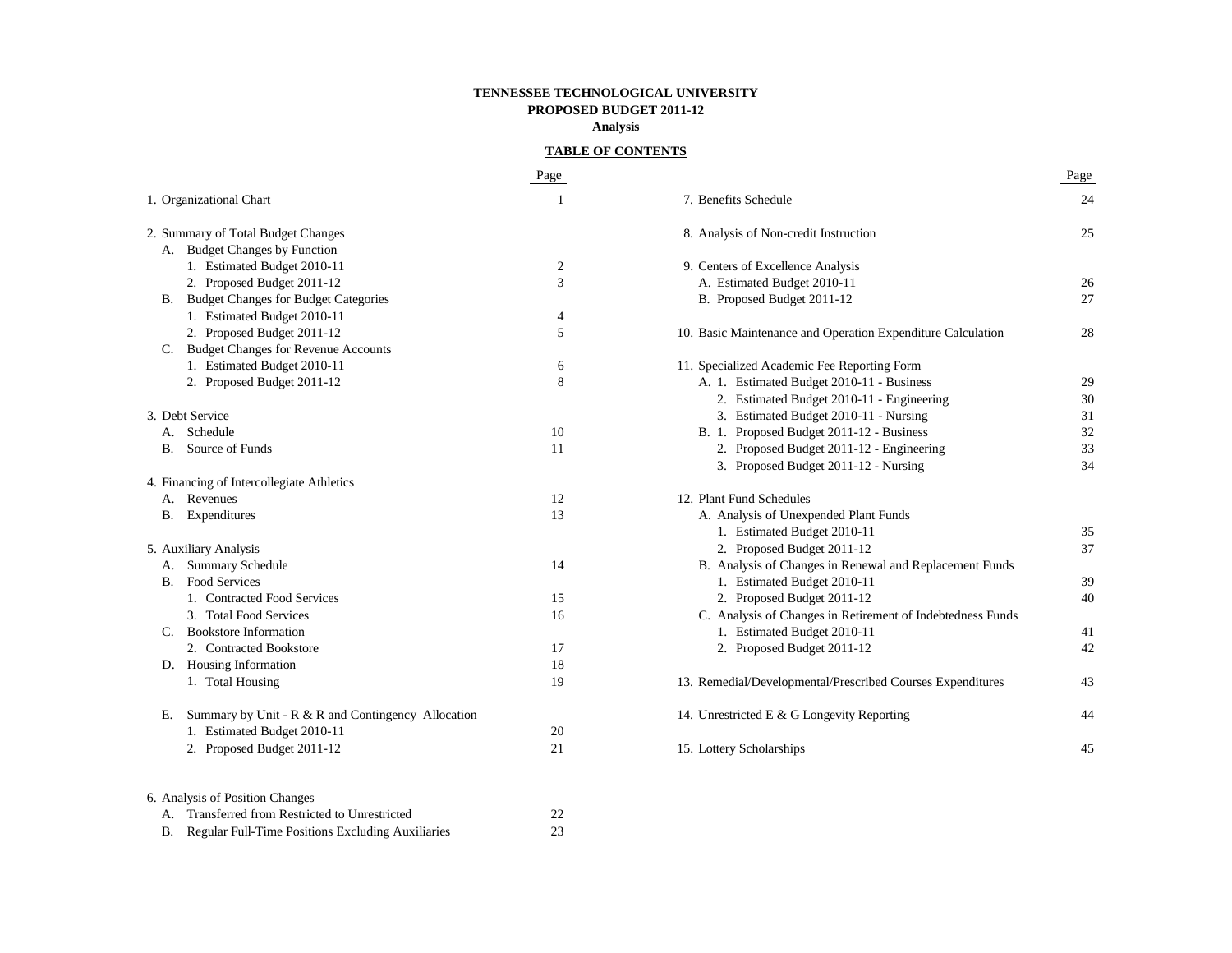### **TENNESSEE TECHNOLOGICAL UNIVERSITY PROPOSED BUDGET 2011-12 Analysis**

## **TABLE OF CONTENTS**

|    |                                                       | Page           |                                                             | Page |
|----|-------------------------------------------------------|----------------|-------------------------------------------------------------|------|
|    | 1. Organizational Chart                               | 1              | 7. Benefits Schedule                                        | 24   |
|    | 2. Summary of Total Budget Changes                    |                | 8. Analysis of Non-credit Instruction                       | 25   |
|    | A. Budget Changes by Function                         |                |                                                             |      |
|    | 1. Estimated Budget 2010-11                           | $\overline{2}$ | 9. Centers of Excellence Analysis                           |      |
|    | 2. Proposed Budget 2011-12                            | 3              | A. Estimated Budget 2010-11                                 | 26   |
|    | B. Budget Changes for Budget Categories               |                | B. Proposed Budget 2011-12                                  | 27   |
|    | 1. Estimated Budget 2010-11                           | 4              |                                                             |      |
|    | 2. Proposed Budget 2011-12                            | 5              | 10. Basic Maintenance and Operation Expenditure Calculation | 28   |
|    | C. Budget Changes for Revenue Accounts                |                |                                                             |      |
|    | 1. Estimated Budget 2010-11                           | 6              | 11. Specialized Academic Fee Reporting Form                 |      |
|    | 2. Proposed Budget 2011-12                            | 8              | A. 1. Estimated Budget 2010-11 - Business                   | 29   |
|    |                                                       |                | 2. Estimated Budget 2010-11 - Engineering                   | 30   |
|    | 3. Debt Service                                       |                | 3. Estimated Budget 2010-11 - Nursing                       | 31   |
|    | A. Schedule                                           | 10             | B. 1. Proposed Budget 2011-12 - Business                    | 32   |
|    | <b>B.</b> Source of Funds                             | 11             | 2. Proposed Budget 2011-12 - Engineering                    | 33   |
|    |                                                       |                | 3. Proposed Budget 2011-12 - Nursing                        | 34   |
|    | 4. Financing of Intercollegiate Athletics             |                |                                                             |      |
|    | A. Revenues                                           | 12             | 12. Plant Fund Schedules                                    |      |
|    | <b>B.</b> Expenditures                                | 13             | A. Analysis of Unexpended Plant Funds                       |      |
|    |                                                       |                | 1. Estimated Budget 2010-11                                 | 35   |
|    | 5. Auxiliary Analysis                                 |                | 2. Proposed Budget 2011-12                                  | 37   |
|    | A. Summary Schedule                                   | 14             | B. Analysis of Changes in Renewal and Replacement Funds     |      |
|    | <b>B.</b> Food Services                               |                | 1. Estimated Budget 2010-11                                 | 39   |
|    | 1. Contracted Food Services                           | 15             | 2. Proposed Budget 2011-12                                  | 40   |
|    | 3. Total Food Services                                | 16             | C. Analysis of Changes in Retirement of Indebtedness Funds  |      |
|    | C. Bookstore Information                              |                | 1. Estimated Budget 2010-11                                 | 41   |
|    | 2. Contracted Bookstore                               | 17             | 2. Proposed Budget 2011-12                                  | 42   |
|    | D. Housing Information                                | 18             |                                                             |      |
|    | 1. Total Housing                                      | 19             | 13. Remedial/Developmental/Prescribed Courses Expenditures  | 43   |
| Е. | Summary by Unit - $R \& R$ and Contingency Allocation |                | 14. Unrestricted E & G Longevity Reporting                  | 44   |
|    | 1. Estimated Budget 2010-11                           | 20             |                                                             |      |
|    | 2. Proposed Budget 2011-12                            | 21             | 15. Lottery Scholarships                                    | 45   |
|    | 6. Analysis of Position Changes                       |                |                                                             |      |
|    | A. Transferred from Restricted to Unrestricted        | 22             |                                                             |      |
|    | B. Regular Full-Time Positions Excluding Auxiliaries  | 23             |                                                             |      |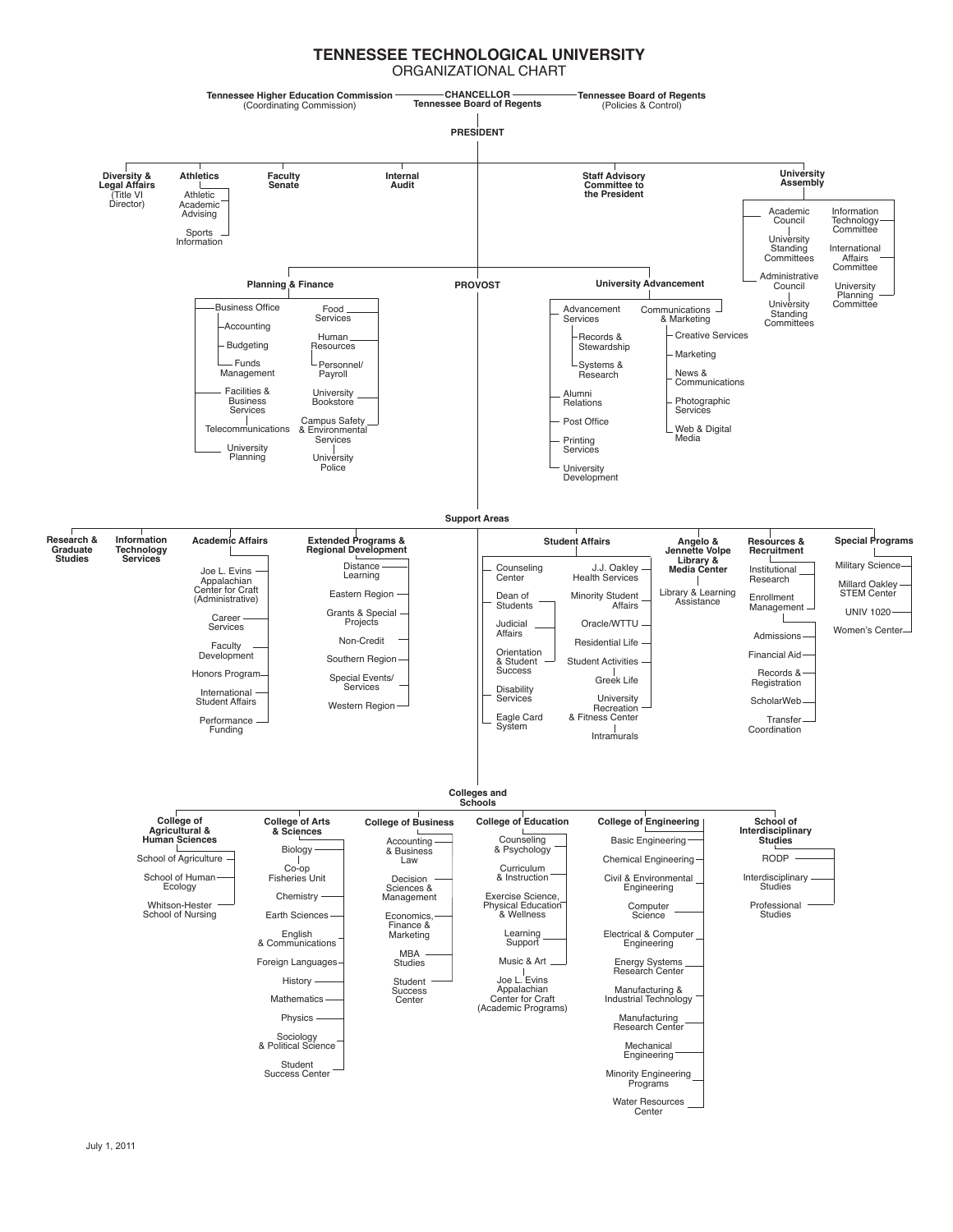#### **TENNESSEE TECHNOLOGICAL UNIVERSITY** ORGANIZATIONAL CHART

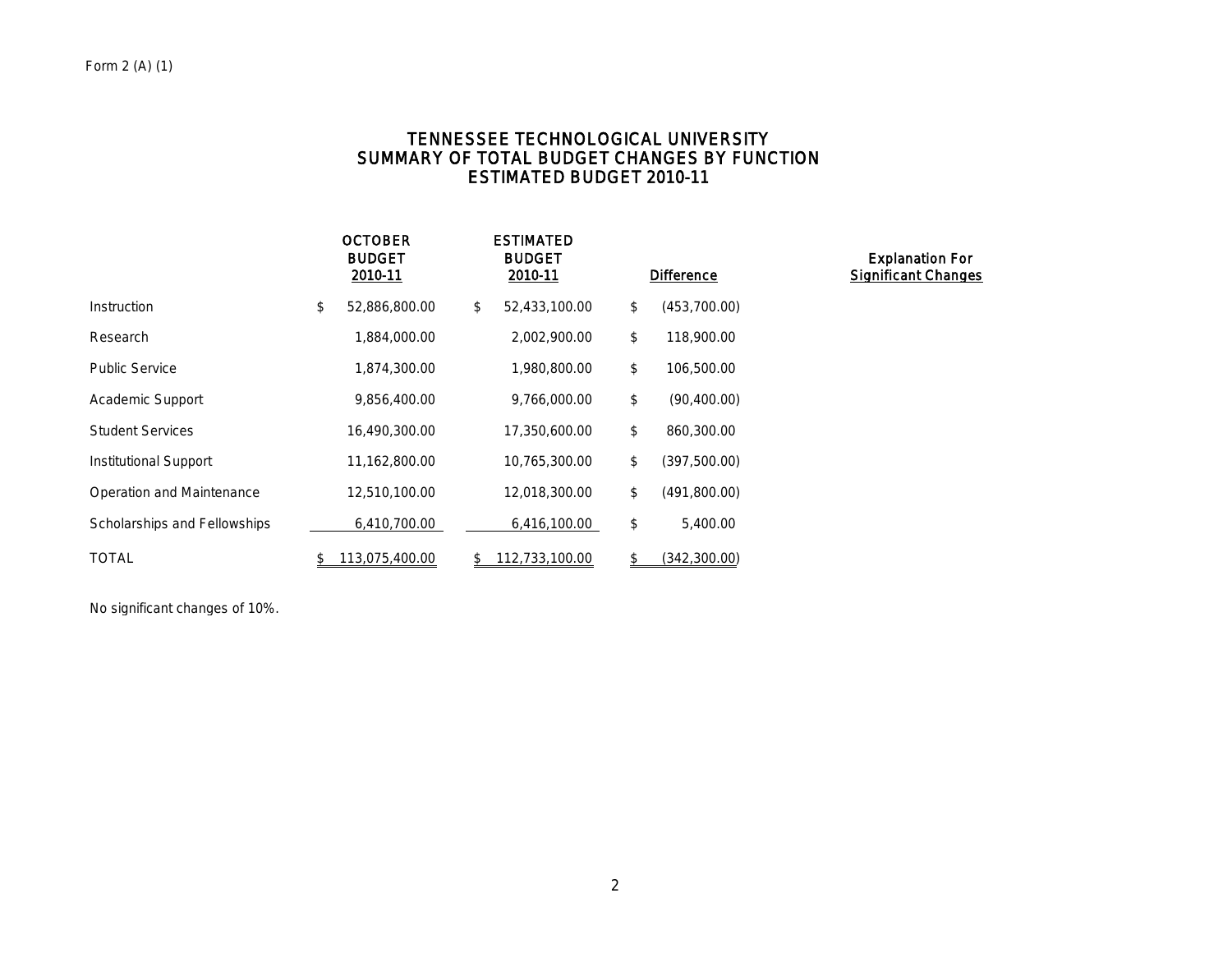# TENNESSEE TECHNOLOGICAL UNIVERSITY SUMMARY OF TOTAL BUDGET CHANGES BY FUNCTION ESTIMATED BUDGET 2010-11

|                              | <b>OCTOBER</b><br><b>BUDGET</b><br>2010-11 | <b>ESTIMATED</b><br><b>BUDGET</b><br>2010-11 | <b>Difference</b>   | <b>Explanation For</b><br><b>Significant Changes</b> |
|------------------------------|--------------------------------------------|----------------------------------------------|---------------------|------------------------------------------------------|
| Instruction                  | \$<br>52,886,800.00                        | \$<br>52,433,100.00                          | \$<br>(453,700.00)  |                                                      |
| Research                     | 1,884,000.00                               | 2,002,900.00                                 | \$<br>118,900.00    |                                                      |
| <b>Public Service</b>        | 1,874,300.00                               | 1,980,800.00                                 | \$<br>106,500.00    |                                                      |
| <b>Academic Support</b>      | 9,856,400.00                               | 9,766,000.00                                 | \$<br>(90, 400.00)  |                                                      |
| <b>Student Services</b>      | 16,490,300.00                              | 17,350,600.00                                | \$<br>860,300.00    |                                                      |
| Institutional Support        | 11,162,800.00                              | 10,765,300.00                                | \$<br>(397, 500.00) |                                                      |
| Operation and Maintenance    | 12,510,100.00                              | 12,018,300.00                                | \$<br>(491,800.00)  |                                                      |
| Scholarships and Fellowships | 6,410,700.00                               | 6,416,100.00                                 | \$<br>5,400.00      |                                                      |
| <b>TOTAL</b>                 | 113,075,400.00                             | \$<br>112,733,100.00                         | (342,300.00)        |                                                      |

No significant changes of 10%.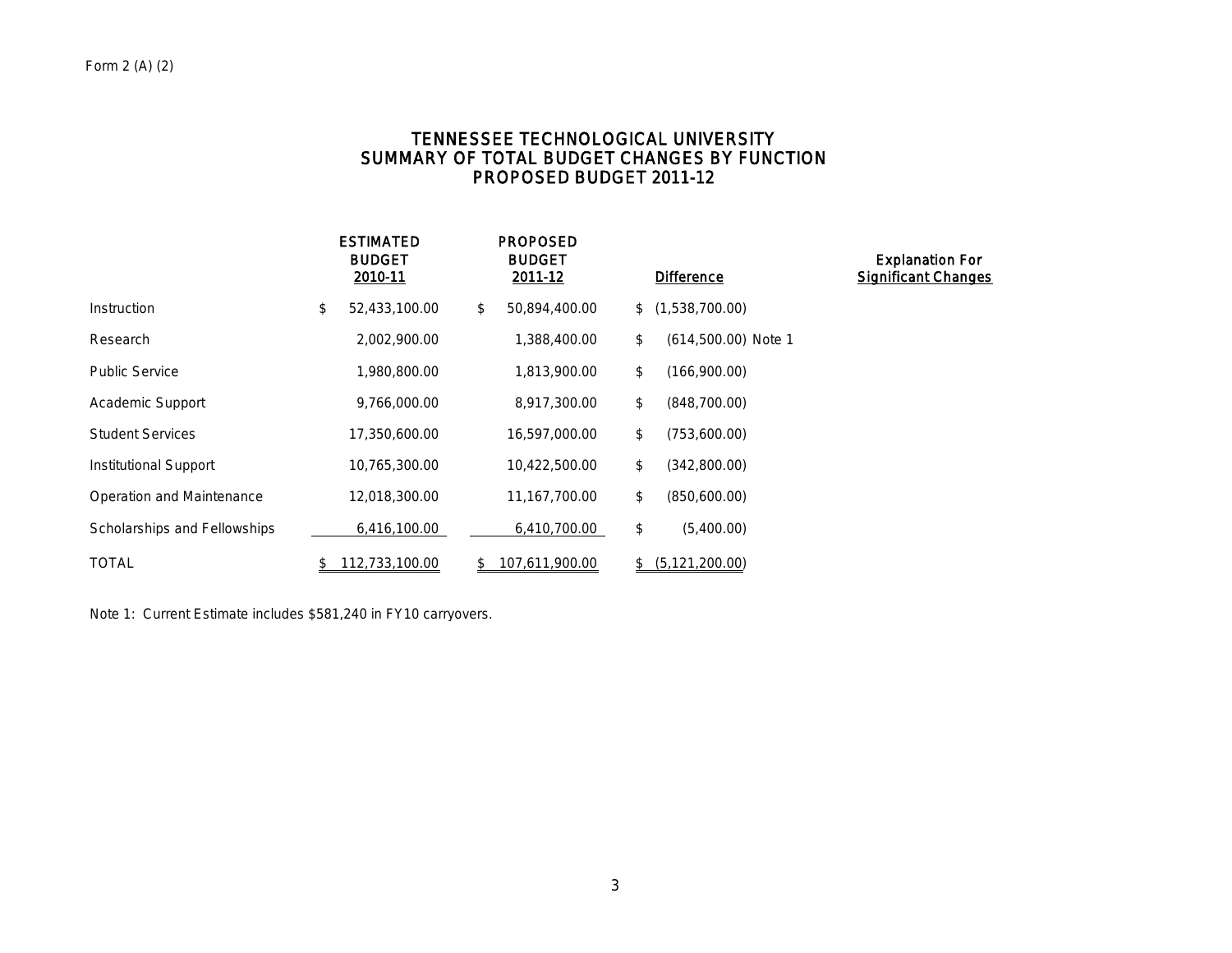# TENNESSEE TECHNOLOGICAL UNIVERSITY SUMMARY OF TOTAL BUDGET CHANGES BY FUNCTION PROPOSED BUDGET 2011-12

|                              | <b>ESTIMATED</b><br><b>BUDGET</b><br>2010-11 | <b>PROPOSED</b><br><b>BUDGET</b><br>2011-12 | <b>Difference</b>         | <b>Explanation For</b><br><b>Significant Changes</b> |
|------------------------------|----------------------------------------------|---------------------------------------------|---------------------------|------------------------------------------------------|
| Instruction                  | \$<br>52,433,100.00                          | \$<br>50,894,400.00                         | \$(1,538,700.00)          |                                                      |
| Research                     | 2,002,900.00                                 | 1,388,400.00                                | \$<br>(614,500.00) Note 1 |                                                      |
| <b>Public Service</b>        | 1,980,800.00                                 | 1,813,900.00                                | \$<br>(166,900.00)        |                                                      |
| Academic Support             | 9,766,000.00                                 | 8,917,300.00                                | \$<br>(848,700.00)        |                                                      |
| <b>Student Services</b>      | 17,350,600.00                                | 16,597,000.00                               | \$<br>(753,600.00)        |                                                      |
| Institutional Support        | 10,765,300.00                                | 10,422,500.00                               | \$<br>(342,800.00)        |                                                      |
| Operation and Maintenance    | 12,018,300.00                                | 11,167,700.00                               | \$<br>(850,600.00)        |                                                      |
| Scholarships and Fellowships | 6,416,100.00                                 | 6,410,700.00                                | \$<br>(5,400.00)          |                                                      |
| <b>TOTAL</b>                 | 112,733,100.00                               | \$<br>107,611,900.00                        | \$<br>(5, 121, 200.00)    |                                                      |

Note 1: Current Estimate includes \$581,240 in FY10 carryovers.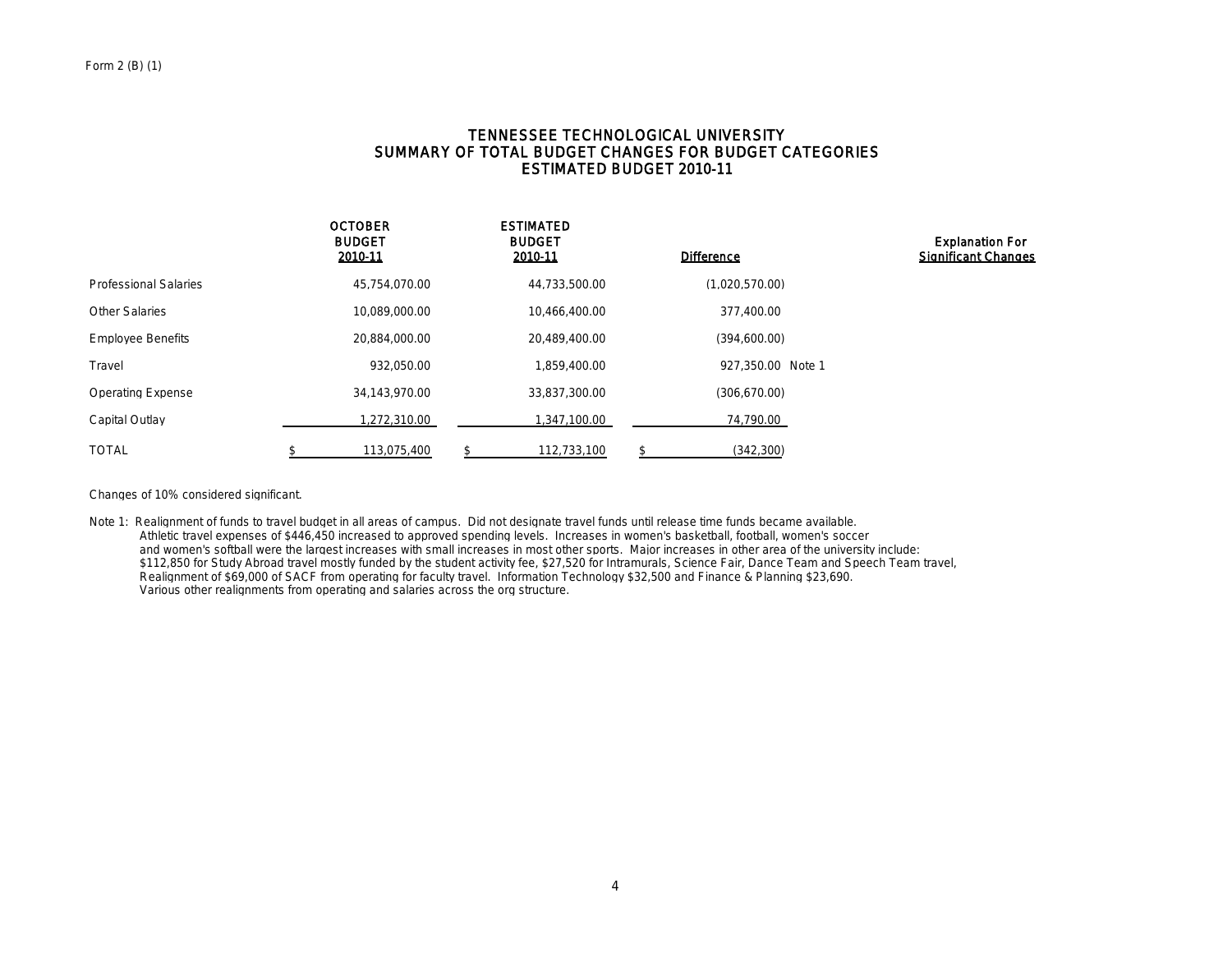## TENNESSEE TECHNOLOGICAL UNIVERSITY SUMMARY OF TOTAL BUDGET CHANGES FOR BUDGET CATEGORIES ESTIMATED BUDGET 2010-11

|                              | <b>OCTOBER</b><br><b>BUDGET</b><br>2010-11 | <b>ESTIMATED</b><br><b>BUDGET</b><br>2010-11 | <b>Difference</b> | <b>Explanation For</b><br><b>Significant Changes</b> |
|------------------------------|--------------------------------------------|----------------------------------------------|-------------------|------------------------------------------------------|
| <b>Professional Salaries</b> | 45.754.070.00                              | 44,733,500.00                                | (1,020,570.00)    |                                                      |
| <b>Other Salaries</b>        | 10,089,000.00                              | 10,466,400.00                                | 377,400.00        |                                                      |
| <b>Employee Benefits</b>     | 20,884,000.00                              | 20.489.400.00                                | (394,600.00)      |                                                      |
| Travel                       | 932.050.00                                 | 1,859,400.00                                 | 927,350.00 Note 1 |                                                      |
| <b>Operating Expense</b>     | 34.143.970.00                              | 33,837,300.00                                | (306, 670.00)     |                                                      |
| Capital Outlay               | 1,272,310.00                               | 1,347,100.00                                 | 74,790.00         |                                                      |
| <b>TOTAL</b>                 | 113.075.400                                | 112.733.100                                  | (342, 300)        |                                                      |

Changes of 10% considered significant.

Note 1: Realignment of funds to travel budget in all areas of campus. Did not designate travel funds until release time funds became available. Athletic travel expenses of \$446,450 increased to approved spending levels. Increases in women's basketball, football, women's soccer and women's softball were the largest increases with small increases in most other sports. Major increases in other area of the university include: \$112,850 for Study Abroad travel mostly funded by the student activity fee, \$27,520 for Intramurals, Science Fair, Dance Team and Speech Team travel, Realignment of \$69,000 of SACF from operating for faculty travel. Information Technology \$32,500 and Finance & Planning \$23,690. Various other realignments from operating and salaries across the org structure.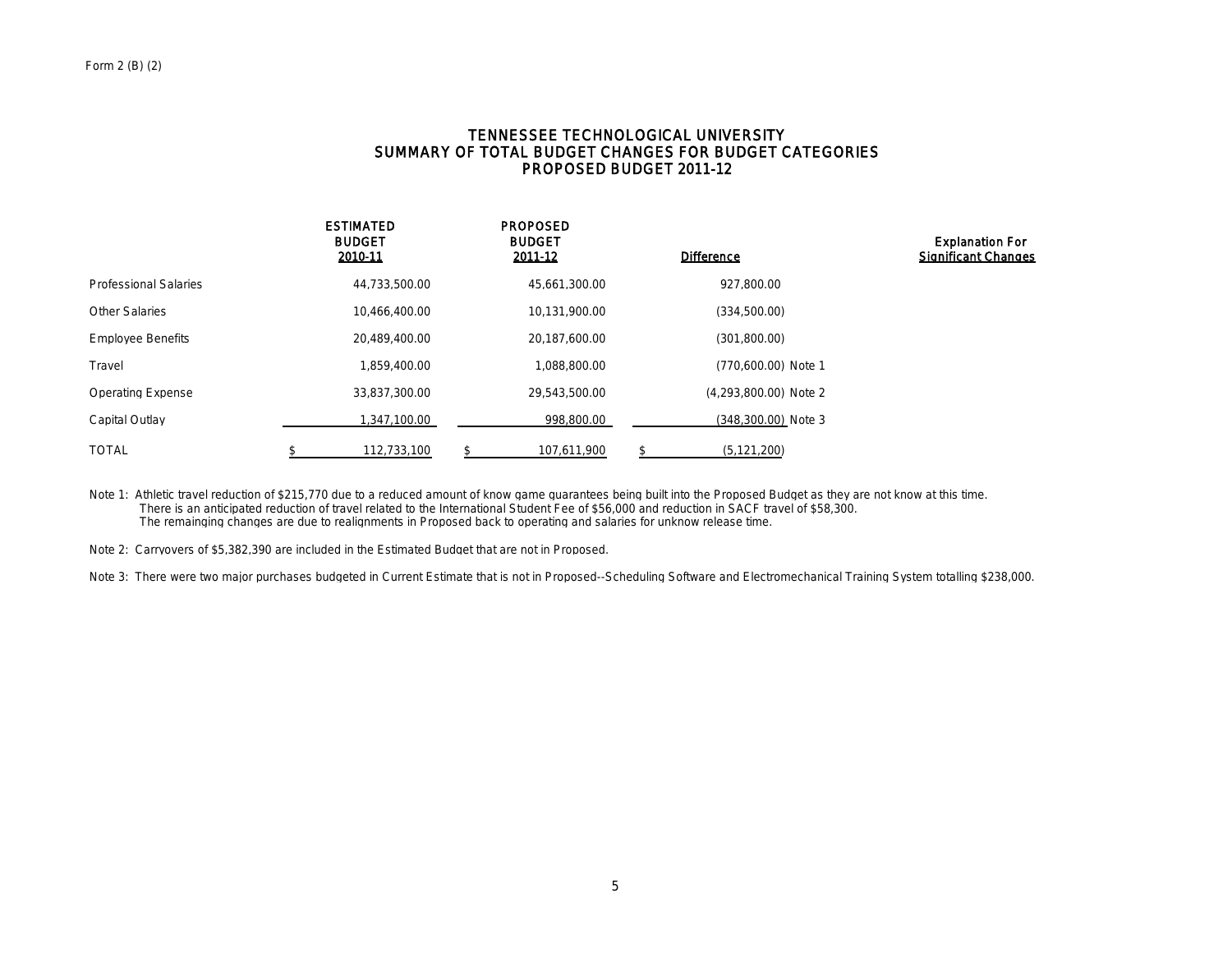## TENNESSEE TECHNOLOGICAL UNIVERSITY SUMMARY OF TOTAL BUDGET CHANGES FOR BUDGET CATEGORIES PROPOSED BUDGET 2011-12

|                              | <b>ESTIMATED</b><br><b>BUDGET</b><br>2010-11 | <b>PROPOSED</b><br><b>BUDGET</b><br>2011-12 | <b>Difference</b>     | <b>Explanation For</b><br><b>Significant Changes</b> |
|------------------------------|----------------------------------------------|---------------------------------------------|-----------------------|------------------------------------------------------|
| <b>Professional Salaries</b> | 44,733,500.00                                | 45,661,300.00                               | 927,800.00            |                                                      |
| <b>Other Salaries</b>        | 10,466,400.00                                | 10,131,900.00                               | (334,500.00)          |                                                      |
| <b>Employee Benefits</b>     | 20,489,400.00                                | 20,187,600.00                               | (301, 800.00)         |                                                      |
| Travel                       | 1.859.400.00                                 | 1,088,800.00                                | (770,600.00) Note 1   |                                                      |
| <b>Operating Expense</b>     | 33.837.300.00                                | 29.543.500.00                               | (4,293,800.00) Note 2 |                                                      |
| Capital Outlay               | 1,347,100.00                                 | 998.800.00                                  | (348,300.00) Note 3   |                                                      |
| TOTAL                        | 112.733.100                                  | 107.611.900                                 | (5, 121, 200)         |                                                      |

Note 1: Athletic travel reduction of \$215,770 due to a reduced amount of know game guarantees being built into the Proposed Budget as they are not know at this time. There is an anticipated reduction of travel related to the International Student Fee of \$56,000 and reduction in SACF travel of \$58,300. The remainging changes are due to realignments in Proposed back to operating and salaries for unknow release time.

Note 2: Carryovers of \$5,382,390 are included in the Estimated Budget that are not in Proposed.

Note 3: There were two major purchases budgeted in Current Estimate that is not in Proposed--Scheduling Software and Electromechanical Training System totalling \$238,000.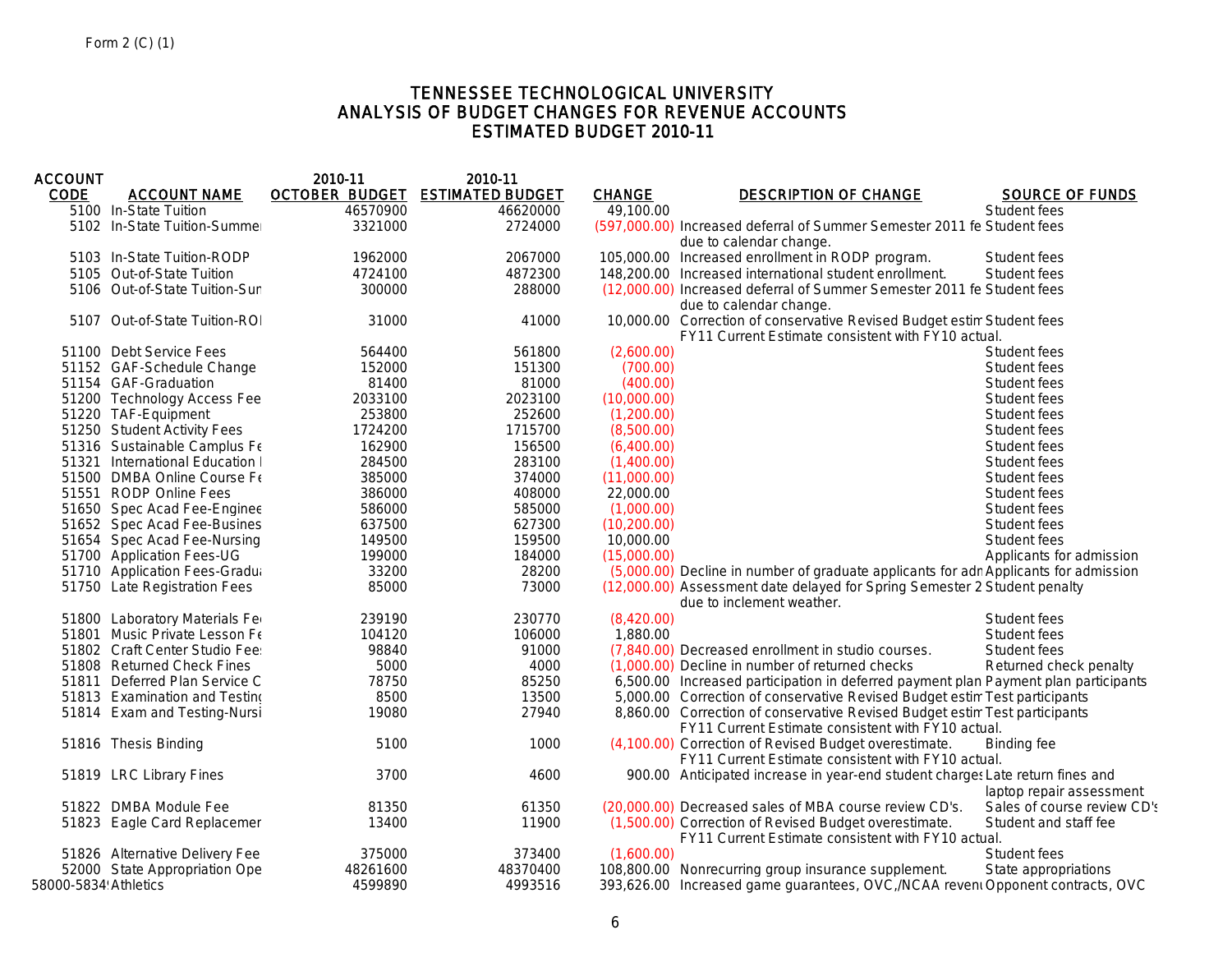# TENNESSEE TECHNOLOGICAL UNIVERSITY ANALYSIS OF BUDGET CHANGES FOR REVENUE ACCOUNTS ESTIMATED BUDGET 2010-11

| <b>ACCOUNT</b>       |                                 | 2010-11               | 2010-11                 |               |                                                                                                                                  |                             |
|----------------------|---------------------------------|-----------------------|-------------------------|---------------|----------------------------------------------------------------------------------------------------------------------------------|-----------------------------|
| <b>CODE</b>          | <b>ACCOUNT NAME</b>             | <b>OCTOBER BUDGET</b> | <b>ESTIMATED BUDGET</b> | <b>CHANGE</b> | <b>DESCRIPTION OF CHANGE</b>                                                                                                     | <b>SOURCE OF FUNDS</b>      |
|                      | 5100 In-State Tuition           | 46570900              | 46620000                | 49,100.00     |                                                                                                                                  | Student fees                |
|                      | 5102 In-State Tuition-Summer    | 3321000               | 2724000                 |               | (597,000.00) Increased deferral of Summer Semester 2011 fe Student fees                                                          |                             |
|                      |                                 |                       |                         |               | due to calendar change.                                                                                                          |                             |
|                      | 5103 In-State Tuition-RODP      | 1962000               | 2067000                 |               | 105,000.00 Increased enrollment in RODP program.                                                                                 | Student fees                |
|                      | 5105 Out-of-State Tuition       | 4724100               | 4872300                 |               | 148,200.00 Increased international student enrollment.                                                                           | Student fees                |
|                      | 5106 Out-of-State Tuition-Sun   | 300000                | 288000                  |               | (12,000.00) Increased deferral of Summer Semester 2011 fe Student fees<br>due to calendar change.                                |                             |
|                      | 5107 Out-of-State Tuition-ROI   | 31000                 | 41000                   |               | 10,000.00 Correction of conservative Revised Budget estin Student fees<br>FY11 Current Estimate consistent with FY10 actual.     |                             |
|                      | 51100 Debt Service Fees         | 564400                | 561800                  | (2.600.00)    |                                                                                                                                  | Student fees                |
|                      | 51152 GAF-Schedule Change       | 152000                | 151300                  | (700.00)      |                                                                                                                                  | Student fees                |
|                      | 51154 GAF-Graduation            | 81400                 | 81000                   | (400.00)      |                                                                                                                                  | Student fees                |
|                      | 51200 Technology Access Fee     | 2033100               | 2023100                 | (10,000.00)   |                                                                                                                                  | Student fees                |
|                      | 51220 TAF-Equipment             | 253800                | 252600                  | (1,200.00)    |                                                                                                                                  | Student fees                |
|                      | 51250 Student Activity Fees     | 1724200               | 1715700                 | (8,500.00)    |                                                                                                                                  | Student fees                |
|                      | 51316 Sustainable Camplus Fe    | 162900                | 156500                  | (6,400.00)    |                                                                                                                                  | Student fees                |
|                      | 51321 International Education I | 284500                | 283100                  | (1,400.00)    |                                                                                                                                  | Student fees                |
|                      | 51500 DMBA Online Course Fe     | 385000                | 374000                  | (11,000.00)   |                                                                                                                                  | Student fees                |
|                      | 51551 RODP Online Fees          | 386000                | 408000                  | 22,000.00     |                                                                                                                                  | Student fees                |
|                      | 51650 Spec Acad Fee-Enginee     | 586000                | 585000                  | (1,000.00)    |                                                                                                                                  | Student fees                |
|                      | 51652 Spec Acad Fee-Busines     | 637500                | 627300                  | (10, 200.00)  |                                                                                                                                  | Student fees                |
|                      | 51654 Spec Acad Fee-Nursing     | 149500                | 159500                  | 10,000.00     |                                                                                                                                  | Student fees                |
|                      | 51700 Application Fees-UG       | 199000                | 184000                  | (15,000.00)   |                                                                                                                                  | Applicants for admission    |
|                      | 51710 Application Fees-Gradua   | 33200                 | 28200                   |               | (5,000.00) Decline in number of graduate applicants for adn Applicants for admission                                             |                             |
|                      | 51750 Late Registration Fees    | 85000                 | 73000                   |               | (12,000.00) Assessment date delayed for Spring Semester 2 Student penalty                                                        |                             |
|                      |                                 |                       |                         |               | due to inclement weather.                                                                                                        |                             |
|                      | 51800 Laboratory Materials Fer  | 239190                | 230770                  | (8,420.00)    |                                                                                                                                  | Student fees                |
|                      | 51801 Music Private Lesson Fe   | 104120                | 106000                  | 1,880.00      |                                                                                                                                  | Student fees                |
|                      | 51802 Craft Center Studio Fee:  | 98840                 | 91000                   |               | (7,840.00) Decreased enrollment in studio courses.                                                                               | Student fees                |
|                      | 51808 Returned Check Fines      | 5000                  | 4000                    |               | (1,000.00) Decline in number of returned checks                                                                                  | Returned check penalty      |
|                      | 51811 Deferred Plan Service C   | 78750                 | 85250                   |               | 6,500.00 Increased participation in deferred payment plan Payment plan participants                                              |                             |
|                      | 51813 Examination and Testino   | 8500                  | 13500                   |               | 5,000.00 Correction of conservative Revised Budget estim Test participants                                                       |                             |
|                      | 51814 Exam and Testing-Nursi    | 19080                 | 27940                   |               | 8,860.00 Correction of conservative Revised Budget estim Test participants<br>FY11 Current Estimate consistent with FY10 actual. |                             |
|                      | 51816 Thesis Binding            | 5100                  | 1000                    |               | (4,100.00) Correction of Revised Budget overestimate.<br>FY11 Current Estimate consistent with FY10 actual.                      | <b>Binding fee</b>          |
|                      | 51819 LRC Library Fines         | 3700                  | 4600                    |               | 900.00 Anticipated increase in year-end student charges Late return fines and                                                    |                             |
|                      |                                 |                       |                         |               |                                                                                                                                  | laptop repair assessment    |
|                      | 51822 DMBA Module Fee           | 81350                 | 61350                   |               | (20,000.00) Decreased sales of MBA course review CD's.                                                                           | Sales of course review CD's |
|                      | 51823 Eagle Card Replacemer     | 13400                 | 11900                   |               | (1,500.00) Correction of Revised Budget overestimate.<br>FY11 Current Estimate consistent with FY10 actual.                      | Student and staff fee       |
|                      | 51826 Alternative Delivery Fee  | 375000                | 373400                  | (1,600.00)    |                                                                                                                                  | Student fees                |
|                      | 52000 State Appropriation Ope   | 48261600              | 48370400                |               | 108,800.00 Nonrecurring group insurance supplement.                                                                              | State appropriations        |
| 58000-5834 Athletics |                                 | 4599890               | 4993516                 |               | 393,626.00 Increased game guarantees, OVC, /NCAA revent Opponent contracts, OVC                                                  |                             |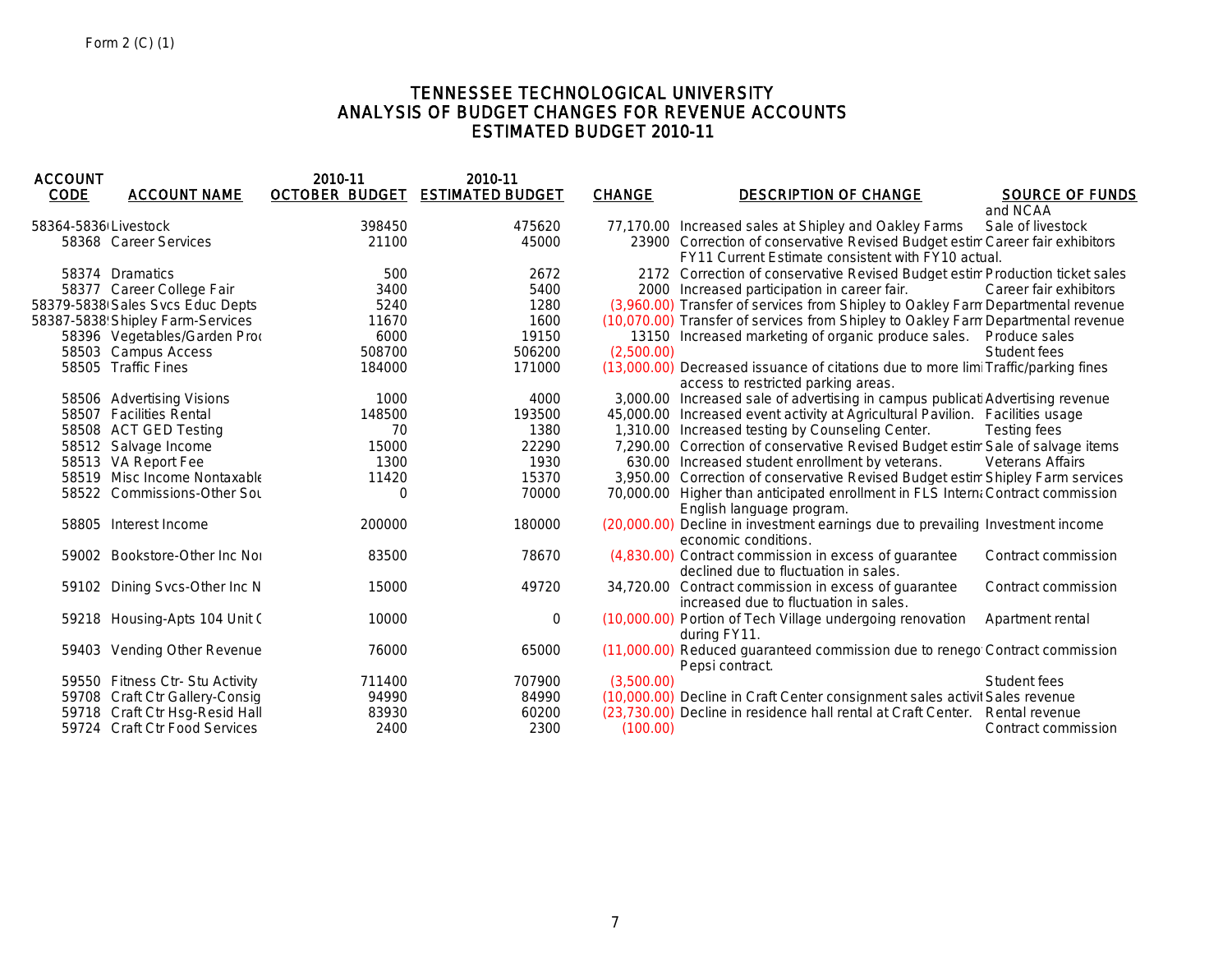# TENNESSEE TECHNOLOGICAL UNIVERSITY ANALYSIS OF BUDGET CHANGES FOR REVENUE ACCOUNTS ESTIMATED BUDGET 2010-11

| <b>ACCOUNT</b>       |                                  | 2010-11  | 2010-11                         |               |                                                                                    |                         |
|----------------------|----------------------------------|----------|---------------------------------|---------------|------------------------------------------------------------------------------------|-------------------------|
| <b>CODE</b>          | <b>ACCOUNT NAME</b>              |          | OCTOBER BUDGET ESTIMATED BUDGET | <b>CHANGE</b> | <b>DESCRIPTION OF CHANGE</b>                                                       | <b>SOURCE OF FUNDS</b>  |
|                      |                                  |          |                                 |               |                                                                                    | and NCAA                |
| 58364-5836 Livestock |                                  | 398450   | 475620                          |               | 77,170.00 Increased sales at Shipley and Oakley Farms                              | Sale of livestock       |
|                      | 58368 Career Services            | 21100    | 45000                           |               | 23900 Correction of conservative Revised Budget estim Career fair exhibitors       |                         |
|                      |                                  |          |                                 |               | FY11 Current Estimate consistent with FY10 actual.                                 |                         |
|                      | 58374 Dramatics                  | 500      | 2672                            |               | 2172 Correction of conservative Revised Budget estim Production ticket sales       |                         |
|                      | 58377 Career College Fair        | 3400     | 5400                            |               | 2000 Increased participation in career fair.                                       | Career fair exhibitors  |
|                      | 58379-5838 Sales Svcs Educ Depts | 5240     | 1280                            |               | (3,960.00) Transfer of services from Shipley to Oakley Farm Departmental revenue   |                         |
|                      | 58387-5838 Shipley Farm-Services | 11670    | 1600                            |               | (10,070.00) Transfer of services from Shipley to Oakley Farm Departmental revenue  |                         |
|                      | 58396 Vegetables/Garden Prod     | 6000     | 19150                           |               | 13150 Increased marketing of organic produce sales.                                | Produce sales           |
|                      | 58503 Campus Access              | 508700   | 506200                          | (2,500.00)    |                                                                                    | Student fees            |
|                      | 58505 Traffic Fines              | 184000   | 171000                          |               | (13,000.00) Decreased issuance of citations due to more limi Traffic/parking fines |                         |
|                      |                                  |          |                                 |               | access to restricted parking areas.                                                |                         |
|                      | 58506 Advertising Visions        | 1000     | 4000                            |               | 3,000.00 Increased sale of advertising in campus publicati Advertising revenue     |                         |
|                      | 58507 Facilities Rental          | 148500   | 193500                          |               | 45,000.00 Increased event activity at Agricultural Pavilion. Facilities usage      |                         |
|                      | 58508 ACT GED Testing            | 70       | 1380                            |               | 1,310.00 Increased testing by Counseling Center.                                   | Testing fees            |
|                      | 58512 Salvage Income             | 15000    | 22290                           |               | 7,290.00 Correction of conservative Revised Budget estim Sale of salvage items     |                         |
|                      | 58513 VA Report Fee              | 1300     | 1930                            |               | 630.00 Increased student enrollment by veterans.                                   | <b>Veterans Affairs</b> |
|                      | 58519 Misc Income Nontaxable     | 11420    | 15370                           |               | 3,950.00 Correction of conservative Revised Budget estim Shipley Farm services     |                         |
|                      | 58522 Commissions-Other Sou      | $\Omega$ | 70000                           |               | 70,000.00 Higher than anticipated enrollment in FLS Interna Contract commission    |                         |
|                      |                                  |          |                                 |               | English language program.                                                          |                         |
|                      | 58805 Interest Income            | 200000   | 180000                          |               | (20,000.00) Decline in investment earnings due to prevailing Investment income     |                         |
|                      |                                  |          |                                 |               | economic conditions.                                                               |                         |
|                      | 59002 Bookstore-Other Inc Nor    | 83500    | 78670                           |               | (4,830.00) Contract commission in excess of quarantee                              | Contract commission     |
|                      |                                  |          |                                 |               | declined due to fluctuation in sales.                                              |                         |
|                      | 59102 Dining Svcs-Other Inc N    | 15000    | 49720                           |               | 34,720.00 Contract commission in excess of guarantee                               | Contract commission     |
|                      |                                  |          |                                 |               | increased due to fluctuation in sales.                                             |                         |
|                      | 59218 Housing-Apts 104 Unit C    | 10000    | $\mathbf 0$                     |               | (10,000.00) Portion of Tech Village undergoing renovation                          | Apartment rental        |
|                      |                                  |          |                                 |               | during FY11.                                                                       |                         |
|                      | 59403 Vending Other Revenue      | 76000    | 65000                           |               | (11,000.00) Reduced guaranteed commission due to renego Contract commission        |                         |
|                      |                                  |          |                                 |               | Pepsi contract.                                                                    |                         |
|                      | 59550 Fitness Ctr- Stu Activity  | 711400   | 707900                          | (3,500.00)    |                                                                                    | Student fees            |
|                      | 59708 Craft Ctr Gallery-Consig   | 94990    | 84990                           |               | (10,000.00) Decline in Craft Center consignment sales activit Sales revenue        |                         |
|                      | 59718 Craft Ctr Hsq-Resid Hall   | 83930    | 60200                           |               | (23,730.00) Decline in residence hall rental at Craft Center. Rental revenue       |                         |
|                      | 59724 Craft Ctr Food Services    | 2400     | 2300                            | (100.00)      |                                                                                    | Contract commission     |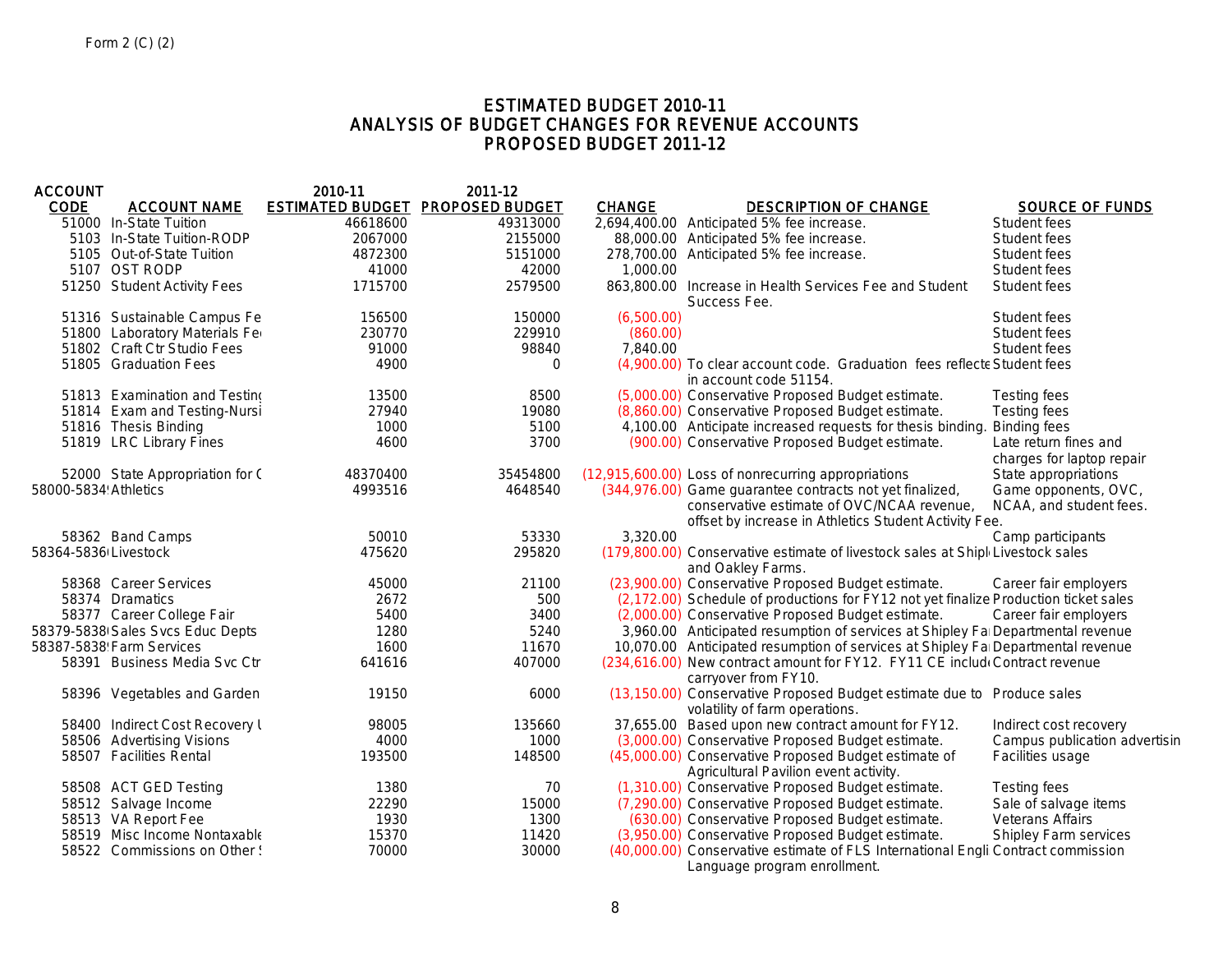# ESTIMATED BUDGET 2010-11 ANALYSIS OF BUDGET CHANGES FOR REVENUE ACCOUNTS PROPOSED BUDGET 2011-12

| <b>ACCOUNT</b>       |                                  | 2010-11  | 2011-12                          |               |                                                                                                                                                                 |                                                    |
|----------------------|----------------------------------|----------|----------------------------------|---------------|-----------------------------------------------------------------------------------------------------------------------------------------------------------------|----------------------------------------------------|
| <b>CODE</b>          | <b>ACCOUNT NAME</b>              |          | ESTIMATED BUDGET PROPOSED BUDGET | <b>CHANGE</b> | <b>DESCRIPTION OF CHANGE</b>                                                                                                                                    | <b>SOURCE OF FUNDS</b>                             |
|                      | 51000 In-State Tuition           | 46618600 | 49313000                         |               | 2,694,400.00 Anticipated 5% fee increase.                                                                                                                       | Student fees                                       |
|                      | 5103 In-State Tuition-RODP       | 2067000  | 2155000                          |               | 88,000.00 Anticipated 5% fee increase.                                                                                                                          | Student fees                                       |
|                      | 5105 Out-of-State Tuition        | 4872300  | 5151000                          |               | 278,700.00 Anticipated 5% fee increase.                                                                                                                         | Student fees                                       |
|                      | 5107 OST RODP                    | 41000    | 42000                            | 1,000.00      |                                                                                                                                                                 | Student fees                                       |
|                      | 51250 Student Activity Fees      | 1715700  | 2579500                          |               | 863,800.00 Increase in Health Services Fee and Student<br>Success Fee.                                                                                          | Student fees                                       |
|                      | 51316 Sustainable Campus Fe      | 156500   | 150000                           | (6,500.00)    |                                                                                                                                                                 | Student fees                                       |
|                      | 51800 Laboratory Materials Fer   | 230770   | 229910                           | (860.00)      |                                                                                                                                                                 | Student fees                                       |
|                      | 51802 Craft Ctr Studio Fees      | 91000    | 98840                            | 7.840.00      |                                                                                                                                                                 | Student fees                                       |
|                      | 51805 Graduation Fees            | 4900     | $\mathbf 0$                      |               | (4,900.00) To clear account code. Graduation fees reflecte Student fees<br>in account code 51154.                                                               |                                                    |
|                      | 51813 Examination and Testino    | 13500    | 8500                             |               | (5,000.00) Conservative Proposed Budget estimate.                                                                                                               | Testing fees                                       |
|                      | 51814 Exam and Testing-Nursi     | 27940    | 19080                            |               | (8,860.00) Conservative Proposed Budget estimate.                                                                                                               | <b>Testing fees</b>                                |
|                      | 51816 Thesis Binding             | 1000     | 5100                             |               | 4,100.00 Anticipate increased requests for thesis binding                                                                                                       | <b>Binding fees</b>                                |
|                      | 51819 LRC Library Fines          | 4600     | 3700                             |               | (900.00) Conservative Proposed Budget estimate.                                                                                                                 | Late return fines and<br>charges for laptop repair |
|                      | 52000 State Appropriation for C  | 48370400 | 35454800                         |               | (12,915,600.00) Loss of nonrecurring appropriations                                                                                                             | State appropriations                               |
| 58000-5834 Athletics |                                  | 4993516  | 4648540                          |               | (344,976.00) Game guarantee contracts not yet finalized,<br>conservative estimate of OVC/NCAA revenue,<br>offset by increase in Athletics Student Activity Fee. | Game opponents, OVC,<br>NCAA, and student fees.    |
|                      | 58362 Band Camps                 | 50010    | 53330                            | 3,320.00      |                                                                                                                                                                 | Camp participants                                  |
| 58364-5836 Livestock |                                  | 475620   | 295820                           |               | (179,800.00) Conservative estimate of livestock sales at Shipl Livestock sales<br>and Oakley Farms.                                                             |                                                    |
|                      | 58368 Career Services            | 45000    | 21100                            |               | (23,900.00) Conservative Proposed Budget estimate.                                                                                                              | Career fair employers                              |
|                      | 58374 Dramatics                  | 2672     | 500                              |               | (2,172.00) Schedule of productions for FY12 not yet finalize Production ticket sales                                                                            |                                                    |
|                      | 58377 Career College Fair        | 5400     | 3400                             |               | (2,000.00) Conservative Proposed Budget estimate.                                                                                                               | Career fair employers                              |
|                      | 58379-5838 Sales Svcs Educ Depts | 1280     | 5240                             |               | 3,960.00 Anticipated resumption of services at Shipley Fa Departmental revenue                                                                                  |                                                    |
|                      | 58387-5838 Farm Services         | 1600     | 11670                            |               | 10,070.00 Anticipated resumption of services at Shipley Fa Departmental revenue                                                                                 |                                                    |
|                      | 58391 Business Media Svc Ctr     | 641616   | 407000                           |               | (234,616.00) New contract amount for FY12. FY11 CE include Contract revenue<br>carryover from FY10.                                                             |                                                    |
|                      | 58396 Vegetables and Garden      | 19150    | 6000                             |               | (13,150.00) Conservative Proposed Budget estimate due to Produce sales<br>volatility of farm operations.                                                        |                                                    |
|                      | 58400 Indirect Cost Recovery I   | 98005    | 135660                           |               | 37,655.00 Based upon new contract amount for FY12.                                                                                                              | Indirect cost recovery                             |
|                      | 58506 Advertising Visions        | 4000     | 1000                             |               | (3,000.00) Conservative Proposed Budget estimate.                                                                                                               | Campus publication advertisin                      |
|                      | 58507 Facilities Rental          | 193500   | 148500                           |               | (45,000.00) Conservative Proposed Budget estimate of<br>Agricultural Pavilion event activity.                                                                   | Facilities usage                                   |
|                      | 58508 ACT GED Testing            | 1380     | 70                               |               | (1,310.00) Conservative Proposed Budget estimate.                                                                                                               | <b>Testing fees</b>                                |
|                      | 58512 Salvage Income             | 22290    | 15000                            |               | (7,290.00) Conservative Proposed Budget estimate.                                                                                                               | Sale of salvage items                              |
|                      | 58513 VA Report Fee              | 1930     | 1300                             |               | (630.00) Conservative Proposed Budget estimate.                                                                                                                 | <b>Veterans Affairs</b>                            |
|                      | 58519 Misc Income Nontaxable     | 15370    | 11420                            |               | (3,950.00) Conservative Proposed Budget estimate.                                                                                                               | <b>Shipley Farm services</b>                       |
|                      | 58522 Commissions on Other !     | 70000    | 30000                            |               | (40,000.00) Conservative estimate of FLS International Engli Contract commission<br>Language program enrollment.                                                |                                                    |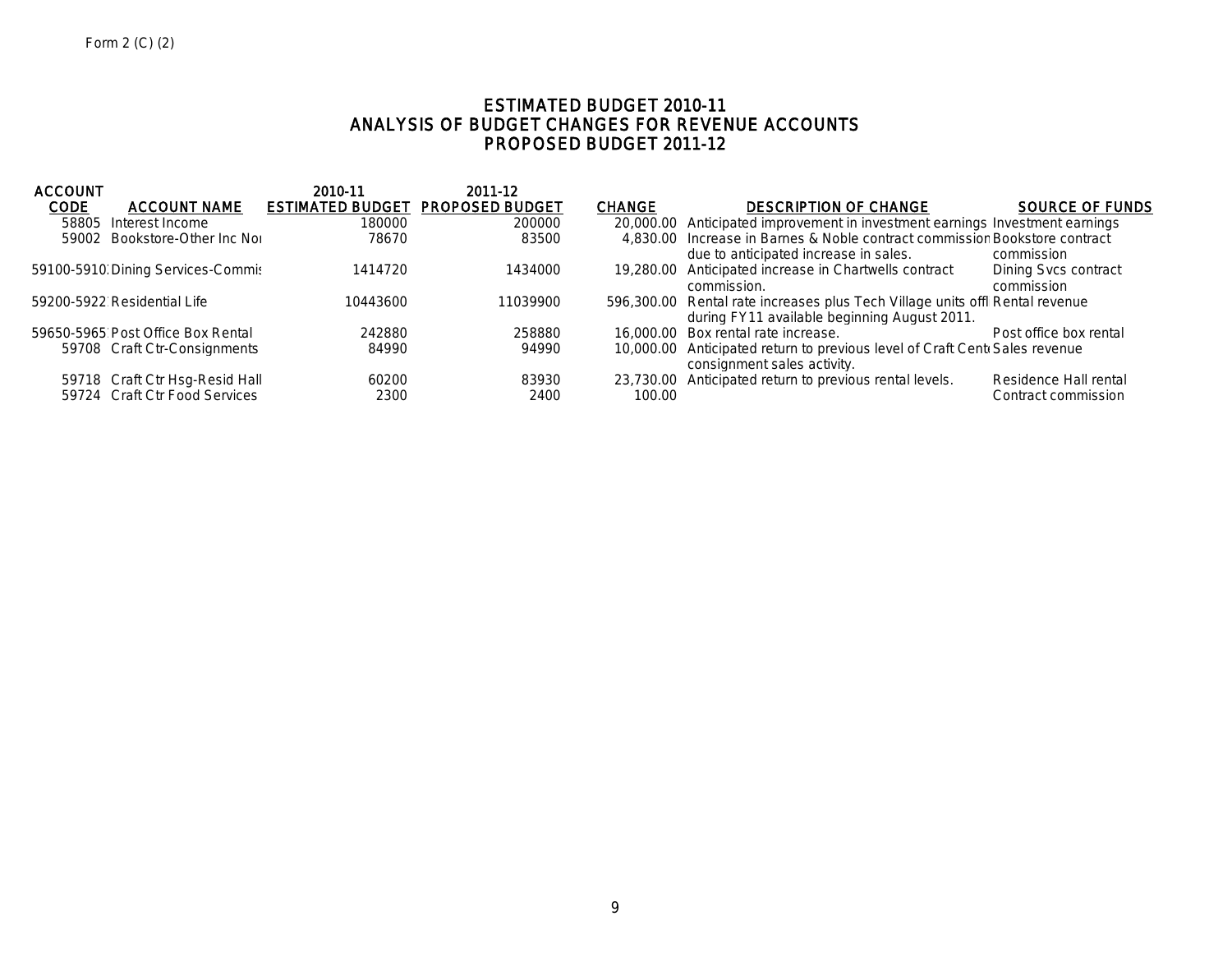# ESTIMATED BUDGET 2010-11 ANALYSIS OF BUDGET CHANGES FOR REVENUE ACCOUNTS PROPOSED BUDGET 2011-12

|                                   | 2010-11  | 2011-12                                                                                                                              |                                         |                                              |                                                                                                                                                                                                                                                                                                                                                                                                                                                                                     |
|-----------------------------------|----------|--------------------------------------------------------------------------------------------------------------------------------------|-----------------------------------------|----------------------------------------------|-------------------------------------------------------------------------------------------------------------------------------------------------------------------------------------------------------------------------------------------------------------------------------------------------------------------------------------------------------------------------------------------------------------------------------------------------------------------------------------|
| <b>ACCOUNT NAME</b>               |          |                                                                                                                                      | <b>CHANGE</b>                           | <b>DESCRIPTION OF CHANGE</b>                 | <b>SOURCE OF FUNDS</b>                                                                                                                                                                                                                                                                                                                                                                                                                                                              |
| Interest Income                   | 180000   | 200000                                                                                                                               |                                         |                                              |                                                                                                                                                                                                                                                                                                                                                                                                                                                                                     |
|                                   | 78670    | 83500                                                                                                                                |                                         | due to anticipated increase in sales.        | commission                                                                                                                                                                                                                                                                                                                                                                                                                                                                          |
|                                   | 1414720  | 1434000                                                                                                                              |                                         | commission.                                  | Dining Sycs contract<br>commission                                                                                                                                                                                                                                                                                                                                                                                                                                                  |
| 59200-5922 Residential Life       | 10443600 | 11039900                                                                                                                             |                                         | during FY11 available beginning August 2011. |                                                                                                                                                                                                                                                                                                                                                                                                                                                                                     |
| 59650-5965 Post Office Box Rental | 242880   | 258880                                                                                                                               |                                         |                                              | Post office box rental                                                                                                                                                                                                                                                                                                                                                                                                                                                              |
|                                   | 84990    | 94990                                                                                                                                |                                         | consignment sales activity.                  |                                                                                                                                                                                                                                                                                                                                                                                                                                                                                     |
|                                   | 60200    | 83930                                                                                                                                |                                         |                                              | Residence Hall rental                                                                                                                                                                                                                                                                                                                                                                                                                                                               |
| 59724 Craft Ctr Food Services     | 2300     | 2400                                                                                                                                 | 100.00                                  |                                              | Contract commission                                                                                                                                                                                                                                                                                                                                                                                                                                                                 |
|                                   |          | 59002 Bookstore-Other Inc Nor<br>59100-5910 Dining Services-Commis<br>59708 Craft Ctr-Consignments<br>59718 Craft Ctr Hsg-Resid Hall | <b>ESTIMATED BUDGET PROPOSED BUDGET</b> |                                              | 20,000.00 Anticipated improvement in investment earnings Investment earnings<br>4,830.00 Increase in Barnes & Noble contract commissior Bookstore contract<br>19,280.00 Anticipated increase in Chartwells contract<br>596,300.00 Rental rate increases plus Tech Village units offl Rental revenue<br>16,000.00 Box rental rate increase.<br>10,000.00 Anticipated return to previous level of Craft Cent Sales revenue<br>23,730.00 Anticipated return to previous rental levels. |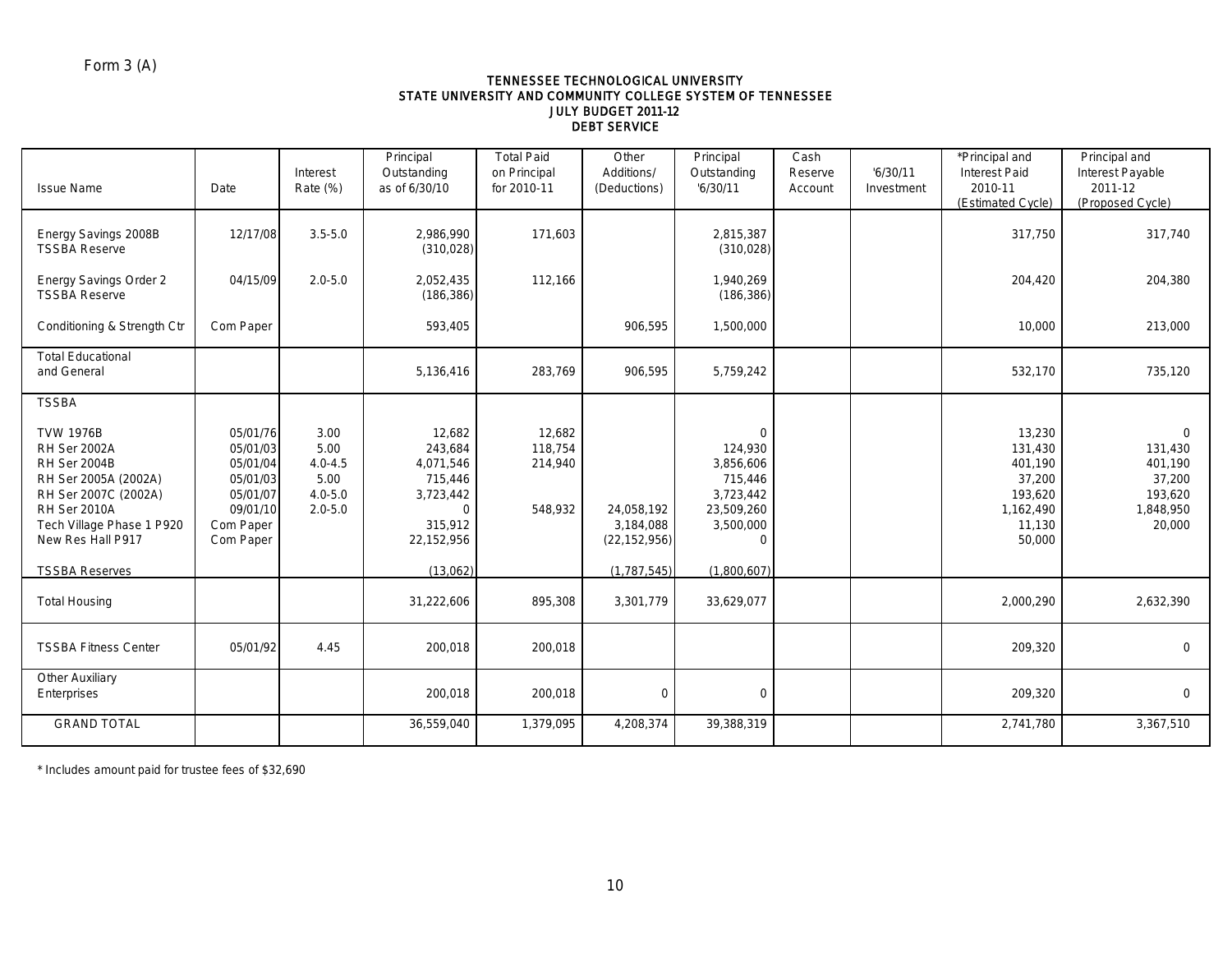### TENNESSEE TECHNOLOGICAL UNIVERSITY STATE UNIVERSITY AND COMMUNITY COLLEGE SYSTEM OF TENNESSEE JULY BUDGET 2011-12 DEBT SERVICE

| <b>Issue Name</b>                                                                                                                                                                | Date                                                                                           | Interest<br>Rate (%)                                              | Principal<br>Outstanding<br>as of 6/30/10                                                   | <b>Total Paid</b><br>on Principal<br>for 2010-11 | Other<br>Additions/<br>(Deductions)       | Principal<br>Outstanding<br>16/30/11                                                               | Cash<br>Reserve<br>Account | '6/30/11<br>Investment | *Principal and<br><b>Interest Paid</b><br>2010-11<br>(Estimated Cycle)             | Principal and<br>Interest Payable<br>2011-12<br>(Proposed Cycle)              |
|----------------------------------------------------------------------------------------------------------------------------------------------------------------------------------|------------------------------------------------------------------------------------------------|-------------------------------------------------------------------|---------------------------------------------------------------------------------------------|--------------------------------------------------|-------------------------------------------|----------------------------------------------------------------------------------------------------|----------------------------|------------------------|------------------------------------------------------------------------------------|-------------------------------------------------------------------------------|
| Energy Savings 2008B<br><b>TSSBA Reserve</b>                                                                                                                                     | 12/17/08                                                                                       | $3.5 - 5.0$                                                       | 2,986,990<br>(310, 028)                                                                     | 171,603                                          |                                           | 2,815,387<br>(310, 028)                                                                            |                            |                        | 317,750                                                                            | 317,740                                                                       |
| Energy Savings Order 2<br><b>TSSBA Reserve</b>                                                                                                                                   | 04/15/09                                                                                       | $2.0 - 5.0$                                                       | 2,052,435<br>(186, 386)                                                                     | 112,166                                          |                                           | 1,940,269<br>(186, 386)                                                                            |                            |                        | 204,420                                                                            | 204,380                                                                       |
| Conditioning & Strength Ctr                                                                                                                                                      | Com Paper                                                                                      |                                                                   | 593,405                                                                                     |                                                  | 906,595                                   | 1,500,000                                                                                          |                            |                        | 10,000                                                                             | 213,000                                                                       |
| <b>Total Educational</b><br>and General                                                                                                                                          |                                                                                                |                                                                   | 5,136,416                                                                                   | 283,769                                          | 906,595                                   | 5,759,242                                                                                          |                            |                        | 532,170                                                                            | 735,120                                                                       |
| <b>TSSBA</b>                                                                                                                                                                     |                                                                                                |                                                                   |                                                                                             |                                                  |                                           |                                                                                                    |                            |                        |                                                                                    |                                                                               |
| <b>TVW 1976B</b><br><b>RH Ser 2002A</b><br>RH Ser 2004B<br>RH Ser 2005A (2002A)<br>RH Ser 2007C (2002A)<br><b>RH Ser 2010A</b><br>Tech Village Phase 1 P920<br>New Res Hall P917 | 05/01/76<br>05/01/03<br>05/01/04<br>05/01/03<br>05/01/07<br>09/01/10<br>Com Paper<br>Com Paper | 3.00<br>5.00<br>$4.0 - 4.5$<br>5.00<br>$4.0 - 5.0$<br>$2.0 - 5.0$ | 12,682<br>243,684<br>4,071,546<br>715,446<br>3,723,442<br>$\Omega$<br>315,912<br>22,152,956 | 12,682<br>118,754<br>214,940<br>548,932          | 24,058,192<br>3,184,088<br>(22, 152, 956) | $\mathbf 0$<br>124,930<br>3,856,606<br>715,446<br>3,723,442<br>23,509,260<br>3,500,000<br>$\Omega$ |                            |                        | 13,230<br>131,430<br>401,190<br>37,200<br>193,620<br>1,162,490<br>11,130<br>50,000 | $\mathbf 0$<br>131,430<br>401.190<br>37,200<br>193,620<br>1,848,950<br>20,000 |
| <b>TSSBA Reserves</b>                                                                                                                                                            |                                                                                                |                                                                   | (13,062)                                                                                    |                                                  | (1, 787, 545)                             | (1,800,607)                                                                                        |                            |                        |                                                                                    |                                                                               |
| <b>Total Housing</b>                                                                                                                                                             |                                                                                                |                                                                   | 31,222,606                                                                                  | 895,308                                          | 3,301,779                                 | 33,629,077                                                                                         |                            |                        | 2,000,290                                                                          | 2,632,390                                                                     |
| <b>TSSBA Fitness Center</b>                                                                                                                                                      | 05/01/92                                                                                       | 4.45                                                              | 200,018                                                                                     | 200,018                                          |                                           |                                                                                                    |                            |                        | 209,320                                                                            | $\Omega$                                                                      |
| <b>Other Auxiliary</b><br>Enterprises                                                                                                                                            |                                                                                                |                                                                   | 200,018                                                                                     | 200,018                                          | $\mathbf 0$                               | $\mathbf 0$                                                                                        |                            |                        | 209,320                                                                            | $\mathbf 0$                                                                   |
| <b>GRAND TOTAL</b>                                                                                                                                                               |                                                                                                |                                                                   | 36,559,040                                                                                  | 1,379,095                                        | 4,208,374                                 | 39,388,319                                                                                         |                            |                        | 2,741,780                                                                          | 3,367,510                                                                     |

\* Includes amount paid for trustee fees of \$32,690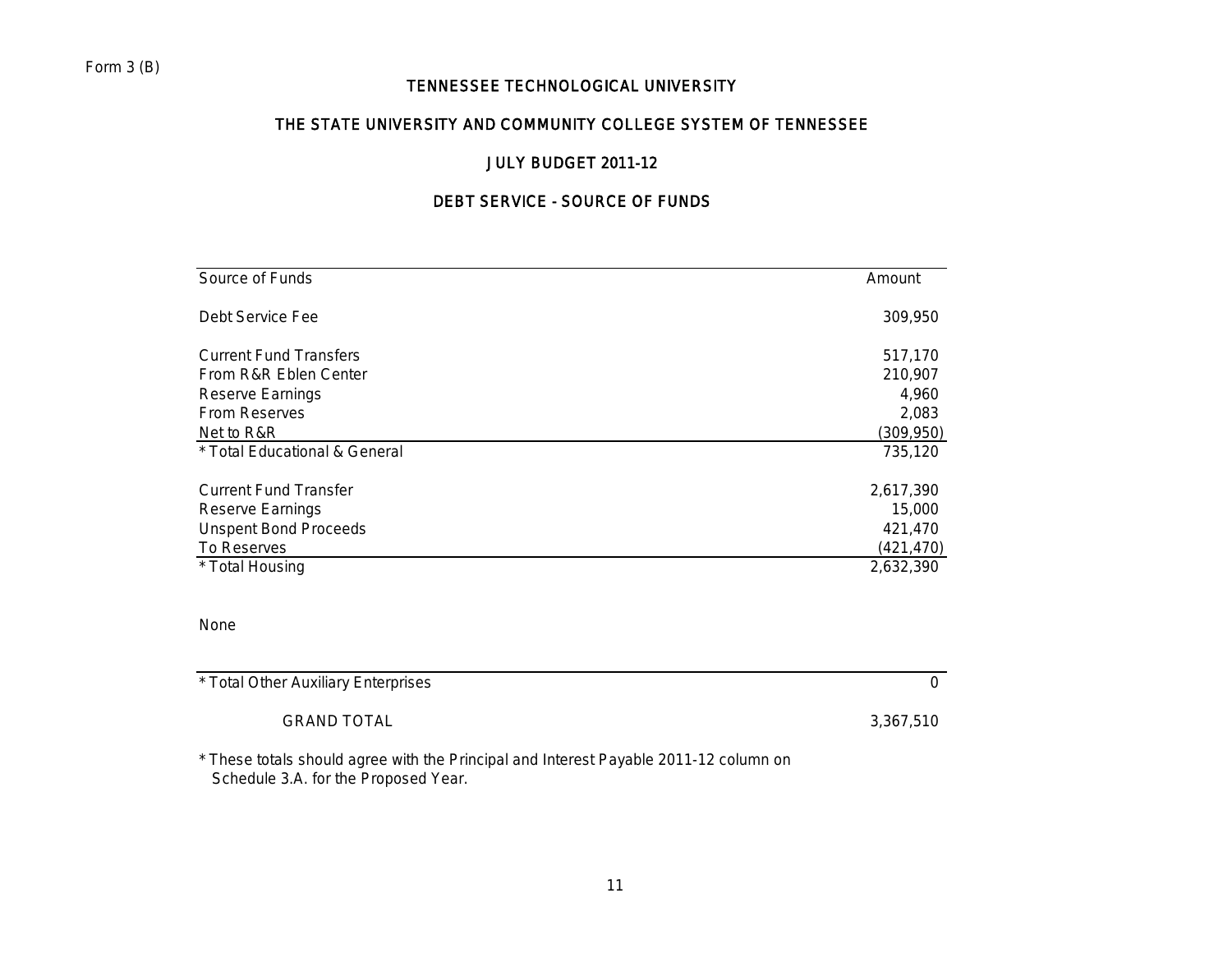# THE STATE UNIVERSITY AND COMMUNITY COLLEGE SYSTEM OF TENNESSEE

# JULY BUDGET 2011-12

# DEBT SERVICE - SOURCE OF FUNDS

| Source of Funds               | Amount     |
|-------------------------------|------------|
| Debt Service Fee              | 309,950    |
| <b>Current Fund Transfers</b> | 517,170    |
| From R&R Eblen Center         | 210,907    |
| Reserve Earnings              | 4,960      |
| <b>From Reserves</b>          | 2,083      |
| Net to R&R                    | (309, 950) |
| * Total Educational & General | 735,120    |
| <b>Current Fund Transfer</b>  | 2,617,390  |
| Reserve Earnings              | 15,000     |
| <b>Unspent Bond Proceeds</b>  | 421,470    |
| To Reserves                   | (421, 470) |
| * Total Housing               | 2,632,390  |
|                               |            |
| <b>None</b>                   |            |

| None |  |
|------|--|
|      |  |

| * Total Other Auxiliary Enterprises                      |           |
|----------------------------------------------------------|-----------|
| <b>GRAND TOTAL</b>                                       | 3,367,510 |
| $\sim$ $\sim$ $\sim$<br>.<br>.<br>_ _ _ _<br>.<br>______ |           |

\* These totals should agree with the Principal and Interest Payable 2011-12 column on Schedule 3.A. for the Proposed Year.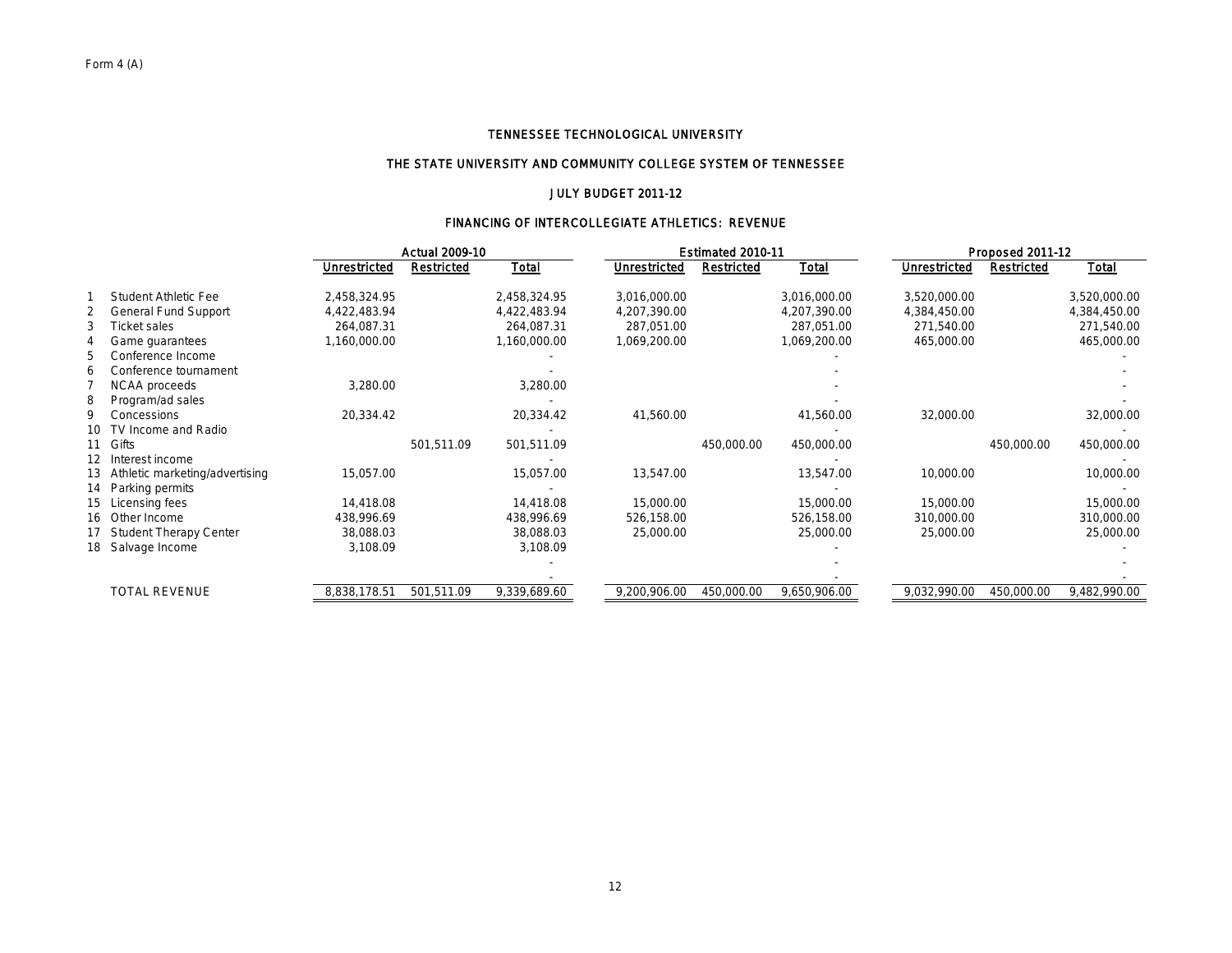### THE STATE UNIVERSITY AND COMMUNITY COLLEGE SYSTEM OF TENNESSEE

### JULY BUDGET 2011-12

### FINANCING OF INTERCOLLEGIATE ATHLETICS: REVENUE

|             |                                   |              | <b>Actual 2009-10</b> |              |                     | Estimated 2010-11 |              |                     | <b>Proposed 2011-12</b> |              |
|-------------|-----------------------------------|--------------|-----------------------|--------------|---------------------|-------------------|--------------|---------------------|-------------------------|--------------|
|             |                                   | Unrestricted | <b>Restricted</b>     | Total        | <b>Unrestricted</b> | <b>Restricted</b> | Total        | <b>Unrestricted</b> | <b>Restricted</b>       | Total        |
|             | <b>Student Athletic Fee</b>       | 2,458,324.95 |                       | 2,458,324.95 | 3,016,000.00        |                   | 3,016,000.00 | 3,520,000.00        |                         | 3,520,000.00 |
|             | <b>General Fund Support</b>       | 4,422,483.94 |                       | 4,422,483.94 | 4,207,390.00        |                   | 4,207,390.00 | 4,384,450.00        |                         | 4,384,450.00 |
|             | Ticket sales                      | 264,087.31   |                       | 264,087.31   | 287,051.00          |                   | 287,051.00   | 271,540.00          |                         | 271,540.00   |
|             | Game guarantees                   | 1,160,000.00 |                       | 1,160,000.00 | 1,069,200.00        |                   | 1,069,200.00 | 465,000.00          |                         | 465,000.00   |
|             | Conference Income                 |              |                       |              |                     |                   |              |                     |                         |              |
|             | Conference tournament             |              |                       |              |                     |                   |              |                     |                         |              |
|             | NCAA proceeds                     | 3,280.00     |                       | 3,280.00     |                     |                   |              |                     |                         |              |
|             | Program/ad sales                  |              |                       |              |                     |                   |              |                     |                         |              |
| q           | Concessions                       | 20,334.42    |                       | 20,334.42    | 41,560.00           |                   | 41,560.00    | 32,000.00           |                         | 32,000.00    |
| 10          | TV Income and Radio               |              |                       |              |                     |                   |              |                     |                         |              |
| Gifts<br>11 |                                   |              | 501,511.09            | 501,511.09   |                     | 450,000.00        | 450,000.00   |                     | 450,000.00              | 450,000.00   |
|             | 12 Interest income                |              |                       |              |                     |                   |              |                     |                         |              |
|             | 13 Athletic marketing/advertising | 15,057.00    |                       | 15,057.00    | 13,547.00           |                   | 13,547.00    | 10,000.00           |                         | 10,000.00    |
|             | 14 Parking permits                |              |                       |              |                     |                   |              |                     |                         |              |
|             | 15 Licensing fees                 | 14,418.08    |                       | 14,418.08    | 15,000.00           |                   | 15,000.00    | 15,000.00           |                         | 15,000.00    |
|             | 16 Other Income                   | 438,996.69   |                       | 438,996.69   | 526,158.00          |                   | 526,158.00   | 310,000.00          |                         | 310,000.00   |
|             | <b>Student Therapy Center</b>     | 38,088.03    |                       | 38,088.03    | 25,000.00           |                   | 25,000.00    | 25,000.00           |                         | 25,000.00    |
|             | 18 Salvage Income                 | 3,108.09     |                       | 3,108.09     |                     |                   |              |                     |                         |              |
|             |                                   |              |                       |              |                     |                   |              |                     |                         |              |
|             |                                   |              |                       |              |                     |                   |              |                     |                         |              |
|             | <b>TOTAL REVENUE</b>              | 8,838,178.51 | 501,511.09            | 9,339,689.60 | 9,200,906.00        | 450,000.00        | 9,650,906.00 | 9,032,990.00        | 450,000.00              | 9,482,990.00 |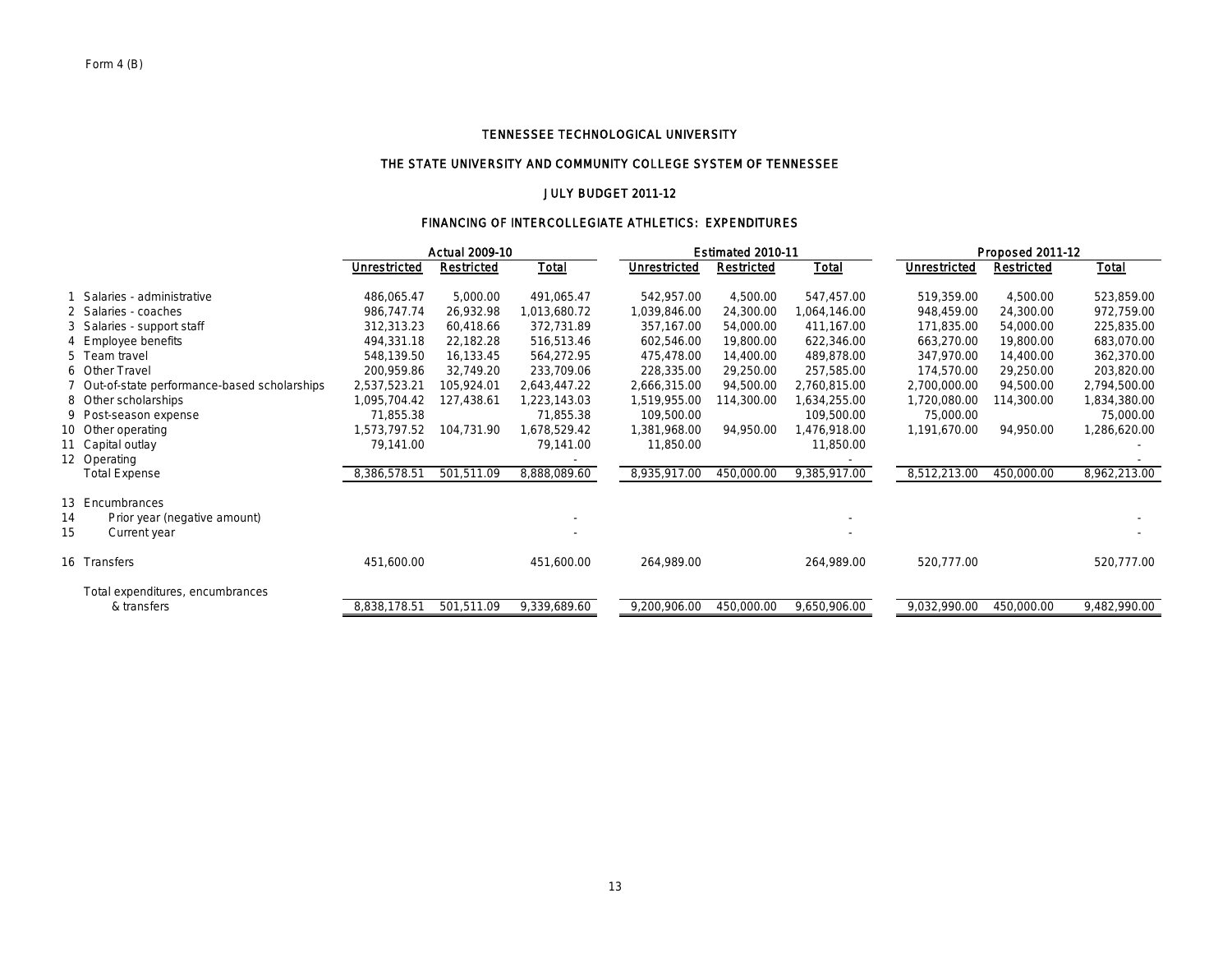### THE STATE UNIVERSITY AND COMMUNITY COLLEGE SYSTEM OF TENNESSEE

### JULY BUDGET 2011-12

### FINANCING OF INTERCOLLEGIATE ATHLETICS: EXPENDITURES

|    |                                               | <b>Actual 2009-10</b> |                   |              |              | Estimated 2010-11 |              |              | <b>Proposed 2011-12</b> |              |  |  |
|----|-----------------------------------------------|-----------------------|-------------------|--------------|--------------|-------------------|--------------|--------------|-------------------------|--------------|--|--|
|    |                                               | <b>Unrestricted</b>   | <b>Restricted</b> | <b>Total</b> | Unrestricted | <b>Restricted</b> | <u>Total</u> | Unrestricted | <b>Restricted</b>       | <b>Total</b> |  |  |
|    | Salaries - administrative                     | 486,065.47            | 5,000.00          | 491,065.47   | 542,957.00   | 4,500.00          | 547,457.00   | 519,359.00   | 4,500.00                | 523,859.00   |  |  |
|    | 2 Salaries - coaches                          | 986,747.74            | 26,932.98         | 013,680.72   | 1,039,846.00 | 24,300.00         | 1,064,146.00 | 948,459.00   | 24,300.00               | 972,759.00   |  |  |
|    | 3 Salaries - support staff                    | 312,313.23            | 60,418.66         | 372,731.89   | 357,167.00   | 54,000.00         | 411,167.00   | 171,835.00   | 54,000.00               | 225,835.00   |  |  |
|    | 4 Employee benefits                           | 494,331.18            | 22,182.28         | 516,513.46   | 602,546.00   | 19,800.00         | 622,346.00   | 663,270.00   | 19,800.00               | 683,070.00   |  |  |
|    | 5 Team travel                                 | 548,139.50            | 16,133.45         | 564,272.95   | 475,478.00   | 14,400.00         | 489,878.00   | 347,970.00   | 14,400.00               | 362,370.00   |  |  |
|    | 6 Other Travel                                | 200,959.86            | 32,749.20         | 233,709.06   | 228,335.00   | 29,250.00         | 257,585.00   | 174,570.00   | 29,250.00               | 203,820.00   |  |  |
|    | 7 Out-of-state performance-based scholarships | 2,537,523.21          | 105,924.01        | 2,643,447.22 | 2,666,315.00 | 94,500.00         | 2,760,815.00 | 2,700,000.00 | 94,500.00               | 2,794,500.00 |  |  |
|    | 8 Other scholarships                          | 1,095,704.42          | 127,438.61        | 1,223,143.03 | 1,519,955.00 | 114,300.00        | 1,634,255.00 | 1,720,080.00 | 114,300.00              | 1,834,380.00 |  |  |
|    | 9 Post-season expense                         | 71,855.38             |                   | 71,855.38    | 109,500.00   |                   | 109,500.00   | 75,000.00    |                         | 75,000.00    |  |  |
|    | 10 Other operating                            | 1,573,797.52          | 104,731.90        | 1,678,529.42 | 1,381,968.00 | 94,950.00         | 1,476,918.00 | 1,191,670.00 | 94,950.00               | 1,286,620.00 |  |  |
|    | 11 Capital outlay                             | 79,141.00             |                   | 79,141.00    | 11,850.00    |                   | 11,850.00    |              |                         |              |  |  |
|    | 12 Operating                                  |                       |                   |              |              |                   |              |              |                         |              |  |  |
|    | <b>Total Expense</b>                          | 8,386,578.51          | 501,511.09        | 8,888,089.60 | 8,935,917.00 | 450,000.00        | 9,385,917.00 | 8,512,213.00 | 450,000.00              | 8,962,213.00 |  |  |
|    | 13 Encumbrances                               |                       |                   |              |              |                   |              |              |                         |              |  |  |
| 14 | Prior year (negative amount)                  |                       |                   |              |              |                   |              |              |                         |              |  |  |
| 15 | Current year                                  |                       |                   |              |              |                   |              |              |                         |              |  |  |
|    |                                               |                       |                   |              |              |                   |              |              |                         |              |  |  |
|    | 16 Transfers                                  | 451,600.00            |                   | 451,600.00   | 264,989.00   |                   | 264,989.00   | 520,777.00   |                         | 520,777.00   |  |  |
|    | Total expenditures, encumbrances              |                       |                   |              |              |                   |              |              |                         |              |  |  |
|    | & transfers                                   | 8,838,178.51          | 501,511.09        | 9,339,689.60 | 9,200,906.00 | 450,000.00        | 9,650,906.00 | 9,032,990.00 | 450,000.00              | 9,482,990.00 |  |  |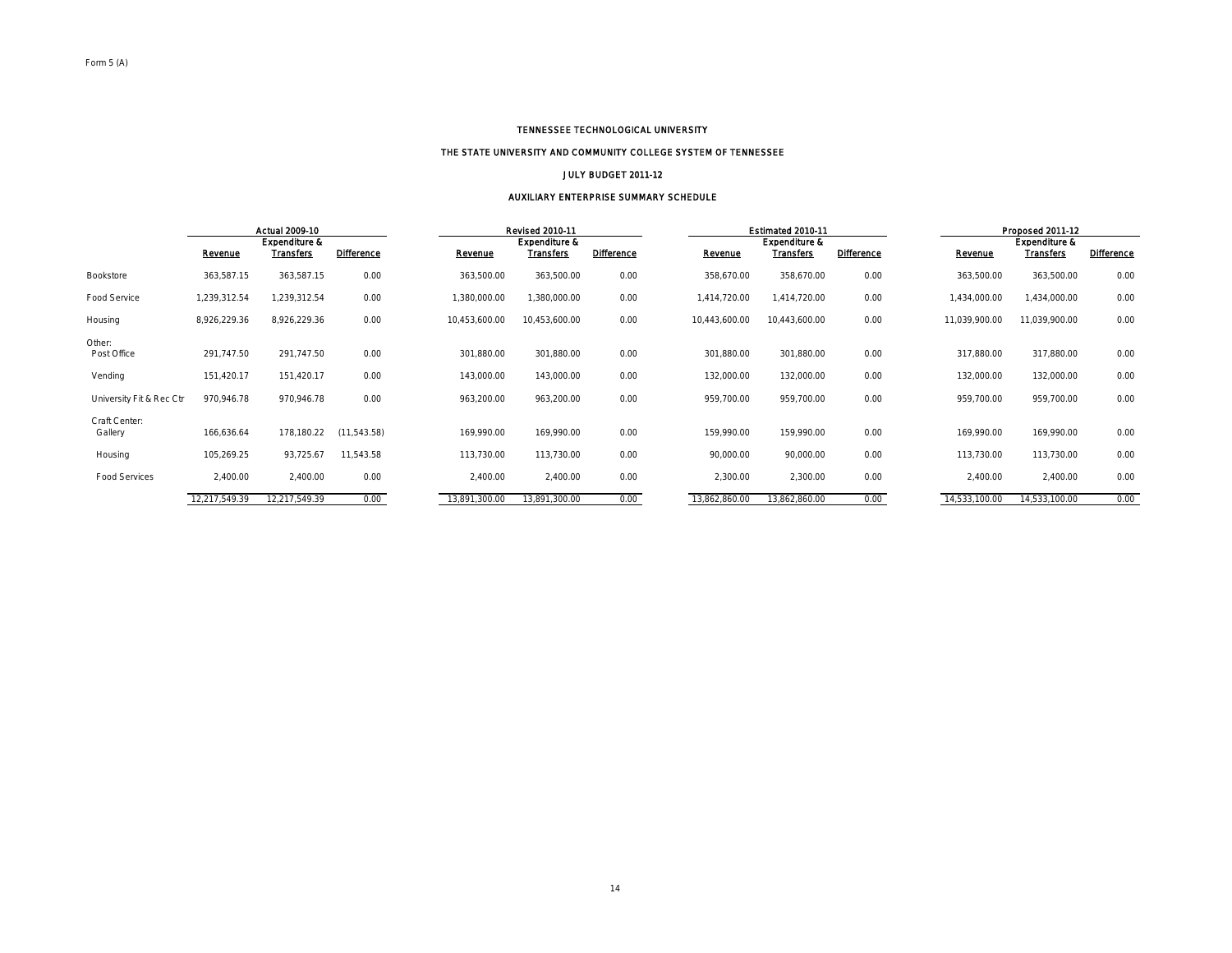#### THE STATE UNIVERSITY AND COMMUNITY COLLEGE SYSTEM OF TENNESSEE

#### JULY BUDGET 2011-12

#### AUXILIARY ENTERPRISE SUMMARY SCHEDULE

|                                     | <b>Actual 2009-10</b>    |                                              |                   | <b>Revised 2010-11</b>   |                                              |                   | Estimated 2010 11        |                                              |                   | Proposed 2011-12         |                                              |                   |
|-------------------------------------|--------------------------|----------------------------------------------|-------------------|--------------------------|----------------------------------------------|-------------------|--------------------------|----------------------------------------------|-------------------|--------------------------|----------------------------------------------|-------------------|
|                                     | Revenue                  | <b>Expenditure &amp;</b><br><b>Transfers</b> | <b>Difference</b> | Revenue                  | <b>Expenditure &amp;</b><br><b>Transfers</b> | <b>Difference</b> | Revenue                  | <b>Expenditure &amp;</b><br><b>Transfers</b> | <b>Difference</b> | Revenue                  | <b>Expenditure &amp;</b><br><b>Transfers</b> | <b>Difference</b> |
| Bookstore                           | 363,587.15               | 363,587.15                                   | 0.00              | 363,500.00               | 363,500.00                                   | 0.00              | 358,670.00               | 358,670.00                                   | 0.00              | 363,500.00               | 363,500.00                                   | 0.00              |
| Food Service                        | 1,239,312.54             | 1,239,312.54                                 | 0.00              | 1,380,000.00             | 1,380,000.00                                 | 0.00              | 1,414,720.00             | 1,414,720.00                                 | 0.00              | 1,434,000.00             | 1,434,000.00                                 | 0.00              |
| Housing                             | 8,926,229.36             | 8,926,229.36                                 | 0.00              | 10,453,600.00            | 10,453,600.00                                | 0.00              | 10,443,600.00            | 10,443,600.00                                | 0.00              | 11,039,900.00            | 11,039,900.00                                | 0.00              |
| Other:<br>Post Office               | 291,747.50               | 291,747.50                                   | 0.00              | 301,880.00               | 301,880.00                                   | 0.00              | 301,880.00               | 301,880.00                                   | 0.00              | 317,880.00               | 317,880.00                                   | 0.00              |
| Vending<br>University Fit & Rec Ctr | 151,420.17<br>970,946.78 | 151,420.17<br>970,946.78                     | 0.00<br>0.00      | 143,000.00<br>963,200.00 | 143,000.00<br>963,200.00                     | 0.00<br>0.00      | 132,000.00<br>959,700.00 | 132,000.00<br>959,700.00                     | 0.00<br>0.00      | 132,000.00<br>959,700.00 | 132,000.00<br>959,700.00                     | 0.00<br>0.00      |
| Craft Center:<br>Gallery            | 166,636.64               | 178,180.22                                   | (11, 543.58)      | 169,990.00               | 169,990.00                                   | 0.00              | 159.990.00               | 159,990.00                                   | 0.00              | 169,990.00               | 169,990.00                                   | 0.00              |
| Housing                             | 105,269.25               | 93,725.67                                    | 11,543.58         | 113,730.00               | 113,730.00                                   | 0.00              | 90,000.00                | 90,000.00                                    | 0.00              | 113,730.00               | 113,730.00                                   | 0.00              |
| <b>Food Services</b>                | 2,400.00                 | 2,400.00                                     | 0.00              | 2,400.00                 | 2,400.00                                     | 0.00              | 2,300.00                 | 2,300.00                                     | 0.00              | 2,400.00                 | 2,400.00                                     | 0.00              |
|                                     | 12,217,549.39            | 12.217.549.39                                | 0.00              | 13.891.300.00            | 13.891.300.00                                | 0.00              | 13.862.860.00            | 13,862,860.00                                | 0.00              | 14,533,100.00            | 14,533,100.00                                | 0.00              |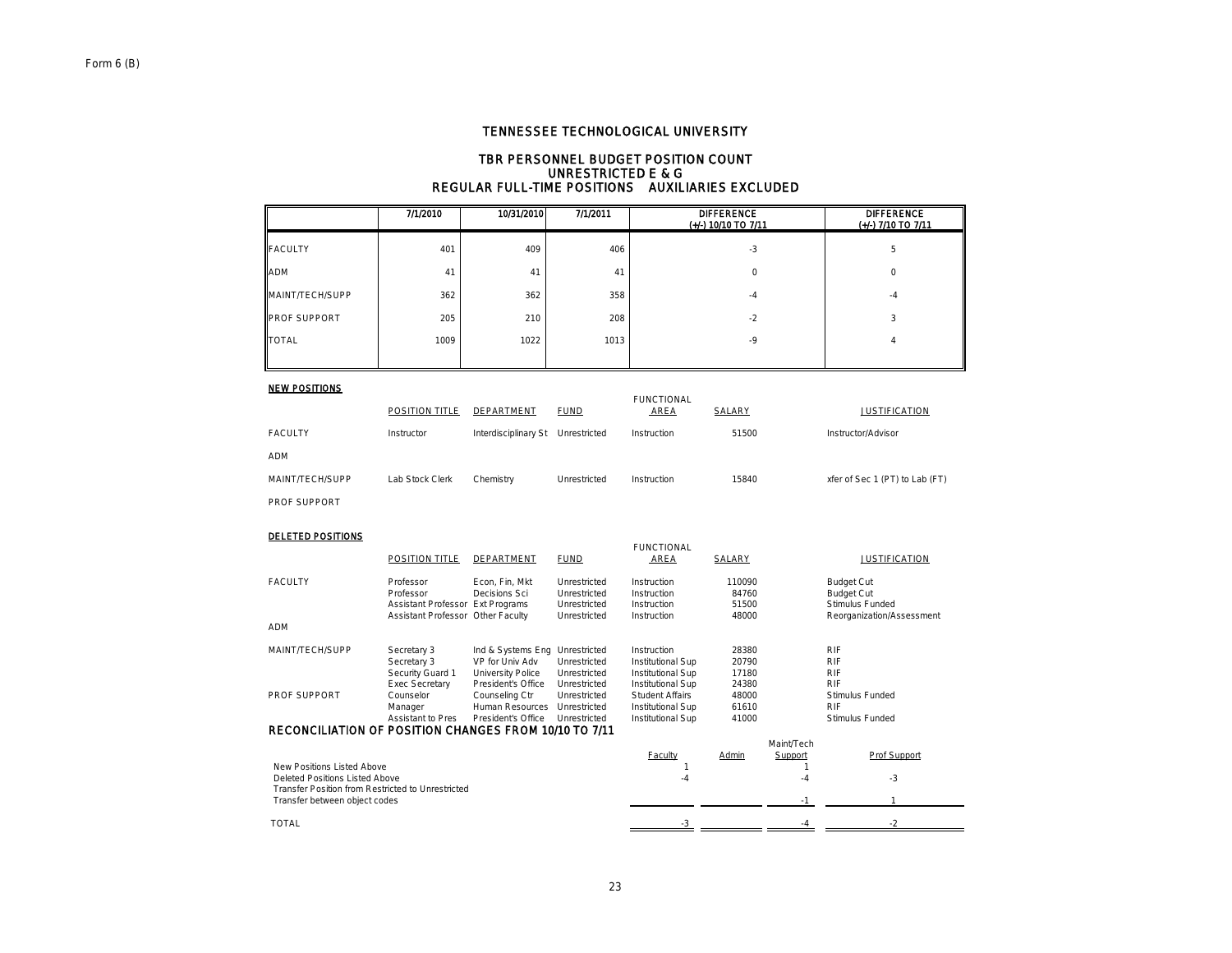#### TBR PERSONNEL BUDGET POSITION COUNT UNRESTRICTED E & G REGULAR FULL-TIME POSITIONS AUXILIARIES EXCLUDED

|                     | 7/1/2010 | 10/31/2010 | 7/1/2011 | <b>DIFFERENCE</b><br>$(+/)$ 10/10 TO 7/11 | <b>DIFFERENCE</b><br>(+/-) 7/10 TO 7/11 |
|---------------------|----------|------------|----------|-------------------------------------------|-----------------------------------------|
| <b>FACULTY</b>      | 401      | 409        | 406      | $-3$                                      | 5                                       |
| <b>ADM</b>          | 41       | 41         | 41       | 0                                         | $\mathbf 0$                             |
| MAINT/TECH/SUPP     | 362      | 362        | 358      | -4                                        | $-4$                                    |
| <b>PROF SUPPORT</b> | 205      | 210        | 208      | $-2$                                      | 3                                       |
| <b>TOTAL</b>        | 1009     | 1022       | 1013     | $-9$                                      | 4                                       |
|                     |          |            |          |                                           |                                         |

#### NEW POSITIONS

| .                   |                       |                                   |              | <b>FUNCTIONAL</b> |        |                                |
|---------------------|-----------------------|-----------------------------------|--------------|-------------------|--------|--------------------------------|
|                     | <b>POSITION TITLE</b> | DEPARTMENT                        | <b>FUND</b>  | <b>AREA</b>       | SALARY | <b>JUSTIFICATION</b>           |
| <b>FACULTY</b>      | Instructor            | Interdisciplinary St Unrestricted |              | Instruction       | 51500  | Instructor/Advisor             |
| ADM                 |                       |                                   |              |                   |        |                                |
| MAINT/TECH/SUPP     | Lab Stock Clerk       | Chemistry                         | Unrestricted | Instruction       | 15840  | xfer of Sec 1 (PT) to Lab (FT) |
| <b>PROF SUPPORT</b> |                       |                                   |              |                   |        |                                |

#### DELETED POSITIONS

|                                                       | POSITION TITLE                    | DEPARTMENT                      | <b>FUND</b>                  | <b>FUNCTIONAL</b><br>AREA  | SALARY          |            | <b>JUSTIFICATION</b>                   |
|-------------------------------------------------------|-----------------------------------|---------------------------------|------------------------------|----------------------------|-----------------|------------|----------------------------------------|
| <b>FACULTY</b>                                        | Professor<br>Professor            | Econ, Fin, Mkt<br>Decisions Sci | Unrestricted<br>Unrestricted | Instruction<br>Instruction | 110090<br>84760 |            | <b>Budget Cut</b><br><b>Budget Cut</b> |
|                                                       | Assistant Professor Ext Programs  |                                 | Unrestricted                 | Instruction                | 51500           |            | Stimulus Funded                        |
|                                                       | Assistant Professor Other Faculty |                                 | Unrestricted                 | Instruction                | 48000           |            | Reorganization/Assessment              |
| ADM                                                   |                                   |                                 |                              |                            |                 |            |                                        |
| MAINT/TECH/SUPP                                       | Secretary 3                       | Ind & Systems Eng Unrestricted  |                              | Instruction                | 28380           |            | <b>RIF</b>                             |
|                                                       | Secretary 3                       | VP for Univ Adv                 | Unrestricted                 | Institutional Sup          | 20790           |            | <b>RIF</b>                             |
|                                                       | Security Guard 1                  | University Police               | Unrestricted                 | Institutional Sup          | 17180           |            | <b>RIF</b>                             |
|                                                       | <b>Exec Secretary</b>             | President's Office              | Unrestricted                 | Institutional Sup          | 24380           |            | <b>RIF</b>                             |
| <b>PROF SUPPORT</b>                                   | Counselor                         | Counseling Ctr                  | Unrestricted                 | <b>Student Affairs</b>     | 48000           |            | Stimulus Funded                        |
|                                                       | Manager                           | <b>Human Resources</b>          | Unrestricted                 | Institutional Sup          | 61610           |            | <b>RIF</b>                             |
|                                                       | <b>Assistant to Pres</b>          | President's Office              | Unrestricted                 | Institutional Sup          | 41000           |            | Stimulus Funded                        |
| RECONCILIATION OF POSITION CHANGES FROM 10/10 TO 7/11 |                                   |                                 |                              |                            |                 |            |                                        |
|                                                       |                                   |                                 |                              |                            |                 | Maint/Tech |                                        |
|                                                       |                                   |                                 |                              | <b>Faculty</b>             | Admin           | Support    | Prof Support                           |
| New Positions Listed Above                            |                                   |                                 |                              |                            |                 |            |                                        |
| Deleted Positions Listed Above                        |                                   |                                 |                              | -4                         |                 | $-4$       | $-3$                                   |
| Transfer Position from Restricted to Unrestricted     |                                   |                                 |                              |                            |                 |            |                                        |
| Transfer between object codes                         |                                   |                                 |                              |                            |                 | $-1$       |                                        |
| <b>TOTAL</b>                                          |                                   |                                 |                              | $-3$                       |                 | $-4$       | $-2$                                   |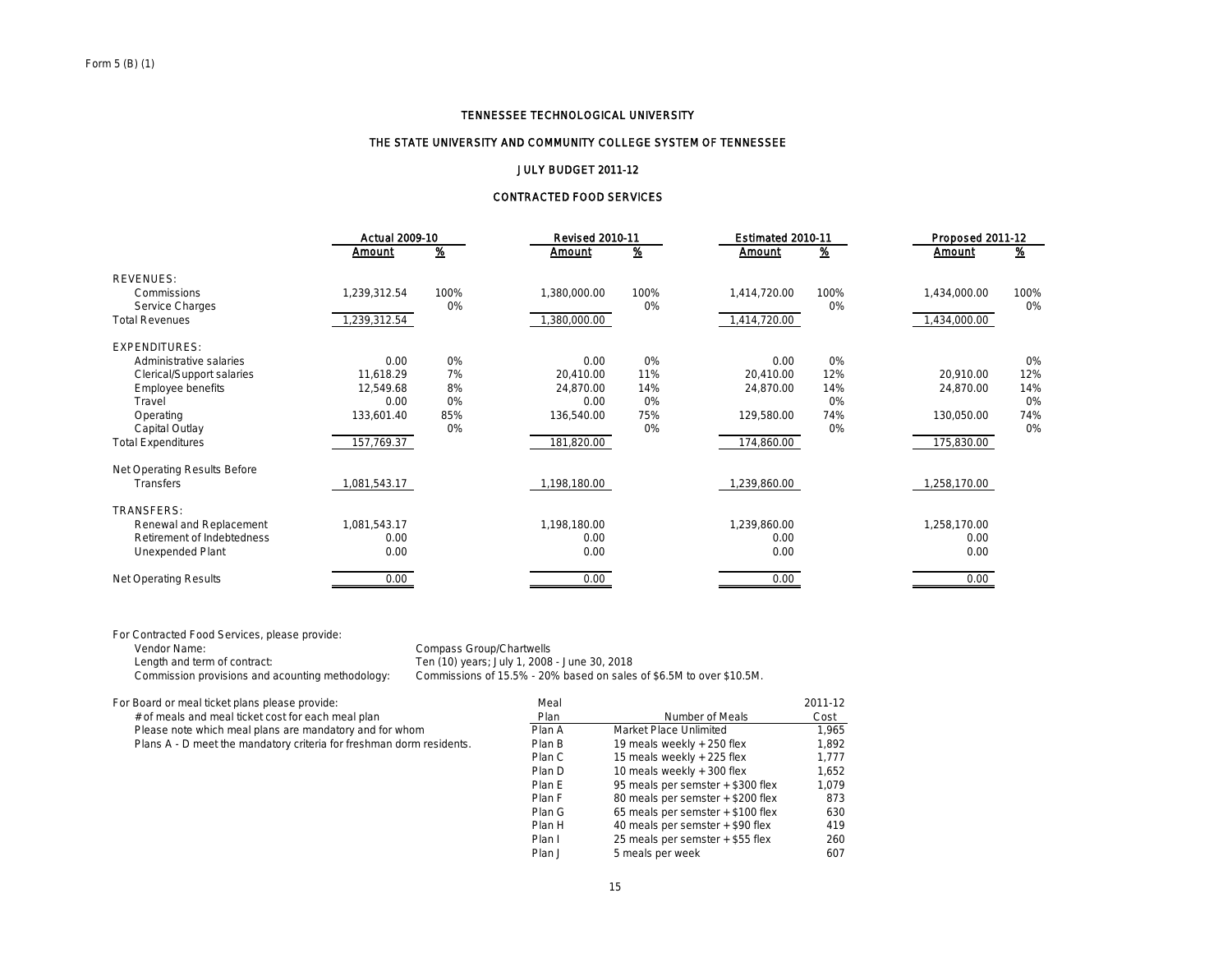#### THE STATE UNIVERSITY AND COMMUNITY COLLEGE SYSTEM OF TENNESSEE

#### JULY BUDGET 2011-12

#### CONTRACTED FOOD SERVICES

|                              |              | <b>Actual 2009-10</b> |              | <b>Revised 2010-11</b> | Estimated 2010-11 |          | Proposed 2011-12 |               |
|------------------------------|--------------|-----------------------|--------------|------------------------|-------------------|----------|------------------|---------------|
|                              | Amount       | <u>%</u>              | Amount       | <u>%</u>               | Amount            | <u>%</u> | Amount           | $\frac{9}{6}$ |
| <b>REVENUES:</b>             |              |                       |              |                        |                   |          |                  |               |
| Commissions                  | 1,239,312.54 | 100%                  | 1,380,000.00 | 100%                   | 1,414,720.00      | 100%     | 1,434,000.00     | 100%          |
| Service Charges              |              | 0%                    |              | 0%                     |                   | 0%       |                  | 0%            |
| <b>Total Revenues</b>        | 1,239,312.54 |                       | ,380,000.00  |                        | 1,414,720.00      |          | 1,434,000.00     |               |
| <b>EXPENDITURES:</b>         |              |                       |              |                        |                   |          |                  |               |
| Administrative salaries      | 0.00         | 0%                    | 0.00         | 0%                     | 0.00              | 0%       |                  | 0%            |
| Clerical/Support salaries    | 11,618.29    | 7%                    | 20,410.00    | 11%                    | 20,410.00         | 12%      | 20.910.00        | 12%           |
| Employee benefits            | 12,549.68    | 8%                    | 24,870.00    | 14%                    | 24,870.00         | 14%      | 24,870.00        | 14%           |
| Travel                       | 0.00         | 0%                    | 0.00         | 0%                     |                   | 0%       |                  | 0%            |
| Operating                    | 133,601.40   | 85%                   | 136,540.00   | 75%                    | 129,580.00        | 74%      | 130,050.00       | 74%           |
| Capital Outlay               |              | 0%                    |              | 0%                     |                   | 0%       |                  | 0%            |
| <b>Total Expenditures</b>    | 157,769.37   |                       | 181,820.00   |                        | 174,860.00        |          | 175,830.00       |               |
| Net Operating Results Before |              |                       |              |                        |                   |          |                  |               |
| <b>Transfers</b>             | 1,081,543.17 |                       | 1,198,180.00 |                        | 1,239,860.00      |          | 1,258,170.00     |               |
| <b>TRANSFERS:</b>            |              |                       |              |                        |                   |          |                  |               |
| Renewal and Replacement      | 1,081,543.17 |                       | 1,198,180.00 |                        | 1,239,860.00      |          | 1,258,170.00     |               |
| Retirement of Indebtedness   | 0.00         |                       | 0.00         |                        | 0.00              |          | 0.00             |               |
| Unexpended Plant             | 0.00         |                       | 0.00         |                        | 0.00              |          | 0.00             |               |
| <b>Net Operating Results</b> | 0.00         |                       | 0.00         |                        | 0.00              |          | 0.00             |               |

For Contracted Food Services, please provide:

Vendor Name: Compass Group/Chartwells<br>
Length and term of contract: Compass Group/Chartwells<br>
Ten (10) years; July 1, 2008 Length and term of contract: Ten (10) years; July 1, 2008 - June 30, 2018<br>Commission provisions and acounting methodology: Commissions of 15.5% - 20% based on sales Commissions of 15.5% - 20% based on sales of \$6.5M to over \$10.5M.

|  |  |  |  | For Board or meal ticket plans please provide: |  |
|--|--|--|--|------------------------------------------------|--|
|  |  |  |  |                                                |  |

| For Board or meal ticket plans please provide:                       | Meal   |                                   | 2011-12 |
|----------------------------------------------------------------------|--------|-----------------------------------|---------|
| # of meals and meal ticket cost for each meal plan                   | Plan   | Number of Meals                   | Cost    |
| Please note which meal plans are mandatory and for whom              | Plan A | Market Place Unlimited            | 1.965   |
| Plans A - D meet the mandatory criteria for freshman dorm residents. | Plan B | 19 meals weekly + 250 flex        | 1,892   |
|                                                                      | Plan C | 15 meals weekly + 225 flex        | 1.777   |
|                                                                      | Plan D | 10 meals weekly + 300 flex        | 1.652   |
|                                                                      | Plan E | 95 meals per semster + \$300 flex | 1.079   |
|                                                                      | Plan F | 80 meals per semster + \$200 flex | 873     |
|                                                                      | Plan G | 65 meals per semster + \$100 flex | 630     |
|                                                                      | Plan H | 40 meals per semster + \$90 flex  | 419     |
|                                                                      | Plan I | 25 meals per semster + \$55 flex  | 260     |
|                                                                      | Plan J | 5 meals per week                  | 607     |
|                                                                      |        |                                   |         |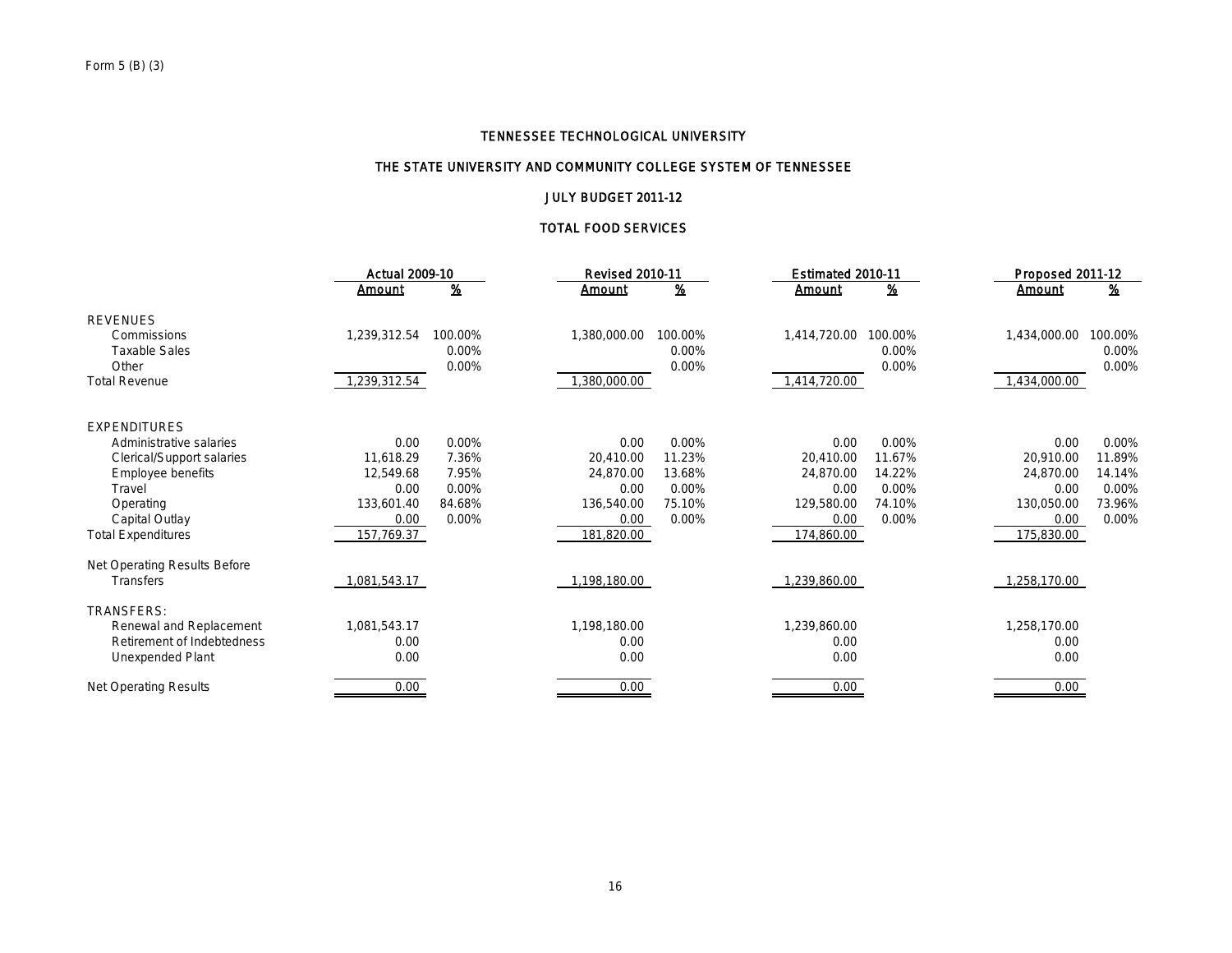## THE STATE UNIVERSITY AND COMMUNITY COLLEGE SYSTEM OF TENNESSEE

## JULY BUDGET 2011-12

### TOTAL FOOD SERVICES

|                              | <b>Actual 2009-10</b> |         | <b>Revised 2010-11</b> |                           | Estimated 2010-11 |          | Proposed 2011-12 |          |  |
|------------------------------|-----------------------|---------|------------------------|---------------------------|-------------------|----------|------------------|----------|--|
|                              | <u>Amount</u>         | %       | <u>Amount</u>          | $\underline{\mathcal{X}}$ | Amount            | <u>%</u> | <b>Amount</b>    | <u>%</u> |  |
| <b>REVENUES</b>              |                       |         |                        |                           |                   |          |                  |          |  |
| Commissions                  | 1,239,312.54          | 100.00% | 1,380,000.00           | 100.00%                   | 1,414,720.00      | 100.00%  | 1,434,000.00     | 100.00%  |  |
| <b>Taxable Sales</b>         |                       | 0.00%   |                        | $0.00\%$                  |                   | 0.00%    |                  | 0.00%    |  |
| Other                        |                       | 0.00%   |                        | 0.00%                     |                   | 0.00%    |                  | 0.00%    |  |
| <b>Total Revenue</b>         | 1,239,312.54          |         | ,380,000.00            |                           | 1,414,720.00      |          | 1,434,000.00     |          |  |
| <b>EXPENDITURES</b>          |                       |         |                        |                           |                   |          |                  |          |  |
| Administrative salaries      | 0.00                  | 0.00%   | 0.00                   | 0.00%                     | 0.00              | 0.00%    | 0.00             | 0.00%    |  |
| Clerical/Support salaries    | 11,618.29             | 7.36%   | 20,410.00              | 11.23%                    | 20.410.00         | 11.67%   | 20,910.00        | 11.89%   |  |
| Employee benefits            | 12,549.68             | 7.95%   | 24.870.00              | 13.68%                    | 24.870.00         | 14.22%   | 24.870.00        | 14.14%   |  |
| Travel                       | 0.00                  | 0.00%   | 0.00                   | 0.00%                     | 0.00              | 0.00%    | 0.00             | 0.00%    |  |
| Operating                    | 133,601.40            | 84.68%  | 136,540.00             | 75.10%                    | 129,580.00        | 74.10%   | 130,050.00       | 73.96%   |  |
| Capital Outlay               | 0.00                  | 0.00%   | 0.00                   | 0.00%                     | 0.00              | 0.00%    | 0.00             | 0.00%    |  |
| <b>Total Expenditures</b>    | 157,769.37            |         | 181,820.00             |                           | 174,860.00        |          | 175,830.00       |          |  |
| Net Operating Results Before |                       |         |                        |                           |                   |          |                  |          |  |
| <b>Transfers</b>             | ,081,543.17           |         | 1,198,180.00           |                           | 1,239,860.00      |          | 1,258,170.00     |          |  |
| <b>TRANSFERS:</b>            |                       |         |                        |                           |                   |          |                  |          |  |
| Renewal and Replacement      | 1,081,543.17          |         | 1,198,180.00           |                           | 1,239,860.00      |          | 1,258,170.00     |          |  |
| Retirement of Indebtedness   | 0.00                  |         | 0.00                   |                           | 0.00              |          | 0.00             |          |  |
| Unexpended Plant             | 0.00                  |         | 0.00                   |                           | 0.00              |          | 0.00             |          |  |
| <b>Net Operating Results</b> | 0.00                  |         | 0.00                   |                           | 0.00              |          | 0.00             |          |  |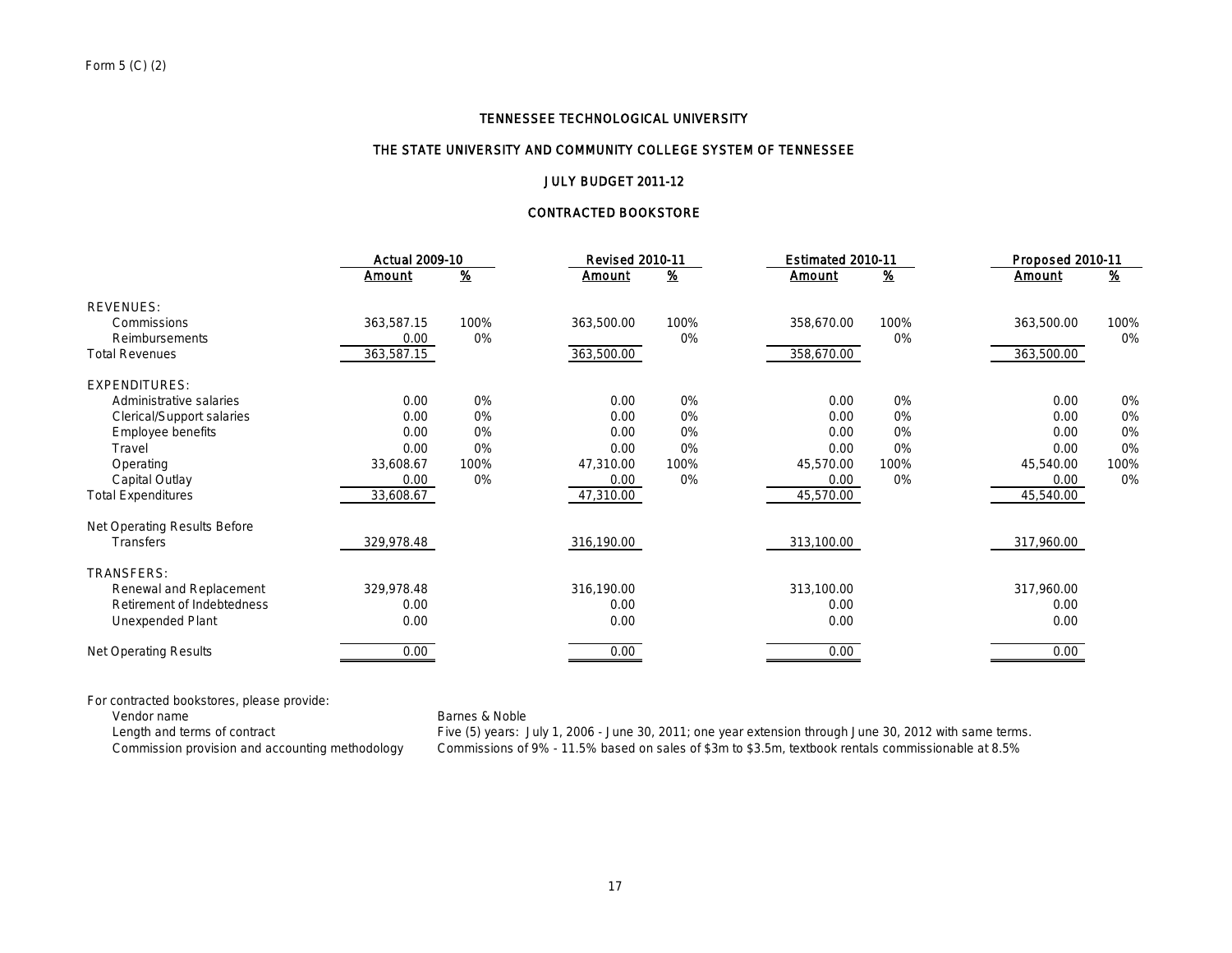#### THE STATE UNIVERSITY AND COMMUNITY COLLEGE SYSTEM OF TENNESSEE

## JULY BUDGET 2011-12

### CONTRACTED BOOKSTORE

|                              |            | <b>Actual 2009-10</b>     |               | <b>Revised 2010-11</b>    | Estimated 2010-11 |                           | Proposed 2010-11 |                |
|------------------------------|------------|---------------------------|---------------|---------------------------|-------------------|---------------------------|------------------|----------------|
|                              | Amount     | $\underline{\mathcal{X}}$ | <u>Amount</u> | $\underline{\mathcal{X}}$ | Amount            | $\underline{\mathcal{X}}$ | Amount           | $\frac{96}{2}$ |
| <b>REVENUES:</b>             |            |                           |               |                           |                   |                           |                  |                |
| Commissions                  | 363,587.15 | 100%                      | 363,500.00    | 100%                      | 358,670.00        | 100%                      | 363,500.00       | 100%           |
| Reimbursements               | 0.00       | 0%                        |               | 0%                        |                   | 0%                        |                  | 0%             |
| <b>Total Revenues</b>        | 363,587.15 |                           | 363,500.00    |                           | 358,670.00        |                           | 363,500.00       |                |
| <b>EXPENDITURES:</b>         |            |                           |               |                           |                   |                           |                  |                |
| Administrative salaries      | 0.00       | 0%                        | 0.00          | 0%                        | 0.00              | 0%                        | 0.00             | 0%             |
| Clerical/Support salaries    | 0.00       | 0%                        | 0.00          | 0%                        | 0.00              | 0%                        | 0.00             | 0%             |
| <b>Employee benefits</b>     | 0.00       | 0%                        | 0.00          | 0%                        | 0.00              | 0%                        | 0.00             | 0%             |
| Travel                       | 0.00       | 0%                        | 0.00          | 0%                        | 0.00              | 0%                        | 0.00             | 0%             |
| Operating                    | 33,608.67  | 100%                      | 47,310.00     | 100%                      | 45,570.00         | 100%                      | 45,540.00        | 100%           |
| Capital Outlay               | 0.00       | 0%                        | 0.00          | 0%                        | 0.00              | 0%                        | 0.00             | 0%             |
| <b>Total Expenditures</b>    | 33,608.67  |                           | 47,310.00     |                           | 45,570.00         |                           | 45,540.00        |                |
| Net Operating Results Before |            |                           |               |                           |                   |                           |                  |                |
| Transfers                    | 329,978.48 |                           | 316,190.00    |                           | 313,100.00        |                           | 317,960.00       |                |
| <b>TRANSFERS:</b>            |            |                           |               |                           |                   |                           |                  |                |
| Renewal and Replacement      | 329,978.48 |                           | 316,190.00    |                           | 313,100.00        |                           | 317,960.00       |                |
| Retirement of Indebtedness   | 0.00       |                           | 0.00          |                           | 0.00              |                           | 0.00             |                |
| Unexpended Plant             | 0.00       |                           | 0.00          |                           | 0.00              |                           | 0.00             |                |
| <b>Net Operating Results</b> | 0.00       |                           | 0.00          |                           | 0.00              |                           | 0.00             |                |

For contracted bookstores, please provide:

Vendor name<br>
Length and terms of contract<br>
Five (5) years: Jensing the Marine School (5) years: Jensing the Marine School (5) years: Jensing the Marine School (5) years: Jensing the Marine School (5) years: Jensing the Mar Length and terms of contract Five (5) years: July 1, 2006 - June 30, 2011; one year extension through June 30, 2012 with same terms.<br>Commission provision and accounting methodology Commissions of 9% - 11.5% based on sales Commissions of 9% - 11.5% based on sales of \$3m to \$3.5m, textbook rentals commissionable at 8.5%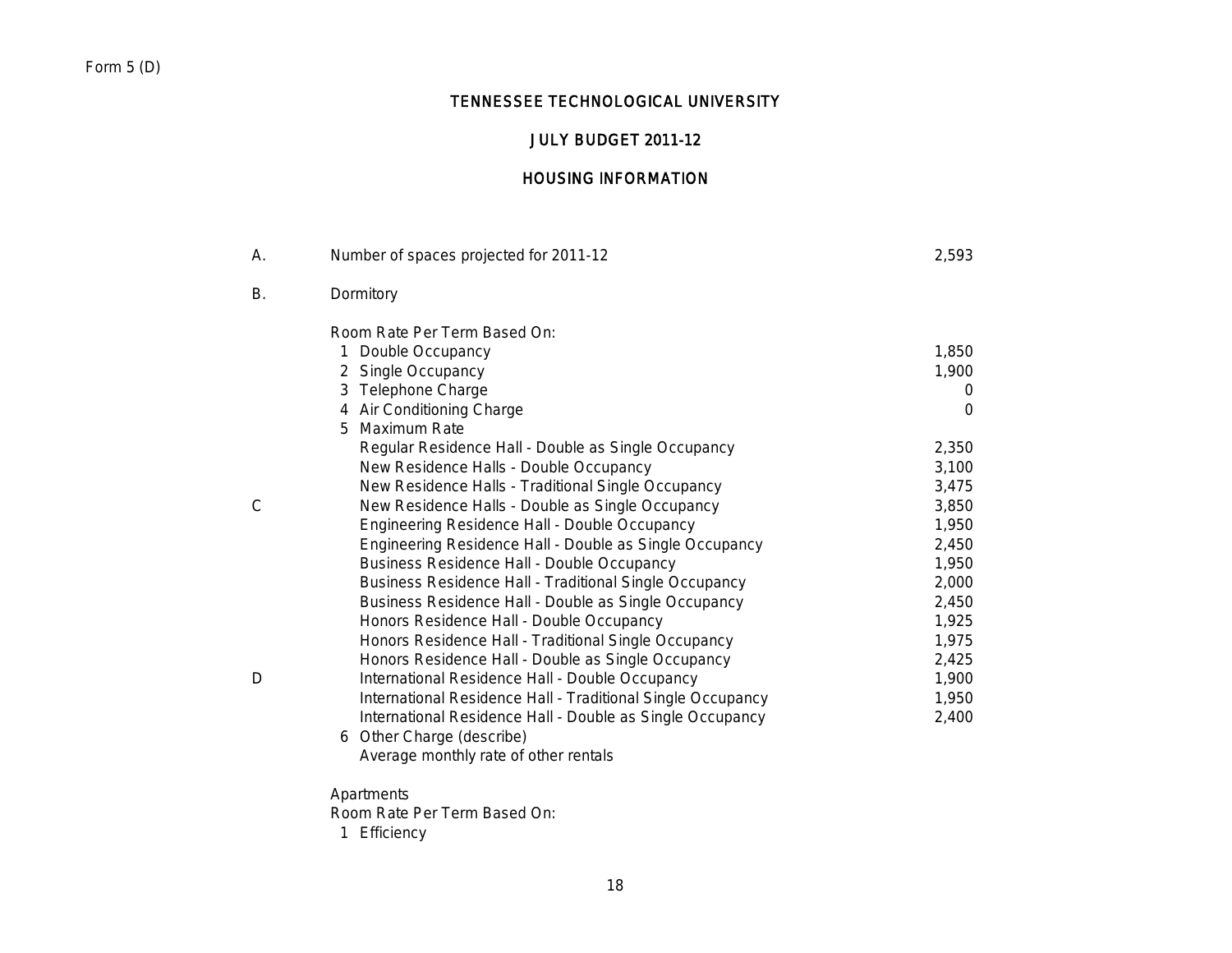# Form 5 (D)

# TENNESSEE TECHNOLOGICAL UNIVERSITY

# JULY BUDGET 2011-12

# HOUSING INFORMATION

| А.           | Number of spaces projected for 2011-12                        | 2,593    |
|--------------|---------------------------------------------------------------|----------|
| В.           | Dormitory                                                     |          |
|              | Room Rate Per Term Based On:                                  |          |
|              | Double Occupancy<br>1                                         | 1,850    |
|              | 2 Single Occupancy                                            | 1,900    |
|              | 3 Telephone Charge                                            | 0        |
|              | 4 Air Conditioning Charge                                     | $\Omega$ |
|              | 5 Maximum Rate                                                |          |
|              | Regular Residence Hall - Double as Single Occupancy           | 2,350    |
|              | New Residence Halls - Double Occupancy                        | 3,100    |
|              | New Residence Halls - Traditional Single Occupancy            | 3,475    |
| $\mathsf{C}$ | New Residence Halls - Double as Single Occupancy              | 3,850    |
|              | Engineering Residence Hall - Double Occupancy                 | 1,950    |
|              | Engineering Residence Hall - Double as Single Occupancy       | 2,450    |
|              | <b>Business Residence Hall - Double Occupancy</b>             | 1,950    |
|              | <b>Business Residence Hall - Traditional Single Occupancy</b> | 2,000    |
|              | Business Residence Hall - Double as Single Occupancy          | 2,450    |
|              | Honors Residence Hall - Double Occupancy                      | 1,925    |
|              | Honors Residence Hall - Traditional Single Occupancy          | 1,975    |
|              | Honors Residence Hall - Double as Single Occupancy            | 2,425    |
| D            | International Residence Hall - Double Occupancy               | 1,900    |
|              | International Residence Hall - Traditional Single Occupancy   | 1,950    |
|              | International Residence Hall - Double as Single Occupancy     | 2,400    |
|              | 6 Other Charge (describe)                                     |          |
|              | Average monthly rate of other rentals                         |          |
|              | Apartments                                                    |          |
|              | Room Rate Per Term Based On:                                  |          |
|              | 1 Efficiency                                                  |          |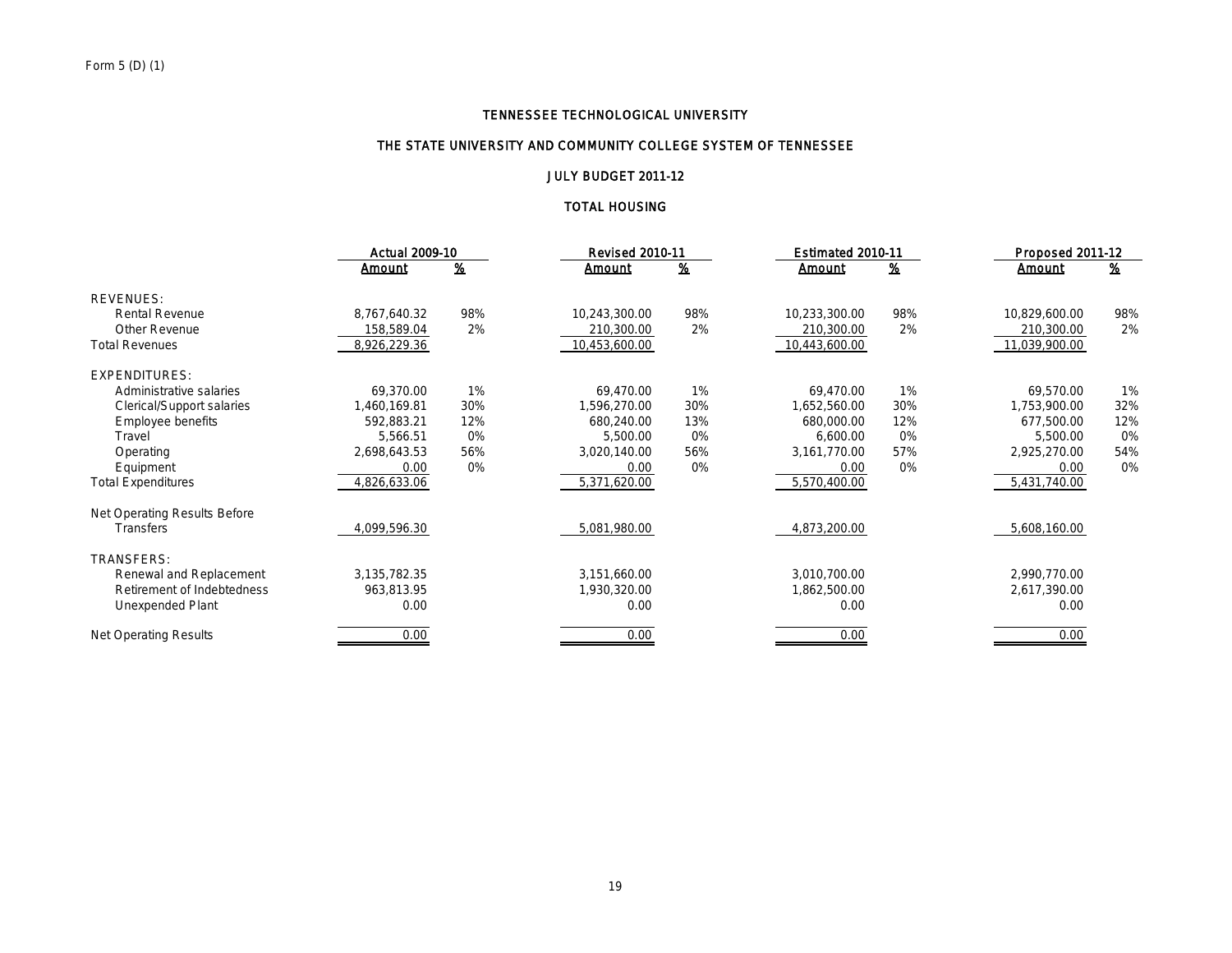## THE STATE UNIVERSITY AND COMMUNITY COLLEGE SYSTEM OF TENNESSEE

### JULY BUDGET 2011-12

### TOTAL HOUSING

|                              | Actual 2009-10 |                           | <b>Revised 2010-11</b> |                           | Estimated 2010-11 | Proposed 2011-12 |               |          |
|------------------------------|----------------|---------------------------|------------------------|---------------------------|-------------------|------------------|---------------|----------|
|                              | <u>Amount</u>  | $\underline{\mathcal{H}}$ | <u>Amount</u>          | $\underline{\mathbf{\%}}$ | <b>Amount</b>     | <u>%</u>         | <u>Amount</u> | <u>%</u> |
| <b>REVENUES:</b>             |                |                           |                        |                           |                   |                  |               |          |
| <b>Rental Revenue</b>        | 8,767,640.32   | 98%                       | 10,243,300.00          | 98%                       | 10,233,300.00     | 98%              | 10,829,600.00 | 98%      |
| Other Revenue                | 158,589.04     | 2%                        | 210,300.00             | 2%                        | 210,300.00        | 2%               | 210,300.00    | 2%       |
| <b>Total Revenues</b>        | 8,926,229.36   |                           | 10,453,600.00          |                           | 10,443,600.00     |                  | 11,039,900.00 |          |
| <b>EXPENDITURES:</b>         |                |                           |                        |                           |                   |                  |               |          |
| Administrative salaries      | 69,370.00      | 1%                        | 69,470.00              | 1%                        | 69,470.00         | 1%               | 69,570.00     | 1%       |
| Clerical/Support salaries    | 1,460,169.81   | 30%                       | 1,596,270.00           | 30%                       | 1,652,560.00      | 30%              | 1,753,900.00  | 32%      |
| Employee benefits            | 592,883.21     | 12%                       | 680,240.00             | 13%                       | 680,000.00        | 12%              | 677,500.00    | 12%      |
| Travel                       | 5,566.51       | 0%                        | 5,500.00               | 0%                        | 6,600.00          | 0%               | 5,500.00      | 0%       |
| Operating                    | 2,698,643.53   | 56%                       | 3,020,140.00           | 56%                       | 3,161,770.00      | 57%              | 2,925,270.00  | 54%      |
| Equipment                    | 0.00           | 0%                        | 0.00                   | 0%                        | 0.00              | 0%               | 0.00          | 0%       |
| <b>Total Expenditures</b>    | 4,826,633.06   |                           | 5,371,620.00           |                           | 5,570,400.00      |                  | 5,431,740.00  |          |
| Net Operating Results Before |                |                           |                        |                           |                   |                  |               |          |
| <b>Transfers</b>             | 4,099,596.30   |                           | 5,081,980.00           |                           | 4,873,200.00      |                  | 5,608,160.00  |          |
| TRANSFERS:                   |                |                           |                        |                           |                   |                  |               |          |
| Renewal and Replacement      | 3,135,782.35   |                           | 3,151,660.00           |                           | 3,010,700.00      |                  | 2,990,770.00  |          |
| Retirement of Indebtedness   | 963,813.95     |                           | 1,930,320.00           |                           | 1,862,500.00      |                  | 2,617,390.00  |          |
| Unexpended Plant             | 0.00           |                           | 0.00                   |                           | 0.00              |                  | 0.00          |          |
| <b>Net Operating Results</b> | 0.00           |                           | 0.00                   |                           | 0.00              |                  | 0.00          |          |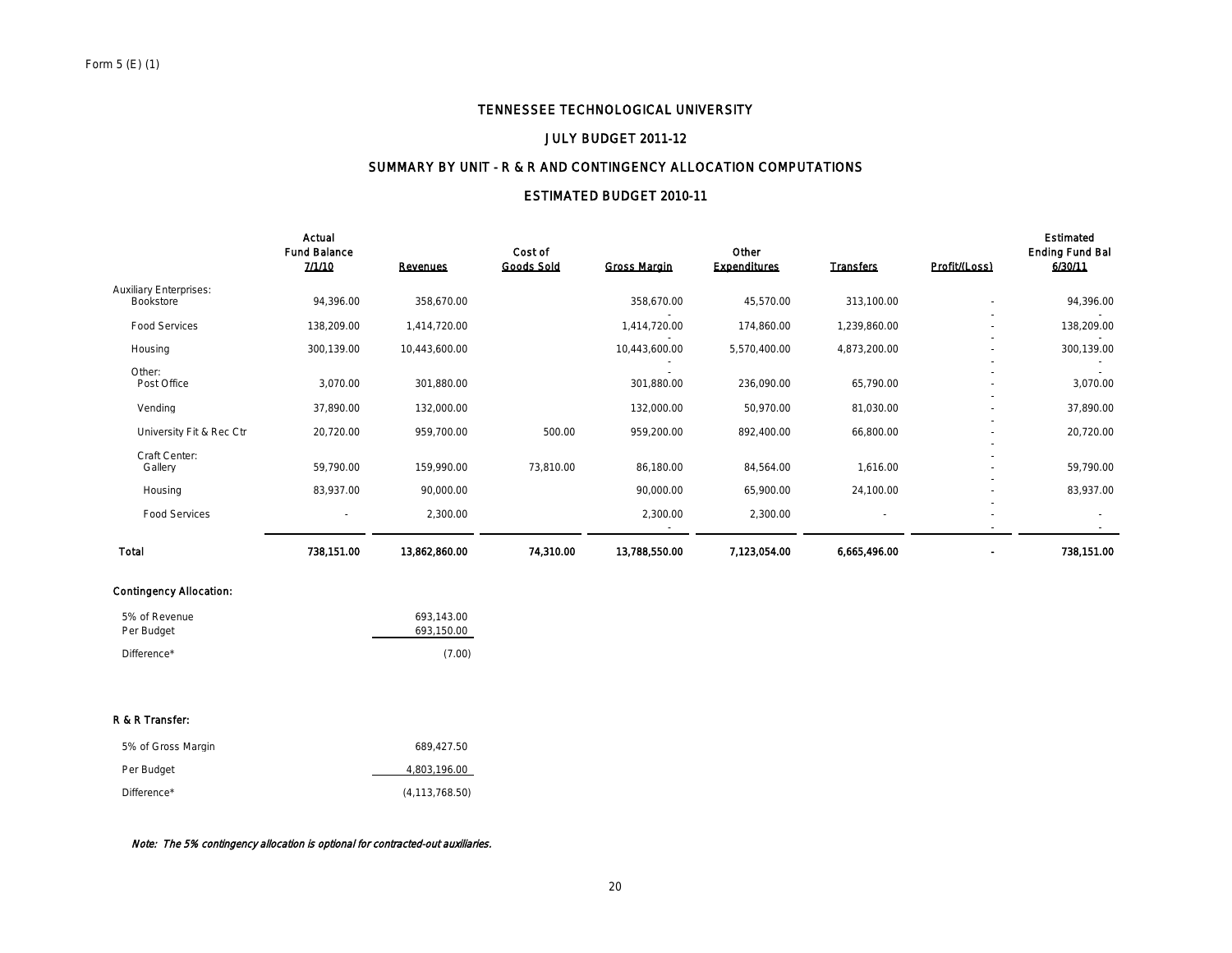### JULY BUDGET 2011-12

### SUMMARY BY UNIT - R & R AND CONTINGENCY ALLOCATION COMPUTATIONS

## ESTIMATED BUDGET 2010-11

|                                            | Actual<br><b>Fund Balance</b><br>7/1/10 | <b>Revenues</b> | Cost of<br><b>Goods Sold</b> | <b>Gross Margin</b> | Other<br><b>Expenditures</b> | <b>Transfers</b> | Profit/(Loss)                                        | <b>Estimated</b><br><b>Ending Fund Bal</b><br>6/30/11 |
|--------------------------------------------|-----------------------------------------|-----------------|------------------------------|---------------------|------------------------------|------------------|------------------------------------------------------|-------------------------------------------------------|
| <b>Auxiliary Enterprises:</b><br>Bookstore | 94,396.00                               | 358,670.00      |                              | 358,670.00          | 45,570.00                    | 313,100.00       |                                                      | 94,396.00                                             |
| <b>Food Services</b>                       | 138,209.00                              | 1,414,720.00    |                              | 1,414,720.00        | 174,860.00                   | 1,239,860.00     | $\overline{\phantom{a}}$                             | 138,209.00                                            |
| Housing                                    | 300,139.00                              | 10,443,600.00   |                              | 10,443,600.00       | 5,570,400.00                 | 4,873,200.00     | $\overline{\phantom{a}}$                             | 300,139.00                                            |
| Other:<br>Post Office                      | 3,070.00                                | 301,880.00      |                              | 301,880.00          | 236,090.00                   | 65,790.00        | $\overline{\phantom{a}}$                             | 3,070.00                                              |
| Vending                                    | 37,890.00                               | 132,000.00      |                              | 132,000.00          | 50,970.00                    | 81,030.00        |                                                      | 37,890.00                                             |
| University Fit & Rec Ctr                   | 20,720.00                               | 959,700.00      | 500.00                       | 959,200.00          | 892,400.00                   | 66,800.00        | $\overline{\phantom{a}}$<br>$\overline{\phantom{a}}$ | 20,720.00                                             |
| Craft Center:<br>Gallery                   | 59,790.00                               | 159,990.00      | 73,810.00                    | 86,180.00           | 84,564.00                    | 1,616.00         |                                                      | 59,790.00                                             |
| Housing                                    | 83,937.00                               | 90,000.00       |                              | 90,000.00           | 65,900.00                    | 24,100.00        | $\overline{\phantom{a}}$                             | 83,937.00                                             |
| <b>Food Services</b>                       | $\overline{\phantom{a}}$                | 2,300.00        |                              | 2,300.00            | 2,300.00                     |                  |                                                      |                                                       |
| <b>Total</b>                               | 738,151.00                              | 13,862,860.00   | 74,310.00                    | 13,788,550.00       | 7,123,054.00                 | 6,665,496.00     |                                                      | 738,151.00                                            |

#### Contingency Allocation:

| 5% of Revenue | 693.143.00 |
|---------------|------------|
| Per Budget    | 693.150.00 |
| Difference*   | (7.00)     |

### R & R Transfer:

| 5% of Gross Margin | 689.427.50       |
|--------------------|------------------|
| Per Budget         | 4,803,196.00     |
| Difference*        | (4, 113, 768.50) |

### Note: The 5% contingency allocation is optional for contracted-out auxiliaries.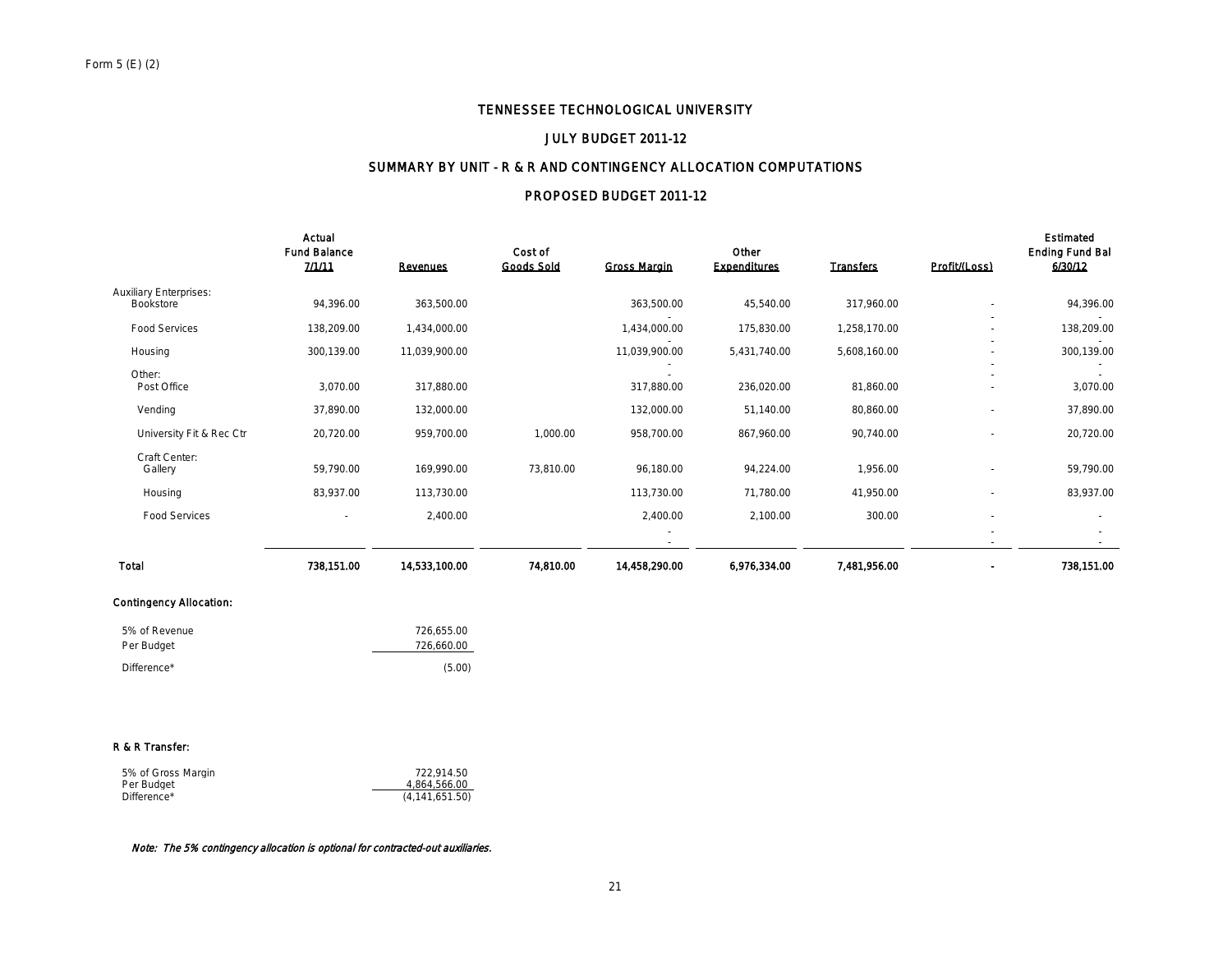### JULY BUDGET 2011-12

### SUMMARY BY UNIT - R & R AND CONTINGENCY ALLOCATION COMPUTATIONS

## PROPOSED BUDGET 2011-12

|                                            | Actual<br><b>Fund Balance</b><br>7/1/11 | <b>Revenues</b> | Cost of<br><b>Goods Sold</b> | <b>Gross Margin</b> | Other<br><b>Expenditures</b> | <b>Transfers</b> | Profit/(Loss)            | <b>Estimated</b><br><b>Ending Fund Bal</b><br>6/30/12 |
|--------------------------------------------|-----------------------------------------|-----------------|------------------------------|---------------------|------------------------------|------------------|--------------------------|-------------------------------------------------------|
| <b>Auxiliary Enterprises:</b><br>Bookstore | 94,396.00                               | 363,500.00      |                              | 363,500.00          | 45,540.00                    | 317,960.00       |                          | 94,396.00                                             |
| <b>Food Services</b>                       | 138,209.00                              | 1,434,000.00    |                              | 1,434,000.00        | 175,830.00                   | 1,258,170.00     | $\overline{\phantom{a}}$ | 138,209.00                                            |
| Housing                                    | 300,139.00                              | 11,039,900.00   |                              | 11,039,900.00       | 5,431,740.00                 | 5,608,160.00     | $\overline{\phantom{a}}$ | 300,139.00                                            |
| Other:<br>Post Office                      | 3,070.00                                | 317,880.00      |                              | 317,880.00          | 236,020.00                   | 81,860.00        |                          | 3,070.00                                              |
| Vending                                    | 37,890.00                               | 132,000.00      |                              | 132,000.00          | 51,140.00                    | 80,860.00        |                          | 37,890.00                                             |
| University Fit & Rec Ctr                   | 20,720.00                               | 959,700.00      | 1,000.00                     | 958,700.00          | 867,960.00                   | 90,740.00        |                          | 20,720.00                                             |
| Craft Center:<br>Gallery                   | 59,790.00                               | 169,990.00      | 73,810.00                    | 96,180.00           | 94,224.00                    | 1,956.00         |                          | 59,790.00                                             |
| Housing                                    | 83,937.00                               | 113,730.00      |                              | 113,730.00          | 71,780.00                    | 41,950.00        |                          | 83,937.00                                             |
| <b>Food Services</b>                       | $\sim$                                  | 2,400.00        |                              | 2,400.00            | 2,100.00                     | 300.00           | $\overline{\phantom{a}}$ |                                                       |
|                                            |                                         |                 |                              |                     |                              |                  | $\overline{\phantom{a}}$ | $\sim$                                                |
| Total                                      | 738,151.00                              | 14,533,100.00   | 74,810.00                    | 14,458,290.00       | 6,976.334.00                 | 7,481,956.00     |                          | 738,151.00                                            |

#### Contingency Allocation:

| 5% of Revenue | 726.655.00 |
|---------------|------------|
| Per Budget    | 726.660.00 |
| Difference*   | (5.00)     |

#### R & R Transfer:

| 5% of Gross Margin | 722.914.50       |
|--------------------|------------------|
| Per Budget         | 4.864.566.00     |
| Difference*        | (4, 141, 651.50) |

#### Note: The 5% contingency allocation is optional for contracted-out auxiliaries.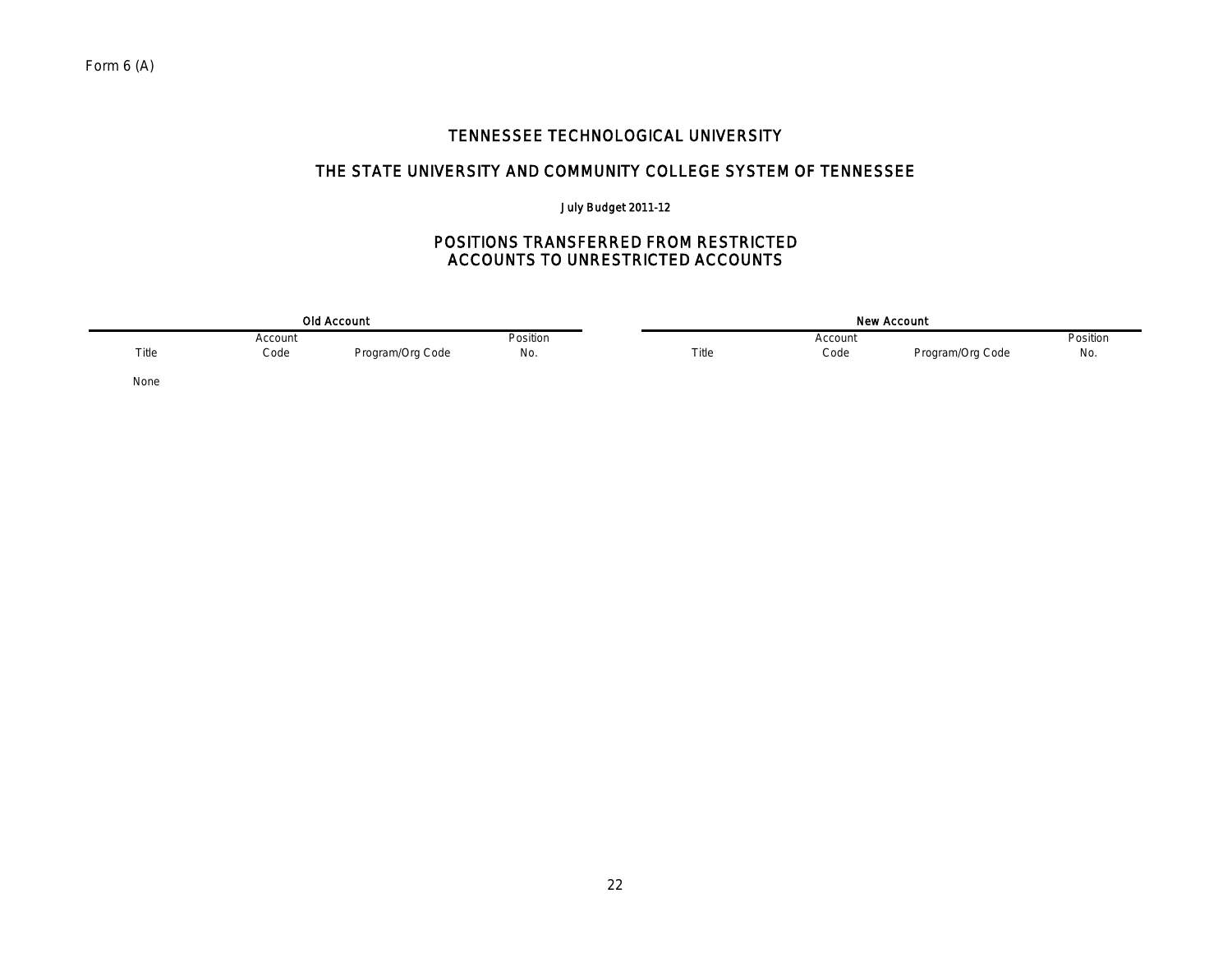# THE STATE UNIVERSITY AND COMMUNITY COLLEGE SYSTEM OF TENNESSEE

## July Budget 2011-12

## POSITIONS TRANSFERRED FROM RESTRICTED ACCOUNTS TO UNRESTRICTED ACCOUNTS

| <b>Old Account</b> |         |                  |          | <b>New Account</b> |         |                  |          |  |
|--------------------|---------|------------------|----------|--------------------|---------|------------------|----------|--|
|                    | Account |                  | Position |                    | Account |                  | Position |  |
| Title              | Code    | Program/Org Code | No.      | Title              | Code    | Program/Org Code | No.      |  |
| None               |         |                  |          |                    |         |                  |          |  |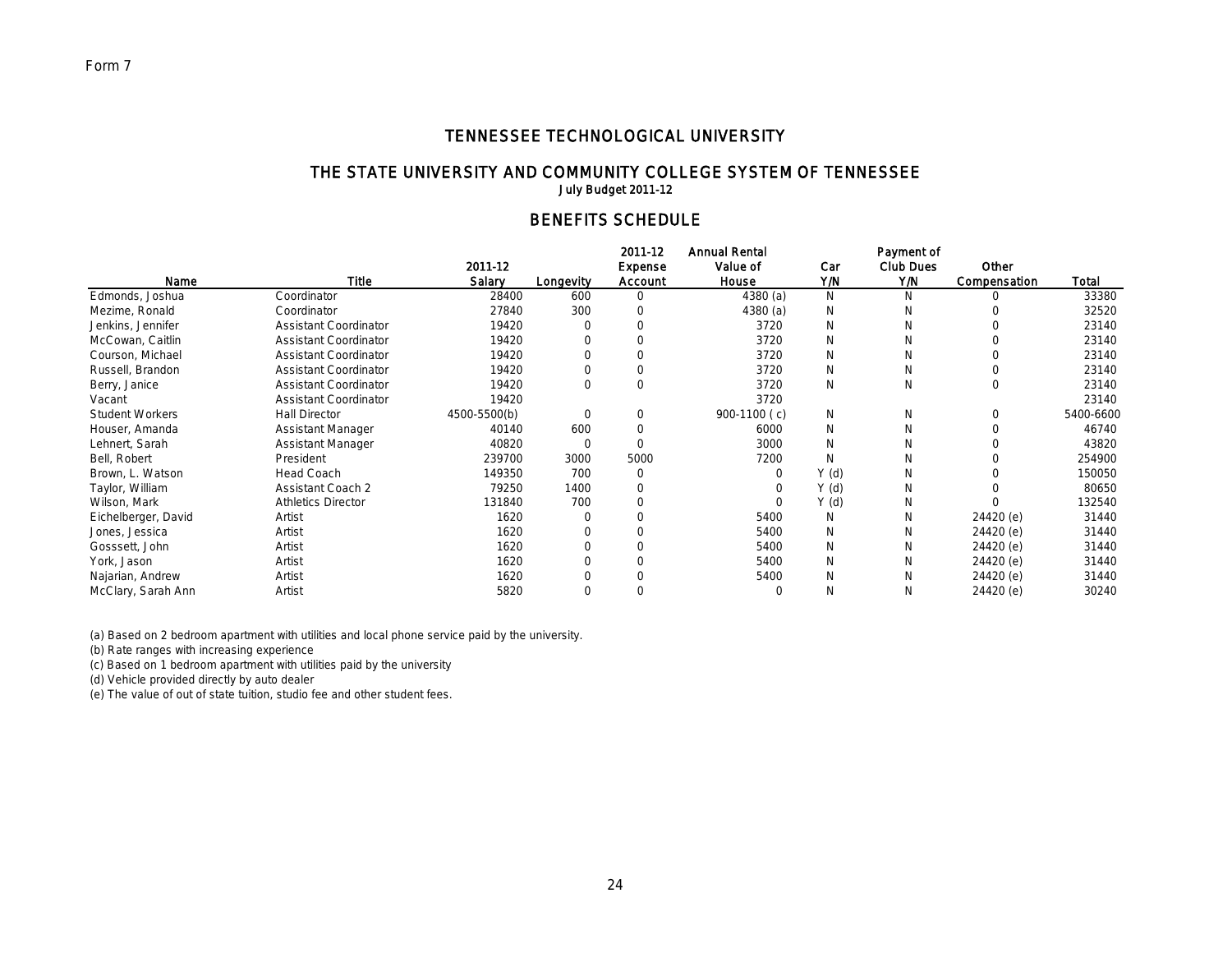# THE STATE UNIVERSITY AND COMMUNITY COLLEGE SYSTEM OF TENNESSEE

July Budget 2011-12

# BENEFITS SCHEDULE

|                        |                              |              |           | 2011-12  | <b>Annual Rental</b> |       | Payment of       |              |           |
|------------------------|------------------------------|--------------|-----------|----------|----------------------|-------|------------------|--------------|-----------|
|                        |                              | 2011-12      |           | Expense  | Value of             | Car   | <b>Club Dues</b> | Other        |           |
| Name                   | <b>Title</b>                 | Salary       | Longevity | Account  | House                | Y/N   | Y/N              | Compensation | Total     |
| Edmonds, Joshua        | Coordinator                  | 28400        | 600       |          | 4380(a)              | N     | N                | Ω            | 33380     |
| Mezime, Ronald         | Coordinator                  | 27840        | 300       |          | 4380(a)              | N     | N                |              | 32520     |
| Jenkins, Jennifer      | <b>Assistant Coordinator</b> | 19420        |           |          | 3720                 | N     | N                |              | 23140     |
| McCowan, Caitlin       | <b>Assistant Coordinator</b> | 19420        |           |          | 3720                 | N     | N                |              | 23140     |
| Courson, Michael       | <b>Assistant Coordinator</b> | 19420        |           |          | 3720                 | N     | N                | U            | 23140     |
| Russell, Brandon       | <b>Assistant Coordinator</b> | 19420        |           |          | 3720                 | N     | N                |              | 23140     |
| Berry, Janice          | <b>Assistant Coordinator</b> | 19420        | $\Omega$  |          | 3720                 | N     | N                | 0            | 23140     |
| Vacant                 | <b>Assistant Coordinator</b> | 19420        |           |          | 3720                 |       |                  |              | 23140     |
| <b>Student Workers</b> | <b>Hall Director</b>         | 4500-5500(b) |           | $\Omega$ | 900-1100 (c)         | N     | N                | $\Omega$     | 5400-6600 |
| Houser, Amanda         | Assistant Manager            | 40140        | 600       |          | 6000                 | N     | N                |              | 46740     |
| Lehnert, Sarah         | <b>Assistant Manager</b>     | 40820        | $\Omega$  |          | 3000                 | N     | N                |              | 43820     |
| Bell, Robert           | President                    | 239700       | 3000      | 5000     | 7200                 |       | N                |              | 254900    |
| Brown, L. Watson       | Head Coach                   | 149350       | 700       | 0        |                      | Y (d) | N                |              | 150050    |
| Taylor, William        | <b>Assistant Coach 2</b>     | 79250        | 1400      |          |                      | Y(d)  | N                |              | 80650     |
| Wilson, Mark           | <b>Athletics Director</b>    | 131840       | 700       |          |                      | Y(d)  | N                |              | 132540    |
| Eichelberger, David    | Artist                       | 1620         |           |          | 5400                 | N     | N                | 24420 (e)    | 31440     |
| Jones, Jessica         | Artist                       | 1620         |           |          | 5400                 | N     | N                | 24420 (e)    | 31440     |
| Gosssett, John         | Artist                       | 1620         |           |          | 5400                 | N     | N                | 24420 (e)    | 31440     |
| York, Jason            | Artist                       | 1620         |           |          | 5400                 | N     | N                | 24420 (e)    | 31440     |
| Najarian, Andrew       | Artist                       | 1620         |           |          | 5400                 | N     | N                | 24420 (e)    | 31440     |
| McClary, Sarah Ann     | Artist                       | 5820         | $\Omega$  |          |                      | N     | N                | 24420 (e)    | 30240     |

(a) Based on 2 bedroom apartment with utilities and local phone service paid by the university.

(b) Rate ranges with increasing experience

(c) Based on 1 bedroom apartment with utilities paid by the university

(d) Vehicle provided directly by auto dealer

(e) The value of out of state tuition, studio fee and other student fees.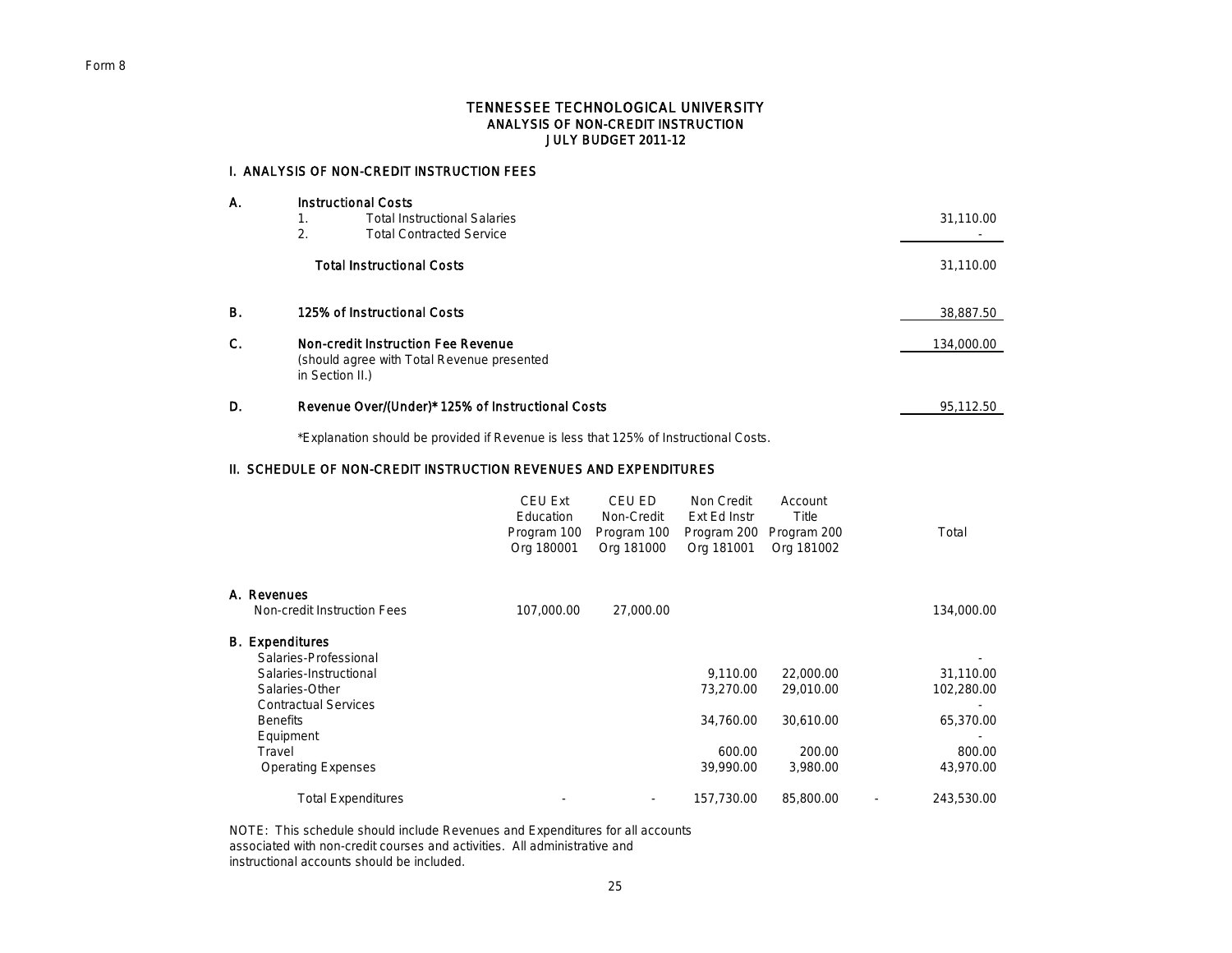### TENNESSEE TECHNOLOGICAL UNIVERSITY ANALYSIS OF NON-CREDIT INSTRUCTION JULY BUDGET 2011-12

### I. ANALYSIS OF NON-CREDIT INSTRUCTION FEES

| А. | <b>Instructional Costs</b>                                    |  |            |  |  |  |
|----|---------------------------------------------------------------|--|------------|--|--|--|
|    | <b>Total Instructional Salaries</b><br>1.                     |  | 31,110.00  |  |  |  |
|    | 2.<br><b>Total Contracted Service</b>                         |  |            |  |  |  |
|    | <b>Total Instructional Costs</b>                              |  | 31,110.00  |  |  |  |
| В. | 125% of Instructional Costs                                   |  | 38,887.50  |  |  |  |
| C. | Non-credit Instruction Fee Revenue                            |  | 134,000.00 |  |  |  |
|    | (should agree with Total Revenue presented<br>in Section II.) |  |            |  |  |  |
| D. | Revenue Over/(Under)* 125% of Instructional Costs             |  | 95,112.50  |  |  |  |

\*Explanation should be provided if Revenue is less that 125% of Instructional Costs.

### II. SCHEDULE OF NON-CREDIT INSTRUCTION REVENUES AND EXPENDITURES

|                                                 | <b>CEU Ext</b><br>Education<br>Program 100<br>Org 180001 | CEU ED<br>Non-Credit<br>Program 100<br>Org 181000 | Non Credit<br>Ext Ed Instr<br>Program 200<br>Org 181001 | Account<br>Title<br>Program 200<br>Org 181002 | Total      |
|-------------------------------------------------|----------------------------------------------------------|---------------------------------------------------|---------------------------------------------------------|-----------------------------------------------|------------|
| A. Revenues                                     |                                                          |                                                   |                                                         |                                               |            |
| Non-credit Instruction Fees                     | 107,000.00                                               | 27,000.00                                         |                                                         |                                               | 134,000.00 |
| <b>B.</b> Expenditures<br>Salaries-Professional |                                                          |                                                   |                                                         |                                               |            |
| Salaries-Instructional                          |                                                          |                                                   | 9,110.00                                                | 22,000.00                                     | 31,110.00  |
| Salaries-Other                                  |                                                          |                                                   | 73,270.00                                               | 29,010.00                                     | 102,280.00 |
| <b>Contractual Services</b>                     |                                                          |                                                   |                                                         |                                               |            |
| <b>Benefits</b>                                 |                                                          |                                                   | 34,760.00                                               | 30,610.00                                     | 65,370.00  |
| Equipment                                       |                                                          |                                                   |                                                         |                                               |            |
| Travel                                          |                                                          |                                                   | 600.00                                                  | 200.00                                        | 800.00     |
| <b>Operating Expenses</b>                       |                                                          |                                                   | 39,990.00                                               | 3,980.00                                      | 43,970.00  |
| <b>Total Expenditures</b>                       |                                                          | $\overline{\phantom{a}}$                          | 157,730.00                                              | 85,800.00                                     | 243,530.00 |

NOTE: This schedule should include Revenues and Expenditures for all accounts associated with non-credit courses and activities. All administrative and instructional accounts should be included.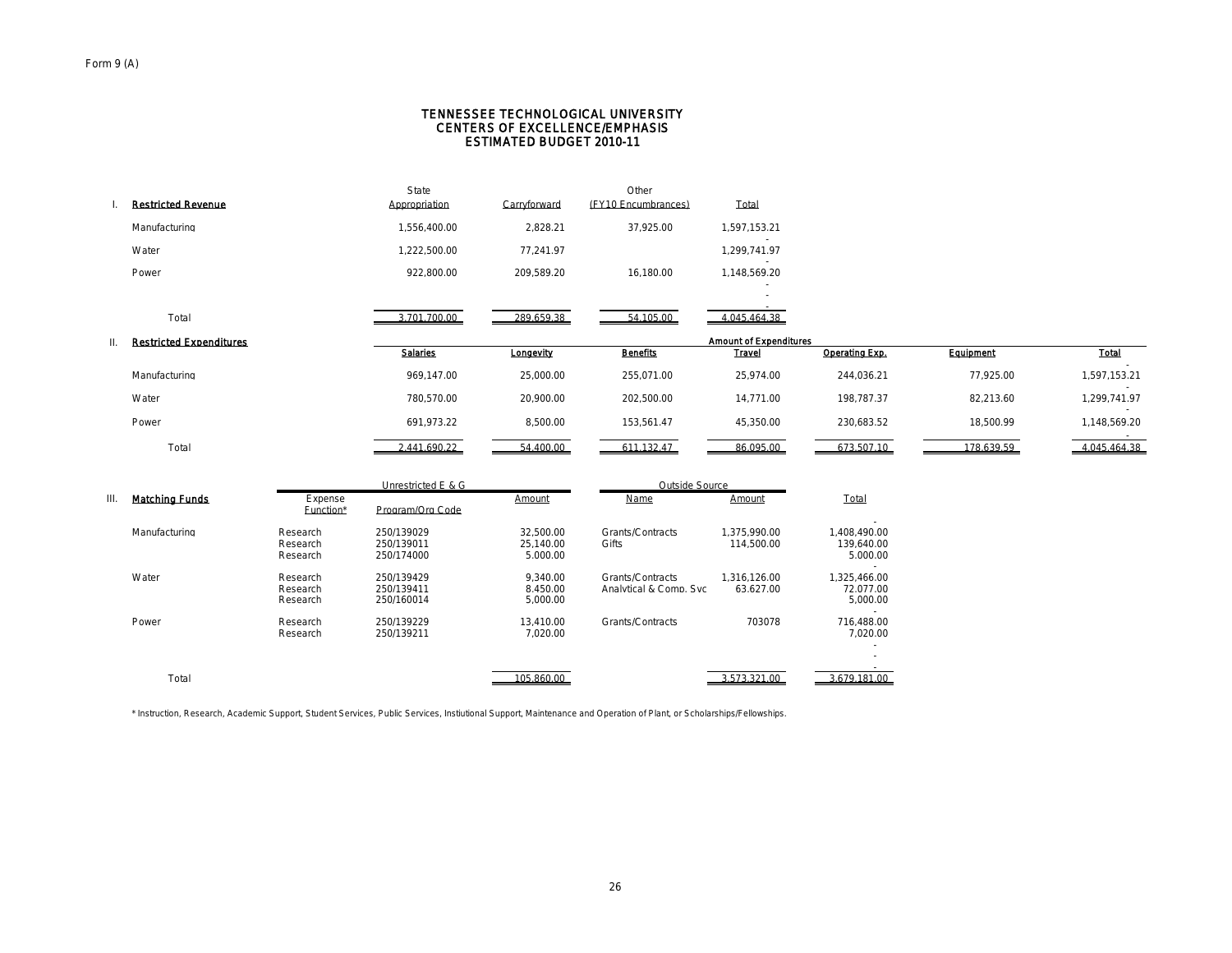#### CENTERS OF EXCELLENCE/EMPHASIS TENNESSEE TECHNOLOGICAL UNIVERSITY ESTIMATED BUDGET 2010-11

|    | <b>Restricted Revenue</b>      |                                  | State<br>Appropriation                 | Carryforward                       | Other<br>(EY10 Encumbrances)               | Total                         |                                                 |            |              |
|----|--------------------------------|----------------------------------|----------------------------------------|------------------------------------|--------------------------------------------|-------------------------------|-------------------------------------------------|------------|--------------|
|    |                                |                                  |                                        |                                    |                                            |                               |                                                 |            |              |
|    | Manufacturing                  |                                  | 1.556.400.00                           | 2.828.21                           | 37.925.00                                  | 1.597.153.21                  |                                                 |            |              |
|    | Water                          |                                  | 1,222,500.00                           | 77,241.97                          |                                            | 1.299.741.97                  |                                                 |            |              |
|    | Power                          |                                  | 922.800.00                             | 209.589.20                         | 16.180.00                                  | 1.148.569.20                  |                                                 |            |              |
|    |                                |                                  |                                        |                                    |                                            |                               |                                                 |            |              |
|    | Total                          |                                  | 3.701.700.00                           | 289.659.38                         | 54.105.00                                  | 4.045.464.38                  |                                                 |            |              |
| Ш. | <b>Restricted Expenditures</b> |                                  |                                        |                                    |                                            | <b>Amount of Expenditures</b> |                                                 |            |              |
|    |                                |                                  | <b>Salarles</b>                        | Longevity                          | <b>Benefits</b>                            | <b>Travel</b>                 | Operating Exp.                                  | Equipment  | Total        |
|    | Manufacturing                  |                                  | 969,147.00                             | 25,000.00                          | 255,071.00                                 | 25,974.00                     | 244,036.21                                      | 77,925.00  | 1,597,153.21 |
|    | Water                          |                                  | 780.570.00                             | 20.900.00                          | 202.500.00                                 | 14.771.00                     | 198.787.37                                      | 82.213.60  | 1.299.741.97 |
|    | Power                          |                                  | 691,973.22                             | 8,500.00                           | 153,561.47                                 | 45,350.00                     | 230,683.52                                      | 18,500.99  | 1,148,569.20 |
|    | Total                          |                                  | 2,441,690.22                           | 54,400.00                          | 611,132.47                                 | 86,095.00                     | 673,507.10                                      | 178,639.59 | 4,045,464.38 |
|    |                                |                                  | Unrestricted E & G                     |                                    | Outside Source                             |                               |                                                 |            |              |
| Ш. | <b>Matching Funds</b>          | Expense<br>Function*             | Program/Org Code                       | Amount                             | Name                                       | Amount                        | Total                                           |            |              |
|    | Manufacturing                  | Research<br>Research<br>Research | 250/139029<br>250/139011<br>250/174000 | 32.500.00<br>25.140.00<br>5.000.00 | Grants/Contracts<br>Gifts                  | 1.375.990.00<br>114,500.00    | 1.408.490.00<br>139,640.00<br>5.000.00          |            |              |
|    | Water                          | Research<br>Research<br>Research | 250/139429<br>250/139411<br>250/160014 | 9.340.00<br>8.450.00<br>5,000.00   | Grants/Contracts<br>Analytical & Comp. Svc | 1.316.126.00<br>63.627.00     | 1.325.466.00<br>72.077.00<br>5,000.00<br>$\sim$ |            |              |
|    | Power                          | Research<br>Research             | 250/139229<br>250/139211               | 13.410.00<br>7.020.00              | Grants/Contracts                           | 703078                        | 716.488.00<br>7.020.00                          |            |              |
|    |                                |                                  |                                        |                                    |                                            |                               |                                                 |            |              |

3.679.181.00

\* Instruction, Research, Academic Support, Student Services, Public Services, Instiutional Support, Maintenance and Operation of Plant, or Scholarships/Fellowships.

Total 105,860.00 3,573,321.00 3,573,321.00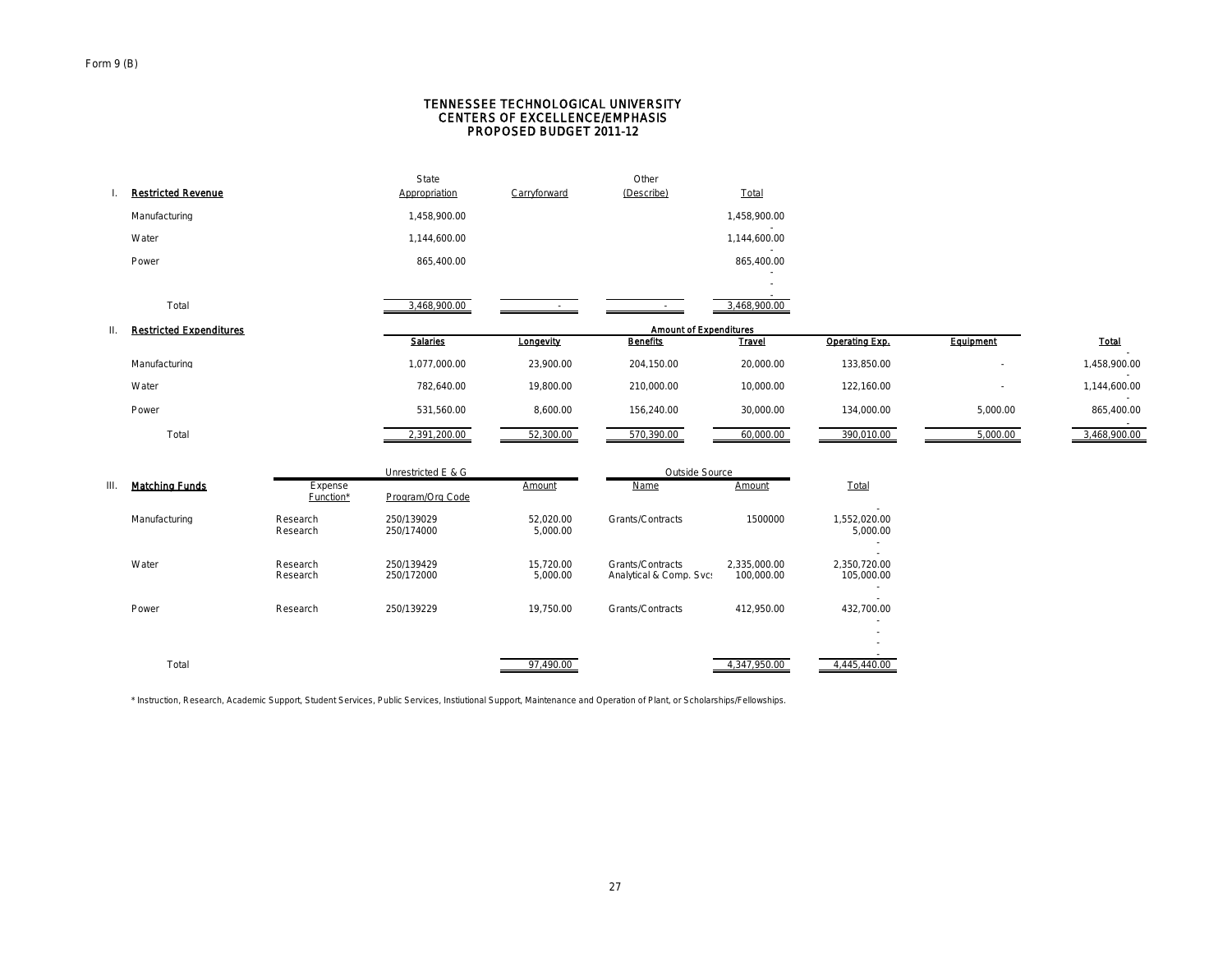#### Form 9 (B)

#### CENTERS OF EXCELLENCE/EMPHASIS TENNESSEE TECHNOLOGICAL UNIVERSITY PROPOSED BUDGET 2011-12

|      | <b>Restricted Revenue</b>      |                      | State<br>Appropriation   | Carryforward          | Other<br>(Describe)                         | <b>Total</b>               |                                              |                          |              |
|------|--------------------------------|----------------------|--------------------------|-----------------------|---------------------------------------------|----------------------------|----------------------------------------------|--------------------------|--------------|
|      | Manufacturing                  |                      | 1,458,900.00             |                       |                                             | 1,458,900.00               |                                              |                          |              |
|      | Water                          |                      | 1,144,600.00             |                       |                                             | $\sim$<br>1,144,600.00     |                                              |                          |              |
|      | Power                          |                      | 865,400.00               |                       |                                             | 865,400.00                 |                                              |                          |              |
|      |                                |                      |                          |                       |                                             |                            |                                              |                          |              |
|      | Total                          |                      | 3,468,900.00             |                       |                                             | 3,468,900.00               |                                              |                          |              |
| Ш.   | <b>Restricted Expenditures</b> |                      |                          |                       | <b>Amount of Expenditures</b>               |                            |                                              |                          |              |
|      |                                |                      | Salaries                 | Longevity             | <b>Benefits</b>                             | <b>Travel</b>              | Operating Exp.                               | Equipment                | Total        |
|      | Manufacturing                  |                      | 1,077,000.00             | 23,900.00             | 204,150.00                                  | 20,000.00                  | 133,850.00                                   | $\overline{\phantom{a}}$ | 1,458,900.00 |
|      | Water                          |                      | 782,640.00               | 19,800.00             | 210,000.00                                  | 10,000.00                  | 122,160.00                                   |                          | 1,144,600.00 |
|      | Power                          |                      | 531,560.00               | 8,600.00              | 156,240.00                                  | 30,000.00                  | 134,000.00                                   | 5,000.00                 | 865,400.00   |
|      | Total                          |                      | 2,391,200.00             | 52,300.00             | 570,390.00                                  | 60,000.00                  | 390,010.00                                   | 5,000.00                 | 3,468,900.00 |
|      |                                |                      | Unrestricted E & G       |                       | Outside Source                              |                            |                                              |                          |              |
| III. | <b>Matching Funds</b>          | Expense<br>Function* | Program/Org Code         | Amount                | Name                                        | Amount                     | Total                                        |                          |              |
|      | Manufacturing                  | Research<br>Research | 250/139029<br>250/174000 | 52,020.00<br>5,000.00 | Grants/Contracts                            | 1500000                    | $\sim$<br>1,552,020.00<br>5,000.00<br>$\sim$ |                          |              |
|      | Water                          | Research<br>Research | 250/139429<br>250/172000 | 15,720.00<br>5,000.00 | Grants/Contracts<br>Analytical & Comp. Svc: | 2,335,000.00<br>100,000.00 | 2,350,720.00<br>105,000.00<br>$\sim$         |                          |              |
|      | Power                          | Research             | 250/139229               | 19,750.00             | Grants/Contracts                            | 412,950.00                 | 432,700.00                                   |                          |              |
|      | Total                          |                      |                          | 97.490.00             |                                             | 4,347,950.00               | 4.445.440.00                                 |                          |              |

\* Instruction, Research, Academic Support, Student Services, Public Services, Instiutional Support, Maintenance and Operation of Plant, or Scholarships/Fellowships.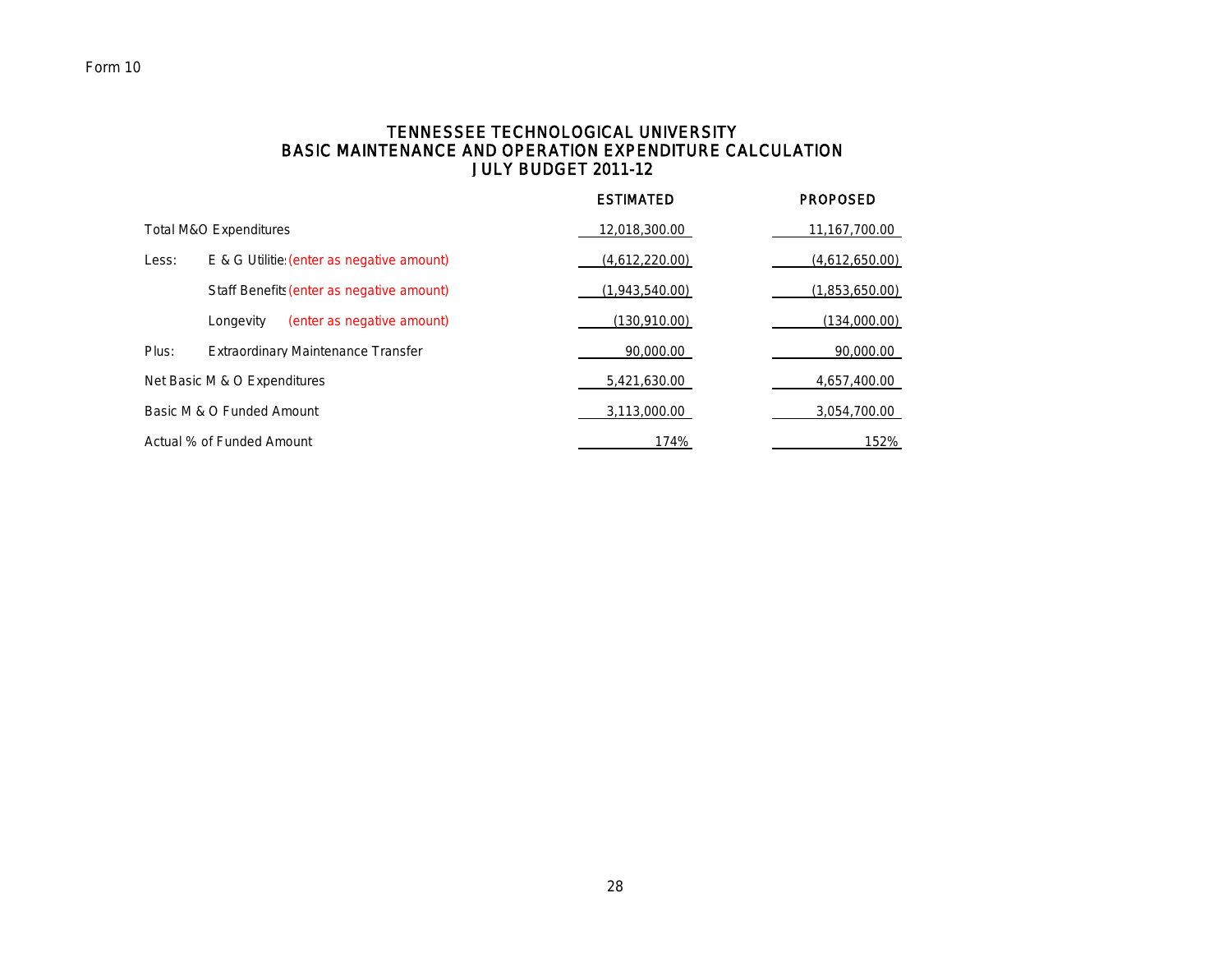# Form 10

## TENNESSEE TECHNOLOGICAL UNIVERSITY BASIC MAINTENANCE AND OPERATION EXPENDITURE CALCULATION JULY BUDGET 2011-12

|       |                                           | <b>ESTIMATED</b> | <b>PROPOSED</b> |
|-------|-------------------------------------------|------------------|-----------------|
|       | <b>Total M&amp;O Expenditures</b>         | 12,018,300.00    | 11,167,700.00   |
| Less: | E & G Utilitie (enter as negative amount) | (4,612,220.00)   | (4,612,650.00)  |
|       | Staff Benefits (enter as negative amount) | (1,943,540.00)   | (1,853,650.00)  |
|       | (enter as negative amount)<br>Longevity   | (130,910.00)     | (134,000.00)    |
| Plus: | <b>Extraordinary Maintenance Transfer</b> | 90,000.00        | 90,000.00       |
|       | Net Basic M & O Expenditures              | 5,421,630.00     | 4,657,400.00    |
|       | Basic M & O Funded Amount                 | 3,113,000.00     | 3,054,700.00    |
|       | Actual % of Funded Amount                 | 174%             | 152%            |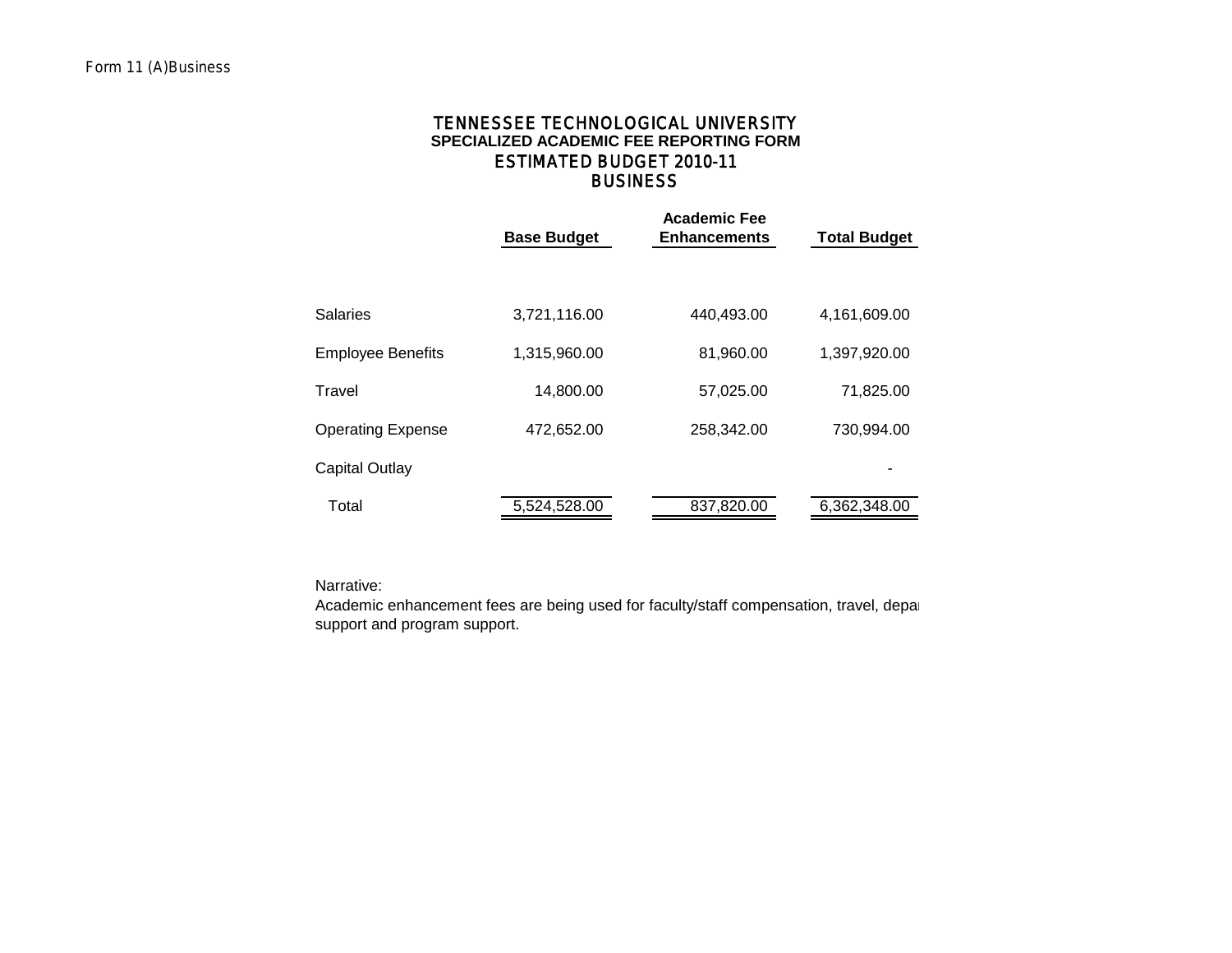## **BUSINESS SPECIALIZED ACADEMIC FEE REPORTING FORM** TENNESSEE TECHNOLOGICAL UNIVERSITY ESTIMATED BUDGET 2010-11

|                          | <b>Base Budget</b> | <b>Academic Fee</b><br><b>Enhancements</b> | <b>Total Budget</b> |
|--------------------------|--------------------|--------------------------------------------|---------------------|
|                          |                    |                                            |                     |
| Salaries                 | 3,721,116.00       | 440,493.00                                 | 4,161,609.00        |
| <b>Employee Benefits</b> | 1,315,960.00       | 81,960.00                                  | 1,397,920.00        |
| Travel                   | 14,800.00          | 57,025.00                                  | 71,825.00           |
| <b>Operating Expense</b> | 472,652.00         | 258,342.00                                 | 730,994.00          |
| Capital Outlay           |                    |                                            |                     |
| Total                    | 5,524,528.00       | 837,820.00                                 | 6,362,348.00        |

Narrative:

Academic enhancement fees are being used for faculty/staff compensation, travel, depar support and program support.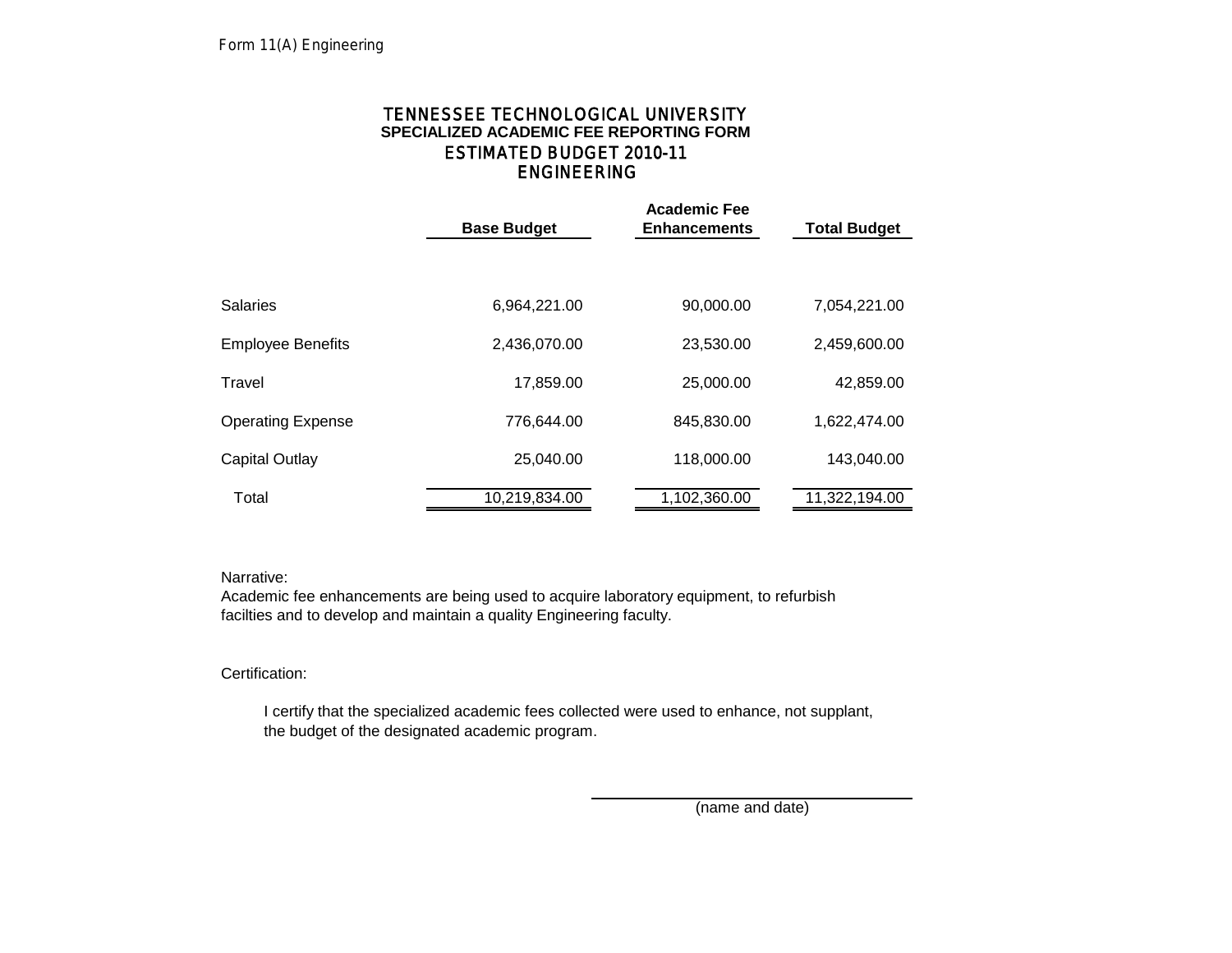# ENGINEERING TENNESSEE TECHNOLOGICAL UNIVERSITY **SPECIALIZED ACADEMIC FEE REPORTING FORM** ESTIMATED BUDGET 2010-11

|                          | <b>Base Budget</b> | <b>Academic Fee</b><br><b>Enhancements</b> | <b>Total Budget</b> |
|--------------------------|--------------------|--------------------------------------------|---------------------|
|                          |                    |                                            |                     |
|                          |                    |                                            |                     |
| <b>Salaries</b>          | 6,964,221.00       | 90,000.00                                  | 7,054,221.00        |
| <b>Employee Benefits</b> | 2,436,070.00       | 23,530.00                                  | 2,459,600.00        |
| Travel                   | 17,859.00          | 25,000.00                                  | 42,859.00           |
| <b>Operating Expense</b> | 776.644.00         | 845,830.00                                 | 1,622,474.00        |
| <b>Capital Outlay</b>    | 25,040.00          | 118,000.00                                 | 143,040.00          |
| Total                    | 10,219,834.00      | 1,102,360.00                               | 11,322,194.00       |

## Narrative:

Academic fee enhancements are being used to acquire laboratory equipment, to refurbish facilties and to develop and maintain a quality Engineering faculty.

## Certification:

 I certify that the specialized academic fees collected were used to enhance, not supplant, the budget of the designated academic program.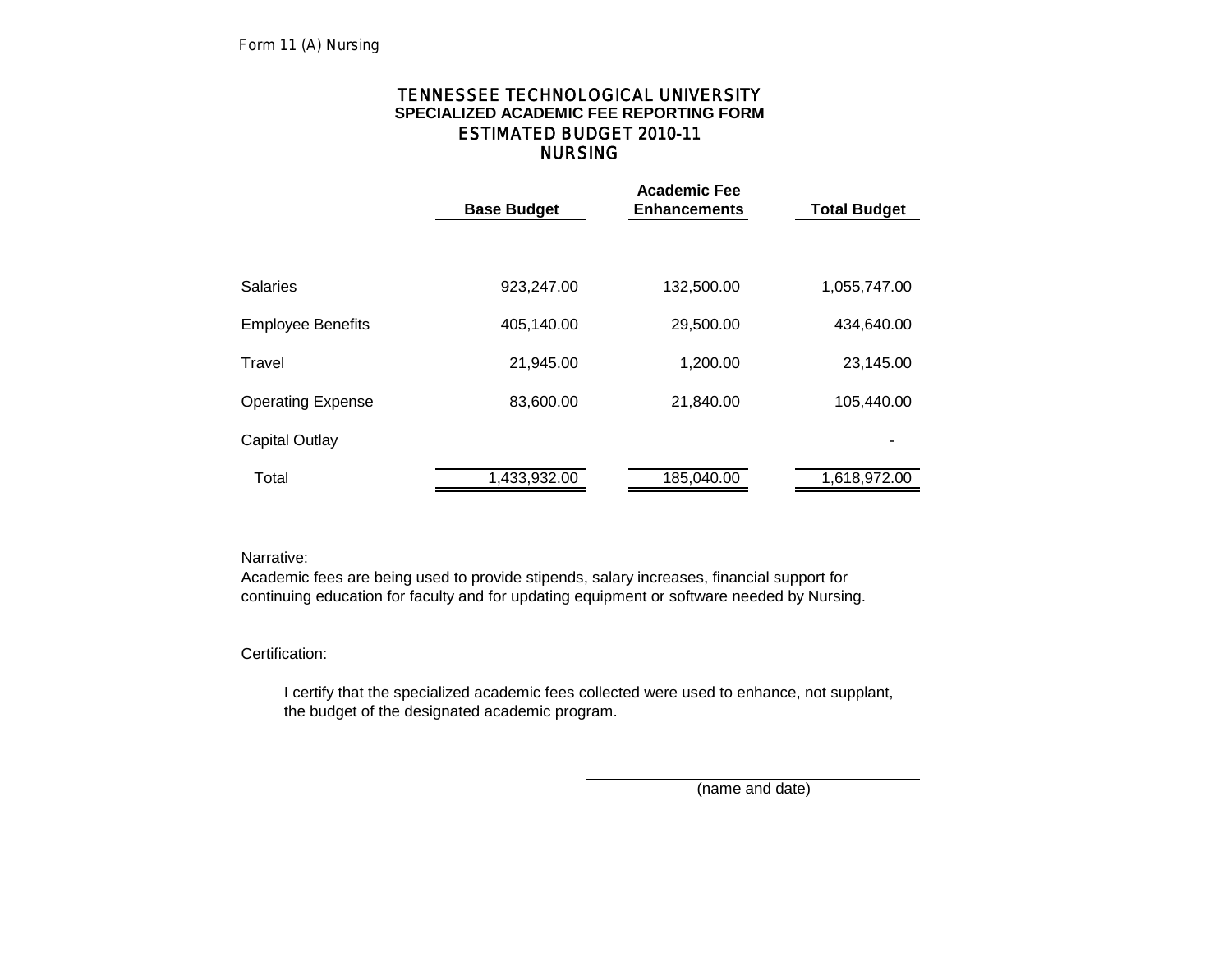# NURSING TENNESSEE TECHNOLOGICAL UNIVERSITY **SPECIALIZED ACADEMIC FEE REPORTING FORM** ESTIMATED BUDGET 2010-11

|                    | <b>Academic Fee</b> |                     |
|--------------------|---------------------|---------------------|
| <b>Base Budget</b> | <b>Enhancements</b> | <b>Total Budget</b> |
|                    |                     |                     |
|                    |                     |                     |
| 923,247.00         | 132,500.00          | 1,055,747.00        |
|                    |                     |                     |
| 405,140.00         | 29,500.00           | 434,640.00          |
|                    |                     | 23,145.00           |
|                    |                     |                     |
| 83,600.00          | 21,840.00           | 105,440.00          |
|                    |                     |                     |
|                    |                     |                     |
| 1,433,932.00       | 185,040.00          | 1,618,972.00        |
|                    | 21,945.00           | 1,200.00            |

## Narrative:

Academic fees are being used to provide stipends, salary increases, financial support for continuing education for faculty and for updating equipment or software needed by Nursing.

# Certification:

 I certify that the specialized academic fees collected were used to enhance, not supplant, the budget of the designated academic program.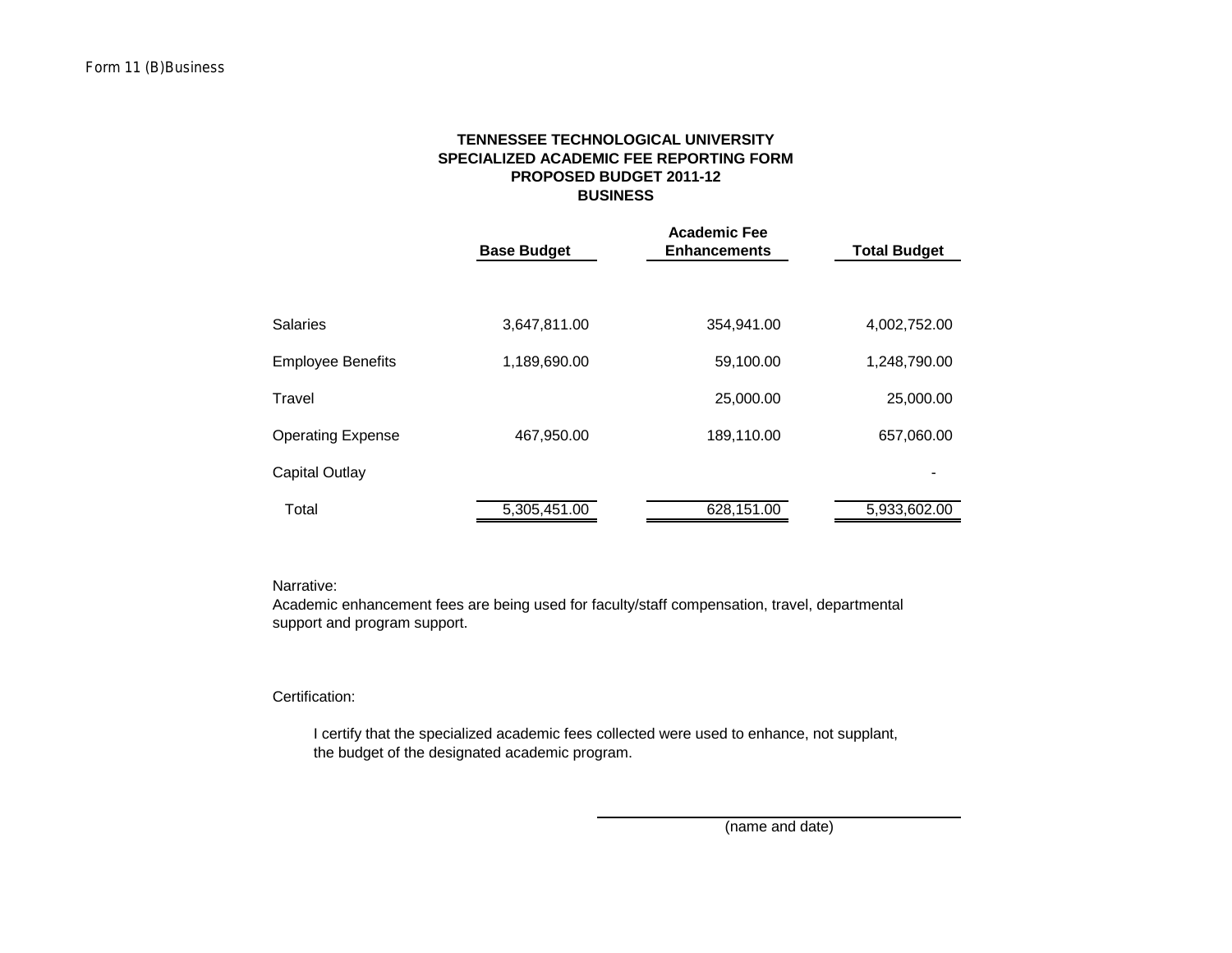## **SPECIALIZED ACADEMIC FEE REPORTING FORM TENNESSEE TECHNOLOGICAL UNIVERSITY PROPOSED BUDGET 2011-12 BUSINESS**

|                          | <b>Base Budget</b> | <b>Academic Fee</b><br><b>Enhancements</b> | <b>Total Budget</b> |  |  |
|--------------------------|--------------------|--------------------------------------------|---------------------|--|--|
|                          |                    |                                            |                     |  |  |
| <b>Salaries</b>          | 3,647,811.00       | 354,941.00                                 | 4,002,752.00        |  |  |
| <b>Employee Benefits</b> | 1,189,690.00       | 59,100.00                                  | 1,248,790.00        |  |  |
| Travel                   |                    | 25,000.00                                  | 25,000.00           |  |  |
| <b>Operating Expense</b> | 467,950.00         | 189,110.00                                 | 657,060.00          |  |  |
| Capital Outlay           |                    |                                            |                     |  |  |
| Total                    | 5,305,451.00       | 628,151.00                                 | 5,933,602.00        |  |  |

Narrative:

Academic enhancement fees are being used for faculty/staff compensation, travel, departmental support and program support.

Certification:

 I certify that the specialized academic fees collected were used to enhance, not supplant, the budget of the designated academic program.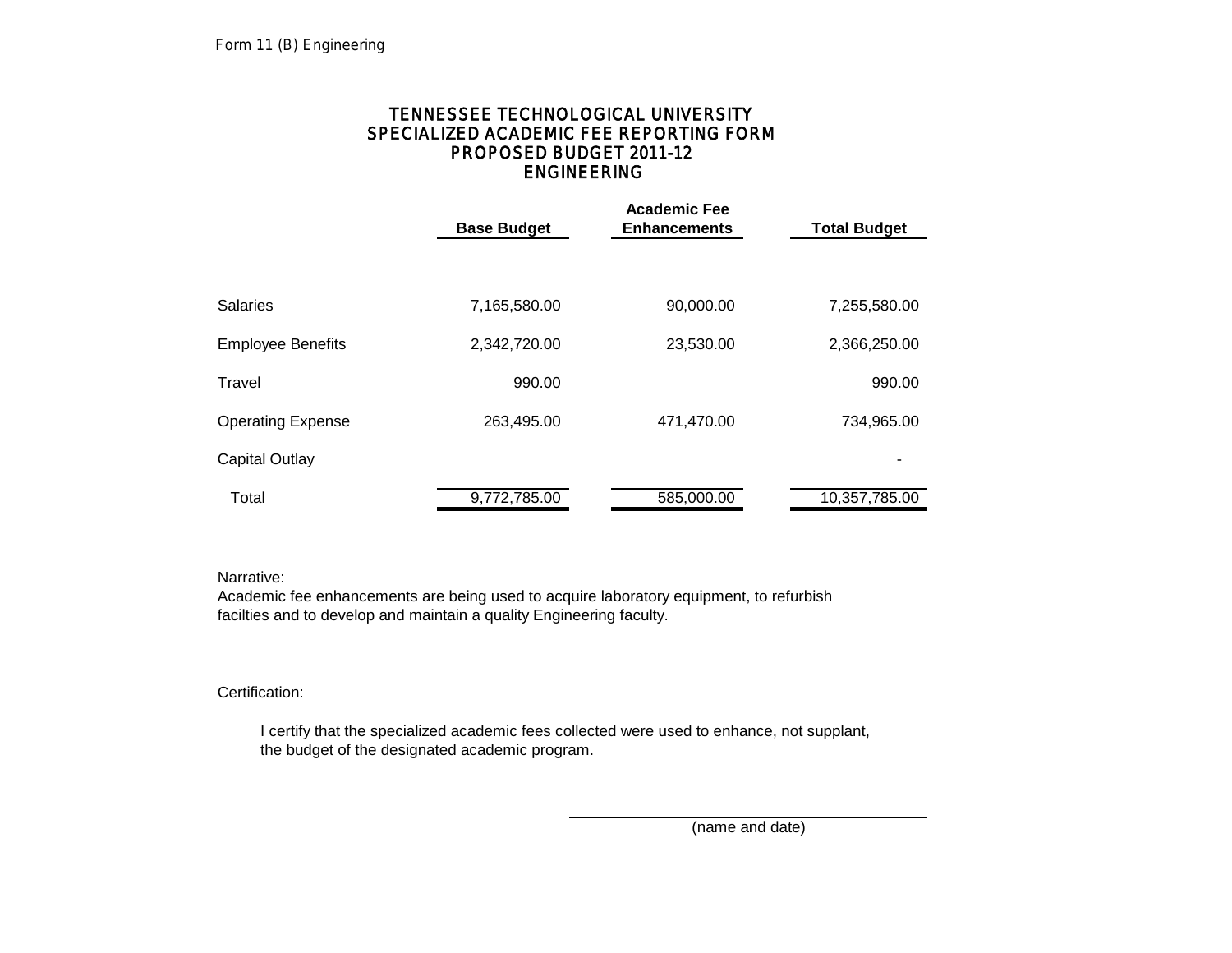# ENGINEERING TENNESSEE TECHNOLOGICAL UNIVERSITY SPECIALIZED ACADEMIC FEE REPORTING FORM PROPOSED BUDGET 2011-12

|                          | <b>Base Budget</b> | <b>Academic Fee</b><br><b>Enhancements</b> | <b>Total Budget</b> |
|--------------------------|--------------------|--------------------------------------------|---------------------|
|                          |                    |                                            |                     |
| <b>Salaries</b>          | 7,165,580.00       | 90,000.00                                  | 7,255,580.00        |
| <b>Employee Benefits</b> | 2,342,720.00       | 23,530.00                                  | 2,366,250.00        |
| Travel                   | 990.00             |                                            | 990.00              |
| <b>Operating Expense</b> | 263,495.00         | 471,470.00                                 | 734,965.00          |
| <b>Capital Outlay</b>    |                    |                                            |                     |
| Total                    | 9,772,785.00       | 585,000.00                                 | 10,357,785.00       |

Narrative:

Academic fee enhancements are being used to acquire laboratory equipment, to refurbish facilties and to develop and maintain a quality Engineering faculty.

Certification:

 I certify that the specialized academic fees collected were used to enhance, not supplant, the budget of the designated academic program.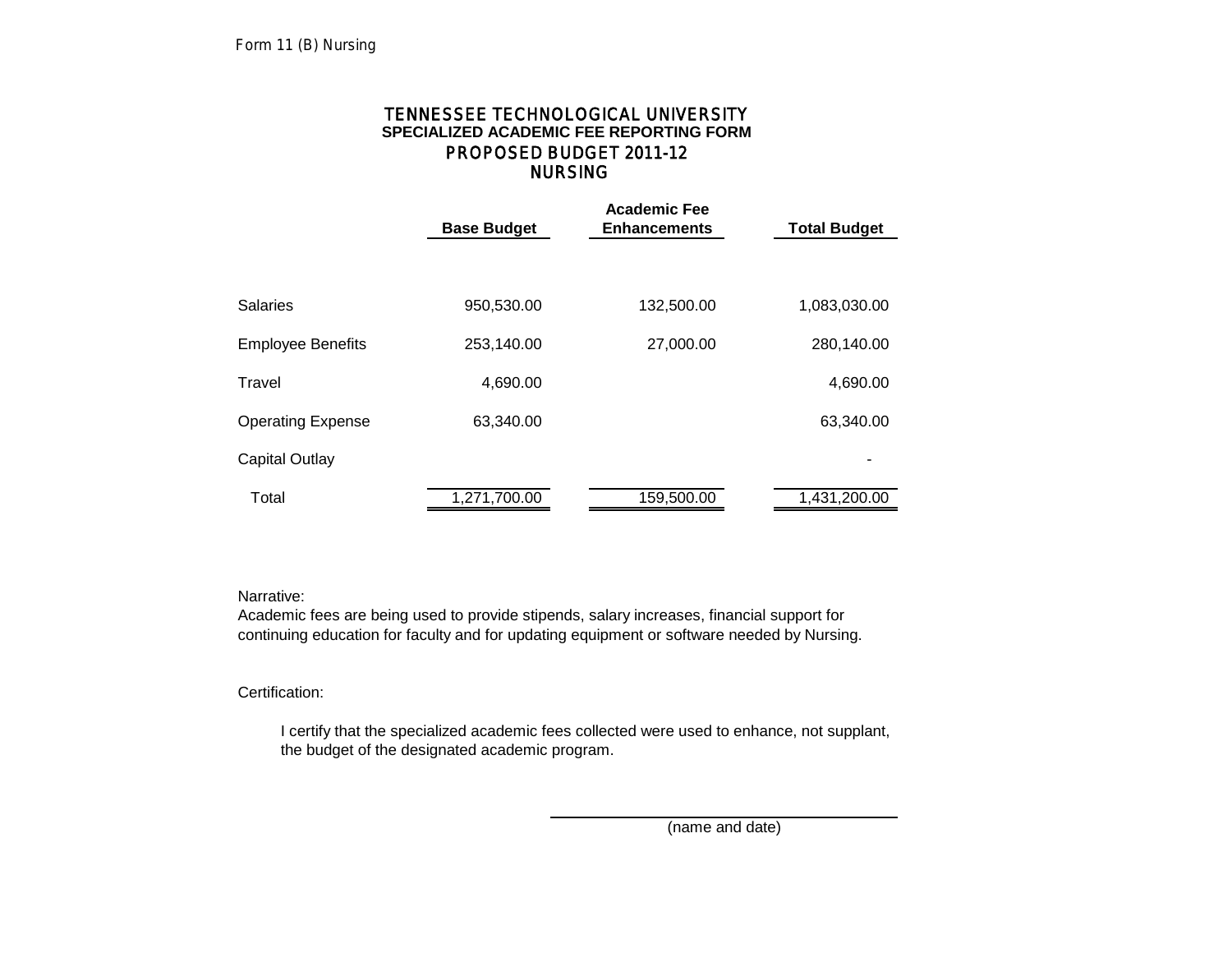# NURSING TENNESSEE TECHNOLOGICAL UNIVERSITY **SPECIALIZED ACADEMIC FEE REPORTING FORM** PROPOSED BUDGET 2011-12

|                          | <b>Base Budget</b> | <b>Academic Fee</b><br><b>Enhancements</b> | <b>Total Budget</b> |
|--------------------------|--------------------|--------------------------------------------|---------------------|
|                          |                    |                                            |                     |
| <b>Salaries</b>          | 950,530.00         | 132,500.00                                 | 1,083,030.00        |
| <b>Employee Benefits</b> | 253,140.00         | 27,000.00                                  | 280,140.00          |
| Travel                   | 4,690.00           |                                            | 4,690.00            |
| <b>Operating Expense</b> | 63,340.00          |                                            | 63,340.00           |
| Capital Outlay           |                    |                                            |                     |
| Total                    | 1,271,700.00       | 159,500.00                                 | 1,431,200.00        |

Narrative:

Academic fees are being used to provide stipends, salary increases, financial support for continuing education for faculty and for updating equipment or software needed by Nursing.

# Certification:

 I certify that the specialized academic fees collected were used to enhance, not supplant, the budget of the designated academic program.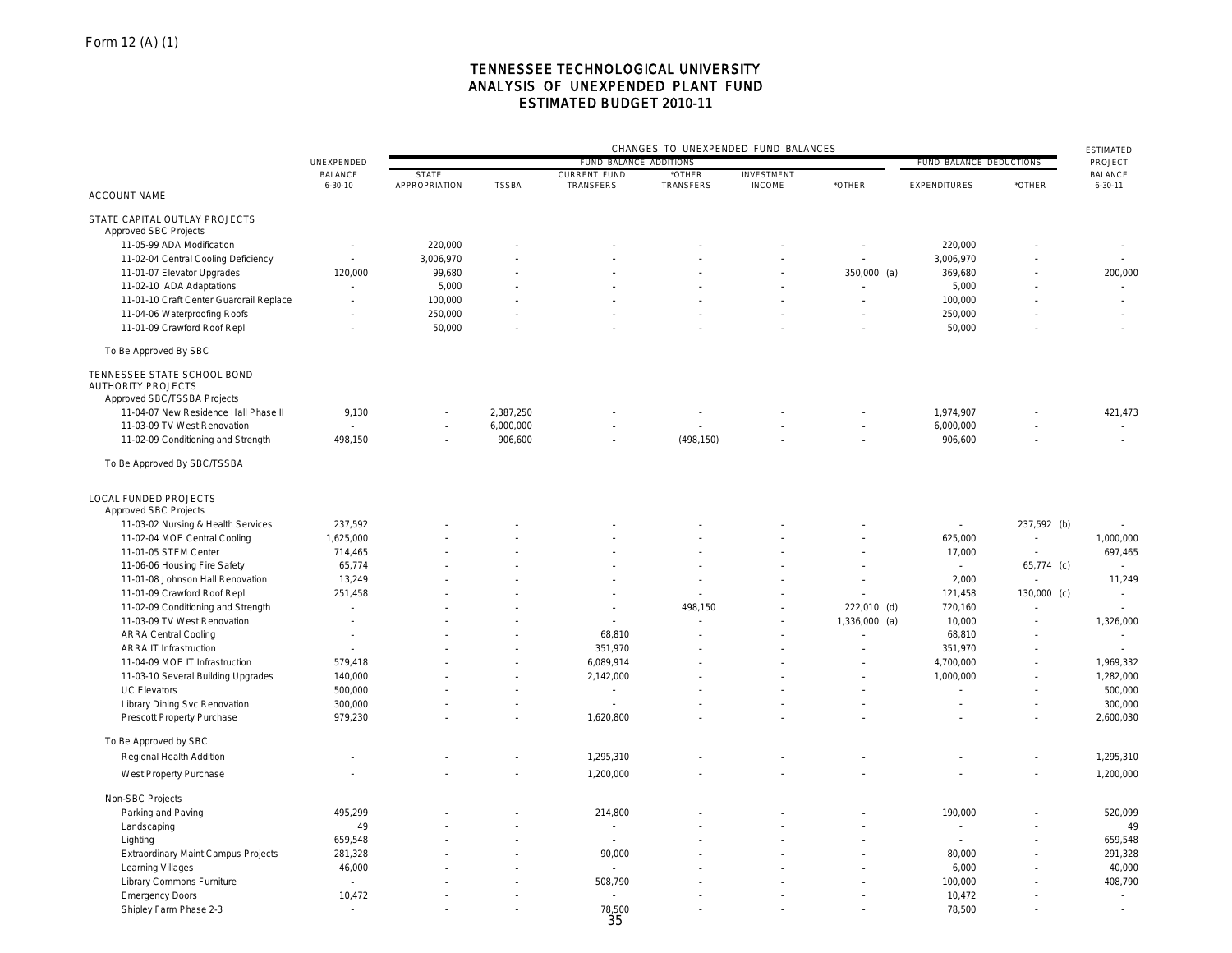## TENNESSEE TECHNOLOGICAL UNIVERSITY ANALYSIS OF UNEXPENDED PLANT FUND ESTIMATED BUDGET 2010-11

|                                                                                         |                                 | CHANGES TO UNEXPENDED FUND BALANCES<br>FUND BALANCE ADDITIONS<br>FUND BALANCE DEDUCTIONS |              |                                  |                          |                                    |                          |                          |                          | <b>ESTIMATED</b>                |
|-----------------------------------------------------------------------------------------|---------------------------------|------------------------------------------------------------------------------------------|--------------|----------------------------------|--------------------------|------------------------------------|--------------------------|--------------------------|--------------------------|---------------------------------|
|                                                                                         | UNEXPENDED                      |                                                                                          |              |                                  |                          |                                    |                          |                          |                          | PROJECT                         |
|                                                                                         | <b>BALANCE</b><br>$6 - 30 - 10$ | <b>STATE</b><br>APPROPRIATION                                                            | <b>TSSBA</b> | <b>CURRENT FUND</b><br>TRANSFERS | *OTHER<br>TRANSFERS      | <b>INVESTMENT</b><br><b>INCOME</b> | *OTHER                   | <b>EXPENDITURES</b>      | *OTHER                   | <b>BALANCE</b><br>$6 - 30 - 11$ |
| <b>ACCOUNT NAME</b>                                                                     |                                 |                                                                                          |              |                                  |                          |                                    |                          |                          |                          |                                 |
| STATE CAPITAL OUTLAY PROJECTS<br>Approved SBC Projects                                  |                                 |                                                                                          |              |                                  |                          |                                    |                          |                          |                          |                                 |
| 11-05-99 ADA Modification                                                               | $\overline{\phantom{a}}$        | 220,000                                                                                  |              |                                  |                          |                                    |                          | 220,000                  |                          | $\overline{\phantom{a}}$        |
| 11-02-04 Central Cooling Deficiency                                                     | $\overline{a}$                  | 3,006,970                                                                                |              |                                  |                          | $\overline{a}$                     | ÷,                       | 3,006,970                |                          | $\overline{\phantom{a}}$        |
| 11-01-07 Elevator Upgrades                                                              | 120,000                         | 99,680                                                                                   |              |                                  |                          |                                    | 350,000 (a)              | 369,680                  |                          | 200,000                         |
| 11-02-10 ADA Adaptations                                                                | $\overline{a}$                  | 5,000                                                                                    |              |                                  |                          |                                    | $\overline{\phantom{a}}$ | 5,000                    |                          | $\sim$                          |
| 11-01-10 Craft Center Guardrail Replace                                                 | $\overline{\phantom{a}}$        | 100,000                                                                                  |              |                                  |                          | $\overline{\phantom{a}}$           |                          | 100,000                  |                          | $\overline{a}$                  |
| 11-04-06 Waterproofing Roofs                                                            |                                 | 250,000                                                                                  |              |                                  |                          |                                    |                          | 250,000                  |                          |                                 |
| 11-01-09 Crawford Roof Repl                                                             |                                 | 50,000                                                                                   |              |                                  |                          |                                    |                          | 50,000                   |                          |                                 |
| To Be Approved By SBC                                                                   |                                 |                                                                                          |              |                                  |                          |                                    |                          |                          |                          |                                 |
| TENNESSEE STATE SCHOOL BOND<br><b>AUTHORITY PROJECTS</b><br>Approved SBC/TSSBA Projects |                                 |                                                                                          |              |                                  |                          |                                    |                          |                          |                          |                                 |
| 11-04-07 New Residence Hall Phase II                                                    | 9,130                           |                                                                                          | 2,387,250    |                                  | $\overline{\phantom{a}}$ |                                    |                          | 1,974,907                |                          | 421,473                         |
| 11-03-09 TV West Renovation                                                             |                                 |                                                                                          | 6,000,000    | $\sim$                           | $\sim$                   |                                    | $\overline{\phantom{a}}$ | 6,000,000                |                          |                                 |
| 11-02-09 Conditioning and Strength                                                      | 498,150                         |                                                                                          | 906,600      | $\overline{\phantom{a}}$         | (498, 150)               |                                    |                          | 906,600                  |                          | $\sim$                          |
| To Be Approved By SBC/TSSBA                                                             |                                 |                                                                                          |              |                                  |                          |                                    |                          |                          |                          |                                 |
| <b>LOCAL FUNDED PROJECTS</b><br>Approved SBC Projects                                   |                                 |                                                                                          |              |                                  |                          |                                    |                          |                          |                          |                                 |
| 11-03-02 Nursing & Health Services                                                      | 237,592                         |                                                                                          |              |                                  |                          |                                    |                          | $\overline{\phantom{a}}$ | 237,592 (b)              | $\overline{a}$                  |
| 11-02-04 MOE Central Cooling                                                            | 1,625,000                       |                                                                                          |              |                                  |                          |                                    |                          | 625,000                  | $\sim$                   | 1,000,000                       |
| 11-01-05 STEM Center                                                                    | 714,465                         |                                                                                          |              |                                  |                          |                                    |                          | 17,000                   | $\sim$                   | 697,465                         |
| 11-06-06 Housing Fire Safety                                                            | 65,774                          |                                                                                          |              |                                  |                          |                                    |                          | $\overline{\phantom{a}}$ | 65,774 (c)               | $\overline{a}$                  |
| 11-01-08 Johnson Hall Renovation                                                        | 13,249                          |                                                                                          |              |                                  | L.                       |                                    |                          | 2,000                    |                          | 11,249                          |
| 11-01-09 Crawford Roof Repl                                                             | 251,458                         |                                                                                          |              |                                  |                          |                                    |                          | 121,458                  | 130,000 (c)              |                                 |
| 11-02-09 Conditioning and Strength                                                      | $\overline{\phantom{a}}$        |                                                                                          |              | $\overline{\phantom{a}}$         | 498,150                  | $\overline{\phantom{a}}$           | 222,010 (d)              | 720,160                  |                          | $\overline{a}$                  |
| 11-03-09 TV West Renovation                                                             | $\overline{a}$                  |                                                                                          |              |                                  |                          | $\overline{\phantom{a}}$           | 1,336,000<br>(a)         | 10,000                   |                          | 1,326,000                       |
| <b>ARRA Central Cooling</b>                                                             | ÷,                              |                                                                                          |              | 68,810                           |                          |                                    |                          | 68,810                   |                          | $\overline{a}$                  |
| <b>ARRA IT Infrastruction</b>                                                           |                                 |                                                                                          |              | 351,970                          |                          |                                    | $\overline{\phantom{a}}$ | 351,970                  |                          | $\overline{a}$                  |
| 11-04-09 MOE IT Infrastruction                                                          | 579,418                         |                                                                                          |              | 6,089,914                        |                          |                                    |                          | 4,700,000                |                          | 1,969,332                       |
| 11-03-10 Several Building Upgrades                                                      | 140,000                         |                                                                                          |              | 2,142,000                        |                          |                                    |                          | 1,000,000                |                          | 1,282,000                       |
| <b>UC Elevators</b>                                                                     | 500,000                         |                                                                                          |              | $\overline{\phantom{a}}$         |                          |                                    |                          |                          |                          | 500,000                         |
| <b>Library Dining Svc Renovation</b>                                                    | 300,000                         |                                                                                          |              |                                  |                          |                                    |                          |                          |                          | 300,000                         |
| Prescott Property Purchase                                                              | 979,230                         |                                                                                          |              | 1,620,800                        |                          |                                    |                          |                          |                          | 2,600,030                       |
| To Be Approved by SBC                                                                   |                                 |                                                                                          |              |                                  |                          |                                    |                          |                          |                          |                                 |
| Regional Health Addition                                                                | $\overline{\phantom{a}}$        |                                                                                          |              | 1,295,310                        |                          |                                    |                          |                          |                          | 1,295,310                       |
| West Property Purchase                                                                  | $\overline{a}$                  |                                                                                          |              | 1,200,000                        |                          |                                    |                          |                          | $\overline{\phantom{a}}$ | 1,200,000                       |
|                                                                                         |                                 |                                                                                          |              |                                  |                          |                                    |                          |                          |                          |                                 |
| Non-SBC Projects                                                                        |                                 |                                                                                          |              |                                  |                          |                                    |                          |                          |                          |                                 |
| Parking and Paving                                                                      | 495,299                         |                                                                                          |              | 214,800                          |                          |                                    |                          | 190,000                  |                          | 520,099                         |
| Landscaping                                                                             | 49                              |                                                                                          |              | $\sim$                           |                          |                                    |                          | L,                       |                          | 49                              |
| Lighting                                                                                | 659,548                         |                                                                                          |              | $\overline{\phantom{a}}$         |                          |                                    |                          |                          |                          | 659,548                         |
| <b>Extraordinary Maint Campus Projects</b>                                              | 281,328                         |                                                                                          |              | 90,000                           |                          |                                    |                          | 80,000                   |                          | 291,328                         |
| Learning Villages                                                                       | 46,000                          |                                                                                          |              | $\overline{a}$                   |                          |                                    |                          | 6,000                    |                          | 40,000                          |
| Library Commons Furniture                                                               | $\overline{\phantom{a}}$        |                                                                                          |              | 508,790                          |                          |                                    |                          | 100,000                  |                          | 408,790                         |
| <b>Emergency Doors</b>                                                                  | 10,472                          |                                                                                          |              |                                  |                          |                                    |                          | 10,472                   |                          |                                 |
| Shipley Farm Phase 2-3                                                                  | $\sim$                          |                                                                                          |              | 78,500<br>35                     |                          |                                    |                          | 78,500                   |                          |                                 |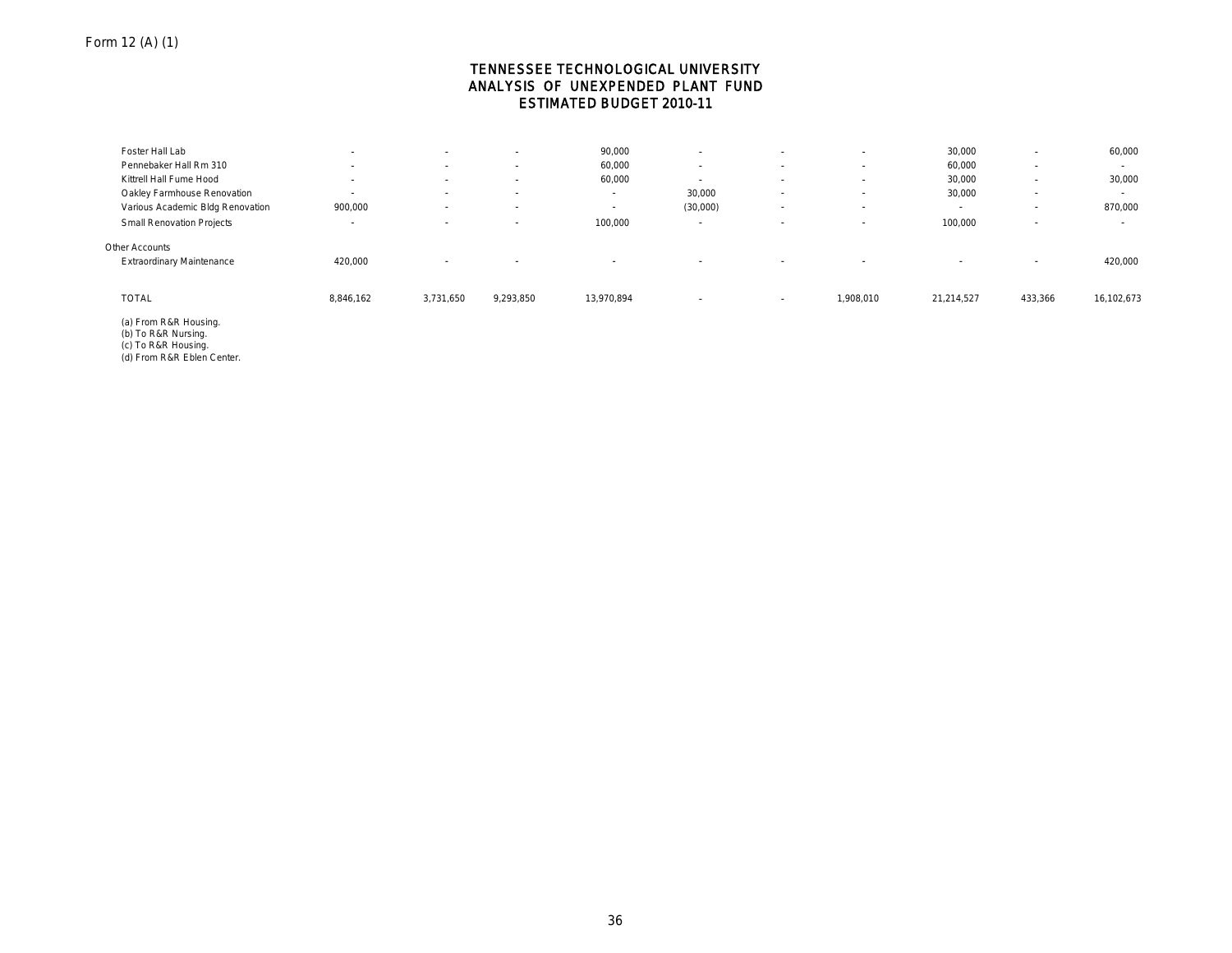## TENNESSEE TECHNOLOGICAL UNIVERSITY ANALYSIS OF UNEXPENDED PLANT FUND ESTIMATED BUDGET 2010-11

| Foster Hall Lab                  | $\overline{\phantom{a}}$ | $\sim$                   | $\sim$    | 90,000                   | $\overline{\phantom{a}}$ | $\sim$                   | $\sim$                   | 30,000                   | $\overline{\phantom{0}}$ | 60,000     |
|----------------------------------|--------------------------|--------------------------|-----------|--------------------------|--------------------------|--------------------------|--------------------------|--------------------------|--------------------------|------------|
| Pennebaker Hall Rm 310           |                          | $\sim$                   |           | 60,000                   | $\overline{\phantom{a}}$ | $\sim$                   | $\overline{\phantom{a}}$ | 60,000                   | $\overline{\phantom{a}}$ | $\sim$     |
| Kittrell Hall Fume Hood          |                          | $\sim$                   |           | 60,000                   | $\sim$                   |                          | $\sim$                   | 30,000                   | $\overline{\phantom{a}}$ | 30,000     |
| Oakley Farmhouse Renovation      | $\overline{\phantom{a}}$ | $\overline{\phantom{a}}$ | $\sim$    | $\overline{\phantom{a}}$ | 30,000                   |                          | $\sim$                   | 30,000                   | $\overline{\phantom{a}}$ | $\sim$     |
| Various Academic Bldg Renovation | 900,000                  | $\overline{\phantom{a}}$ | $\sim$    | $\sim$                   | (30,000)                 |                          | $\overline{\phantom{a}}$ | $\overline{\phantom{a}}$ | $\overline{\phantom{a}}$ | 870,000    |
| <b>Small Renovation Projects</b> | $\overline{\phantom{a}}$ | $\overline{\phantom{a}}$ | $\sim$    | 100,000                  | $\sim$                   | $\sim$                   | $\overline{\phantom{a}}$ | 100,000                  | $\overline{\phantom{a}}$ | $\sim$     |
| Other Accounts                   |                          |                          |           |                          |                          |                          |                          |                          |                          |            |
| <b>Extraordinary Maintenance</b> | 420,000                  | $\overline{\phantom{a}}$ | $\sim$    | $\overline{\phantom{a}}$ | $\overline{\phantom{a}}$ | $\overline{\phantom{a}}$ | $\sim$                   | $\overline{\phantom{a}}$ | $\overline{\phantom{a}}$ | 420,000    |
|                                  |                          |                          |           |                          |                          |                          |                          |                          |                          |            |
| <b>TOTAL</b>                     | 8,846,162                | 3,731,650                | 9,293,850 | 13,970,894               | $\overline{\phantom{a}}$ | $\overline{\phantom{a}}$ | 1,908,010                | 21,214,527               | 433,366                  | 16,102,673 |
| (a) From R&R Housing.            |                          |                          |           |                          |                          |                          |                          |                          |                          |            |

(a) From R&R Housing. (b) To R&R Nursing. (c) To R&R Housing. (d) From R&R Eblen Center.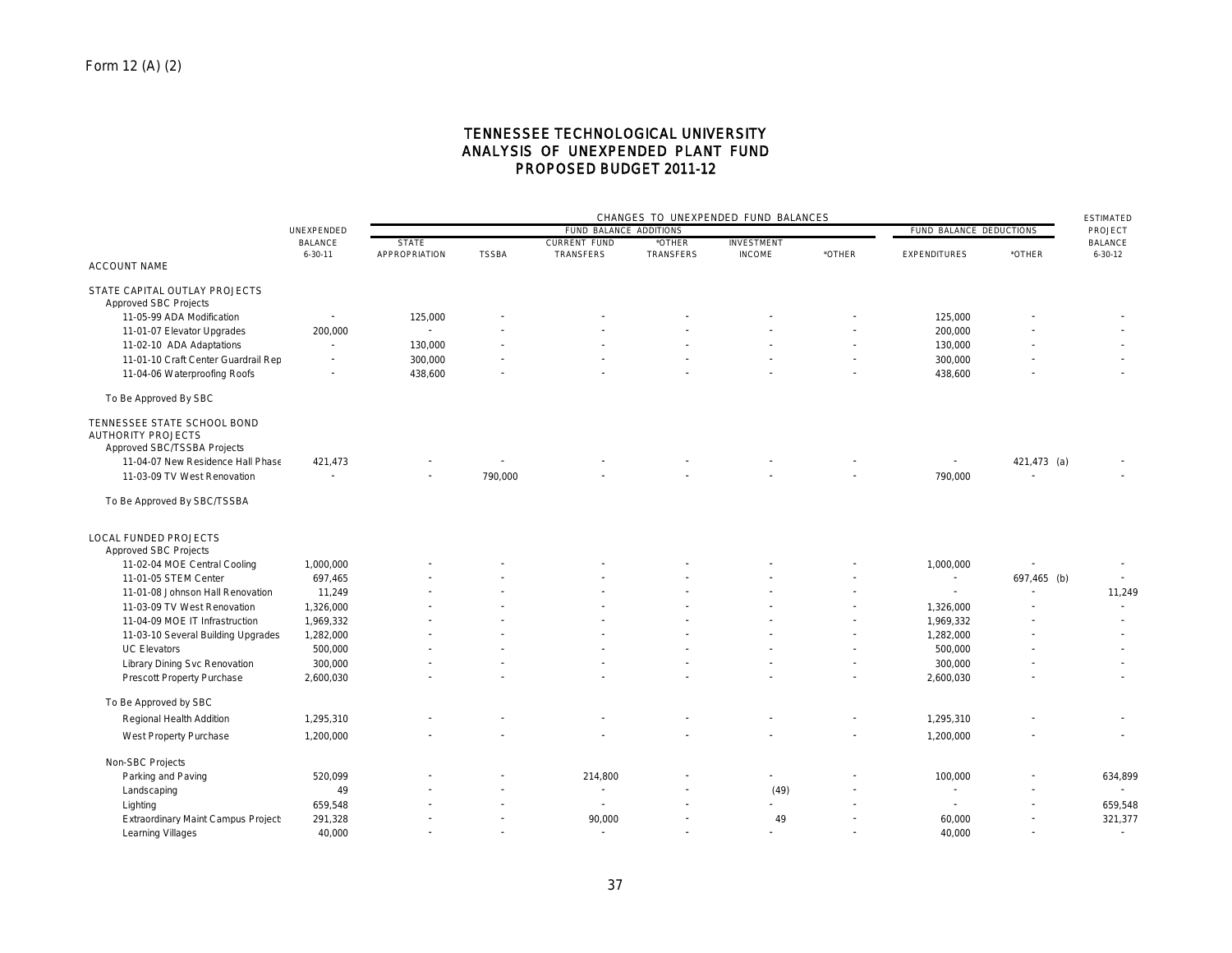## TENNESSEE TECHNOLOGICAL UNIVERSITY ANALYSIS OF UNEXPENDED PLANT FUND PROPOSED BUDGET 2011-12

|                                                                                         |                          | CHANGES TO UNEXPENDED FUND BALANCES |              |                        |                  |                   |                          |                         | <b>ESTIMATED</b>         |                |
|-----------------------------------------------------------------------------------------|--------------------------|-------------------------------------|--------------|------------------------|------------------|-------------------|--------------------------|-------------------------|--------------------------|----------------|
|                                                                                         | UNEXPENDED               |                                     |              | FUND BALANCE ADDITIONS |                  |                   |                          | FUND BALANCE DEDUCTIONS |                          | PROJECT        |
|                                                                                         | <b>BALANCE</b>           | <b>STATE</b>                        |              | <b>CURRENT FUND</b>    | *OTHER           | <b>INVESTMENT</b> |                          |                         |                          | <b>BALANCE</b> |
| <b>ACCOUNT NAME</b>                                                                     | $6 - 30 - 11$            | APPROPRIATION                       | <b>TSSBA</b> | TRANSFERS              | <b>TRANSFERS</b> | <b>INCOME</b>     | *OTHER                   | <b>EXPENDITURES</b>     | *OTHER                   | $6 - 30 - 12$  |
|                                                                                         |                          |                                     |              |                        |                  |                   |                          |                         |                          |                |
| STATE CAPITAL OUTLAY PROJECTS<br><b>Approved SBC Projects</b>                           |                          |                                     |              |                        |                  |                   |                          |                         |                          |                |
| 11-05-99 ADA Modification                                                               |                          | 125,000                             |              |                        |                  |                   |                          | 125,000                 |                          |                |
| 11-01-07 Elevator Upgrades                                                              | 200,000                  |                                     |              |                        |                  |                   |                          | 200,000                 |                          |                |
| 11-02-10 ADA Adaptations                                                                | $\sim$                   | 130,000                             |              |                        |                  |                   |                          | 130,000                 |                          |                |
| 11-01-10 Craft Center Guardrail Rep                                                     | $\overline{\phantom{a}}$ | 300,000                             |              |                        |                  |                   | $\sim$                   | 300,000                 |                          |                |
| 11-04-06 Waterproofing Roofs                                                            |                          | 438,600                             |              |                        |                  |                   |                          | 438,600                 |                          |                |
| To Be Approved By SBC                                                                   |                          |                                     |              |                        |                  |                   |                          |                         |                          |                |
| TENNESSEE STATE SCHOOL BOND<br><b>AUTHORITY PROJECTS</b><br>Approved SBC/TSSBA Projects |                          |                                     |              |                        |                  |                   |                          |                         |                          |                |
| 11-04-07 New Residence Hall Phase                                                       | 421,473                  |                                     |              |                        |                  |                   |                          | $\sim$                  | 421,473 (a)              |                |
| 11-03-09 TV West Renovation                                                             |                          |                                     | 790,000      |                        |                  |                   |                          | 790,000                 |                          |                |
| To Be Approved By SBC/TSSBA                                                             |                          |                                     |              |                        |                  |                   |                          |                         |                          |                |
| <b>LOCAL FUNDED PROJECTS</b><br>Approved SBC Projects                                   |                          |                                     |              |                        |                  |                   |                          |                         |                          |                |
| 11-02-04 MOE Central Cooling                                                            | 1,000,000                |                                     |              |                        |                  |                   |                          | 1,000,000               |                          |                |
| 11-01-05 STEM Center                                                                    | 697,465                  |                                     |              |                        |                  |                   |                          |                         | 697,465 (b)              |                |
| 11-01-08 Johnson Hall Renovation                                                        | 11,249                   |                                     |              |                        |                  |                   | $\overline{\phantom{a}}$ | $\sim$                  | $\overline{\phantom{a}}$ | 11,249         |
| 11-03-09 TV West Renovation                                                             | 1,326,000                |                                     |              |                        |                  |                   |                          | 1,326,000               |                          |                |
| 11-04-09 MOE IT Infrastruction                                                          | 1,969,332                |                                     |              |                        |                  |                   |                          | 1,969,332               |                          |                |
| 11-03-10 Several Building Upgrades                                                      | 1,282,000                |                                     |              |                        |                  |                   | $\overline{\phantom{a}}$ | 1,282,000               |                          |                |
| <b>UC Elevators</b>                                                                     | 500,000                  |                                     |              |                        |                  |                   |                          | 500,000                 |                          |                |
| Library Dining Svc Renovation                                                           | 300,000                  |                                     |              |                        |                  |                   | $\overline{\phantom{a}}$ | 300,000                 |                          |                |
| Prescott Property Purchase                                                              | 2,600,030                |                                     |              |                        |                  |                   |                          | 2,600,030               |                          |                |
| To Be Approved by SBC                                                                   |                          |                                     |              |                        |                  |                   |                          |                         |                          |                |
| Regional Health Addition                                                                | 1,295,310                |                                     |              |                        |                  |                   |                          | 1,295,310               |                          |                |
| West Property Purchase                                                                  | 1,200,000                |                                     |              |                        |                  |                   |                          | 1,200,000               |                          | ٠              |
| Non-SBC Projects                                                                        |                          |                                     |              |                        |                  |                   |                          |                         |                          |                |
| Parking and Paving                                                                      | 520,099                  |                                     |              | 214,800                |                  |                   |                          | 100,000                 |                          | 634,899        |
| Landscaping                                                                             | 49                       |                                     |              |                        |                  | (49)              |                          |                         |                          |                |
| Lighting                                                                                | 659,548                  |                                     |              |                        |                  |                   |                          | $\sim$                  |                          | 659,548        |
| Extraordinary Maint Campus Project                                                      | 291,328                  |                                     |              | 90,000                 |                  | 49                |                          | 60,000                  |                          | 321,377        |
| Learning Villages                                                                       | 40,000                   |                                     |              |                        |                  |                   |                          | 40,000                  |                          | $\sim$         |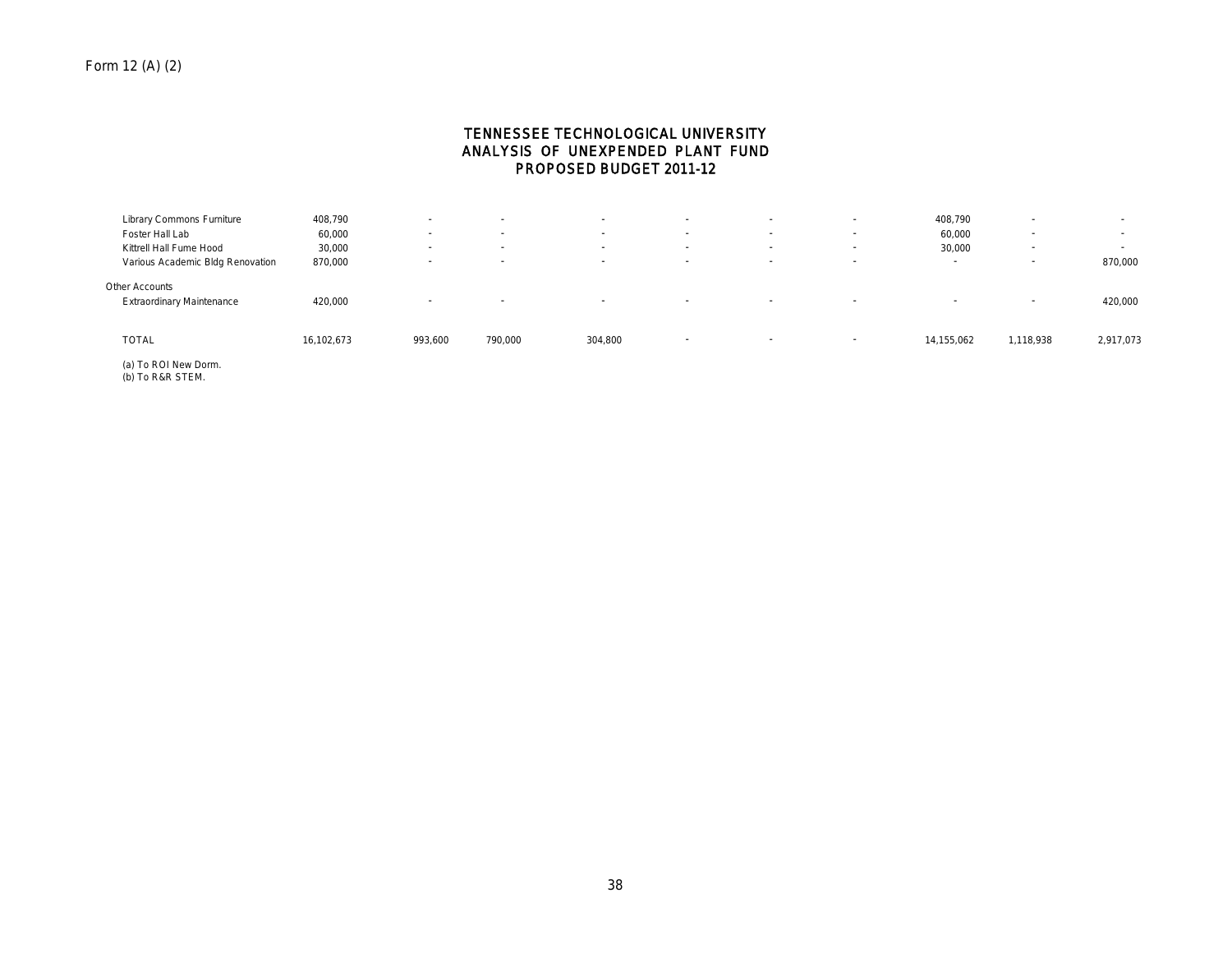## TENNESSEE TECHNOLOGICAL UNIVERSITY ANALYSIS OF UNEXPENDED PLANT FUND PROPOSED BUDGET 2011-12

| Library Commons Furniture                          | 408,790    |                          | . .                      | . .                      | $\overline{\phantom{a}}$ | ٠                        | $\overline{\phantom{a}}$ | 408,790    |           | . .       |
|----------------------------------------------------|------------|--------------------------|--------------------------|--------------------------|--------------------------|--------------------------|--------------------------|------------|-----------|-----------|
| Foster Hall Lab                                    | 60,000     | $\overline{\phantom{a}}$ | $\overline{\phantom{a}}$ | $\overline{\phantom{a}}$ | $\overline{\phantom{a}}$ | $\overline{\phantom{a}}$ | $\overline{\phantom{a}}$ | 60,000     |           | $\sim$    |
| Kittrell Hall Fume Hood                            | 30,000     | $\sim$                   | $\overline{\phantom{a}}$ |                          | $\overline{\phantom{a}}$ | ٠                        | $\overline{\phantom{a}}$ | 30,000     |           | . .       |
| Various Academic Bldg Renovation                   | 870,000    | $\overline{\phantom{a}}$ | $\sim$                   | $\overline{\phantom{a}}$ | $\overline{\phantom{a}}$ | $\overline{\phantom{a}}$ | $\overline{\phantom{a}}$ | . .        |           | 870,000   |
| Other Accounts<br><b>Extraordinary Maintenance</b> | 420,000    |                          | . .                      | . .                      | $\sim$                   | $\overline{\phantom{a}}$ | $\overline{\phantom{a}}$ |            |           | 420,000   |
| <b>TOTAL</b>                                       | 16,102,673 | 993,600                  | 790,000                  | 304,800                  | . .                      | $\sim$                   | . .                      | 14,155,062 | 1,118,938 | 2,917,073 |

(a) To ROI New Dorm. (b) To R&R STEM.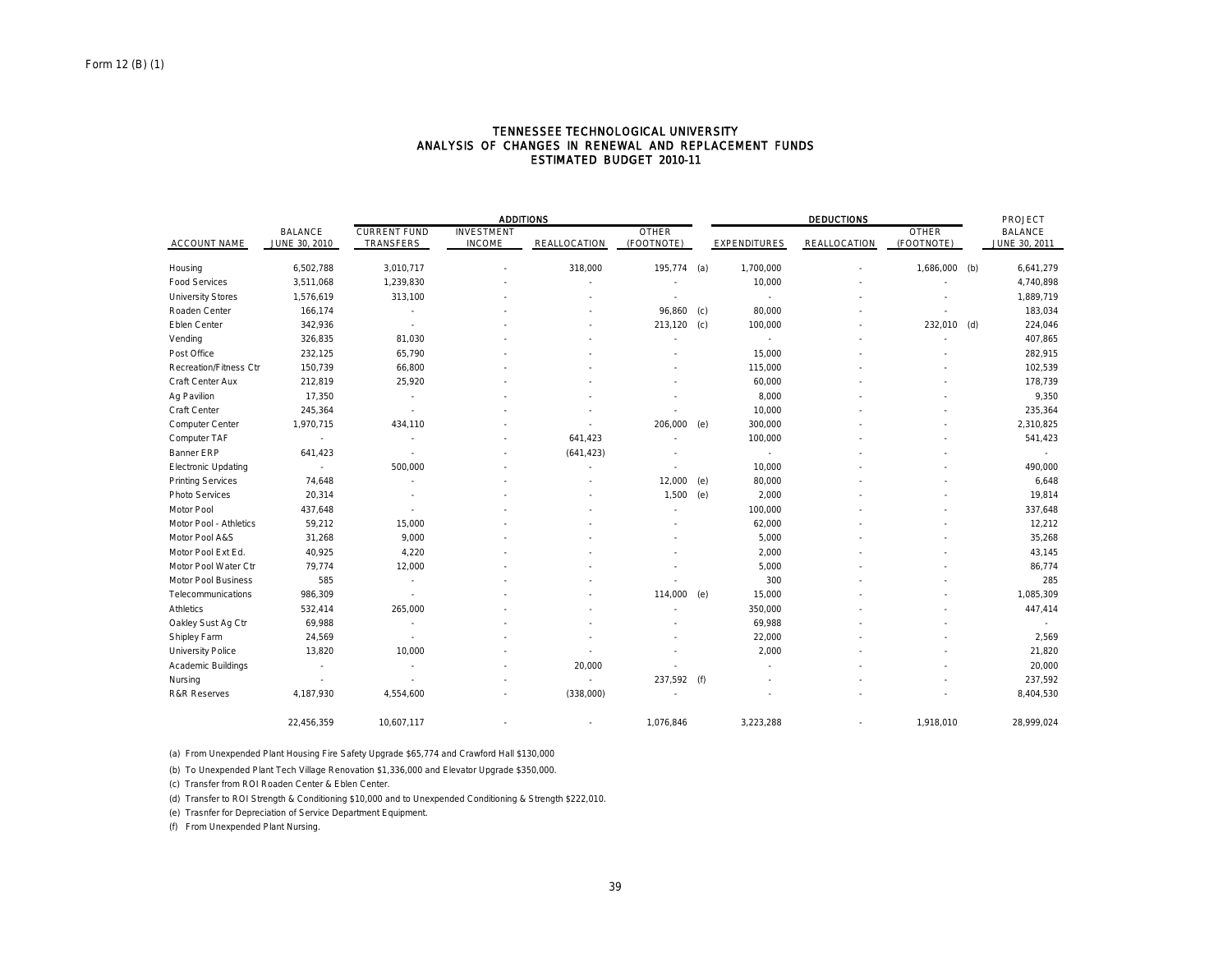|                            |                |                          | <b>ADDITIONS</b>  |              |              |     |                          | <b>DEDUCTIONS</b> |              |     |                |
|----------------------------|----------------|--------------------------|-------------------|--------------|--------------|-----|--------------------------|-------------------|--------------|-----|----------------|
|                            | <b>BALANCE</b> | <b>CURRENT FUND</b>      | <b>INVESTMENT</b> |              | <b>OTHER</b> |     |                          |                   | <b>OTHER</b> |     | <b>BALANCE</b> |
| <b>ACCOUNT NAME</b>        | JUNE 30, 2010  | TRANSFERS                | <b>INCOME</b>     | REALLOCATION | (FOOTNOTE)   |     | <b>EXPENDITURES</b>      | REALLOCATION      | (FOOTNOTE)   |     | JUNE 30, 2011  |
| Housing                    | 6,502,788      | 3,010,717                |                   | 318,000      | 195,774      | (a) | 1,700,000                |                   | 1,686,000    | (b) | 6,641,279      |
| <b>Food Services</b>       | 3,511,068      | 1,239,830                |                   |              |              |     | 10,000                   |                   |              |     | 4,740,898      |
| <b>University Stores</b>   | 1,576,619      | 313,100                  |                   |              |              |     | $\overline{\phantom{a}}$ |                   |              |     | 1,889,719      |
| Roaden Center              | 166,174        | $\overline{\phantom{a}}$ |                   |              | 96,860       | (c) | 80,000                   |                   |              |     | 183,034        |
| Eblen Center               | 342,936        | $\mathbf{r}$             |                   |              | 213,120      | (c) | 100,000                  |                   | 232,010      | (d) | 224,046        |
| Vending                    | 326,835        | 81,030                   |                   |              |              |     | ٠                        |                   |              |     | 407,865        |
| Post Office                | 232,125        | 65,790                   |                   |              |              |     | 15,000                   |                   |              |     | 282,915        |
| Recreation/Fitness Ctr     | 150,739        | 66,800                   |                   |              |              |     | 115,000                  |                   |              |     | 102,539        |
| Craft Center Aux           | 212,819        | 25,920                   |                   |              |              |     | 60,000                   |                   |              |     | 178,739        |
| Ag Pavilion                | 17,350         |                          |                   |              |              |     | 8,000                    |                   |              |     | 9,350          |
| Craft Center               | 245,364        | $\overline{\phantom{a}}$ |                   |              |              |     | 10,000                   |                   |              |     | 235,364        |
| Computer Center            | 1,970,715      | 434,110                  |                   |              | 206,000      | (e) | 300,000                  |                   |              |     | 2,310,825      |
| Computer TAF               |                |                          |                   | 641,423      |              |     | 100,000                  |                   |              |     | 541,423        |
| <b>Banner ERP</b>          | 641,423        | $\overline{\phantom{a}}$ |                   | (641, 423)   |              |     | $\overline{\phantom{a}}$ |                   |              |     |                |
| <b>Electronic Updating</b> | $\sim$         | 500,000                  |                   |              |              |     | 10,000                   |                   |              |     | 490,000        |
| <b>Printing Services</b>   | 74,648         | ٠                        |                   |              | 12,000       | (e) | 80,000                   |                   |              |     | 6,648          |
| Photo Services             | 20,314         |                          |                   |              | 1,500        | (e) | 2,000                    |                   |              |     | 19,814         |
| Motor Pool                 | 437,648        |                          |                   |              |              |     | 100,000                  |                   |              |     | 337,648        |
| Motor Pool - Athletics     | 59,212         | 15,000                   |                   |              |              |     | 62,000                   |                   |              |     | 12,212         |
| Motor Pool A&S             | 31,268         | 9,000                    |                   |              |              |     | 5,000                    |                   |              |     | 35,268         |
| Motor Pool Ext Ed.         | 40,925         | 4,220                    |                   |              |              |     | 2,000                    |                   |              |     | 43,145         |
| Motor Pool Water Ctr       | 79,774         | 12,000                   |                   |              |              |     | 5,000                    |                   |              |     | 86,774         |
| <b>Motor Pool Business</b> | 585            | $\overline{\phantom{a}}$ |                   |              |              |     | 300                      |                   |              |     | 285            |
| Telecommunications         | 986,309        | $\overline{\phantom{a}}$ |                   |              | 114,000      | (e) | 15,000                   |                   |              |     | 1,085,309      |
| <b>Athletics</b>           | 532,414        | 265,000                  |                   |              |              |     | 350,000                  |                   |              |     | 447,414        |
| Oakley Sust Ag Ctr         | 69,988         |                          |                   |              |              |     | 69,988                   |                   |              |     |                |
| Shipley Farm               | 24,569         | $\overline{\phantom{a}}$ |                   |              |              |     | 22,000                   |                   |              |     | 2,569          |
| University Police          | 13,820         | 10,000                   |                   |              |              |     | 2,000                    |                   |              |     | 21,820         |
| Academic Buildings         | ٠              | $\sim$                   |                   | 20,000       |              |     |                          |                   |              |     | 20,000         |
| Nursing                    | $\sim$         | ٠                        |                   | ×.           | 237,592 (f)  |     |                          |                   |              |     | 237,592        |
| <b>R&amp;R Reserves</b>    | 4,187,930      | 4,554,600                |                   | (338,000)    |              |     |                          |                   |              |     | 8,404,530      |
|                            | 22,456,359     | 10,607,117               |                   |              | 1,076,846    |     | 3,223,288                |                   | 1,918,010    |     | 28,999,024     |

#### TENNESSEE TECHNOLOGICAL UNIVERSITY ANALYSIS OF CHANGES IN RENEWAL AND REPLACEMENT FUNDS ESTIMATED BUDGET 2010-11

(a) From Unexpended Plant Housing Fire Safety Upgrade \$65,774 and Crawford Hall \$130,000

(b) To Unexpended Plant Tech Village Renovation \$1,336,000 and Elevator Upgrade \$350,000.

(c) Transfer from ROI Roaden Center & Eblen Center.

(d) Transfer to ROI Strength & Conditioning \$10,000 and to Unexpended Conditioning & Strength \$222,010.

(e) Trasnfer for Depreciation of Service Department Equipment.

(f) From Unexpended Plant Nursing.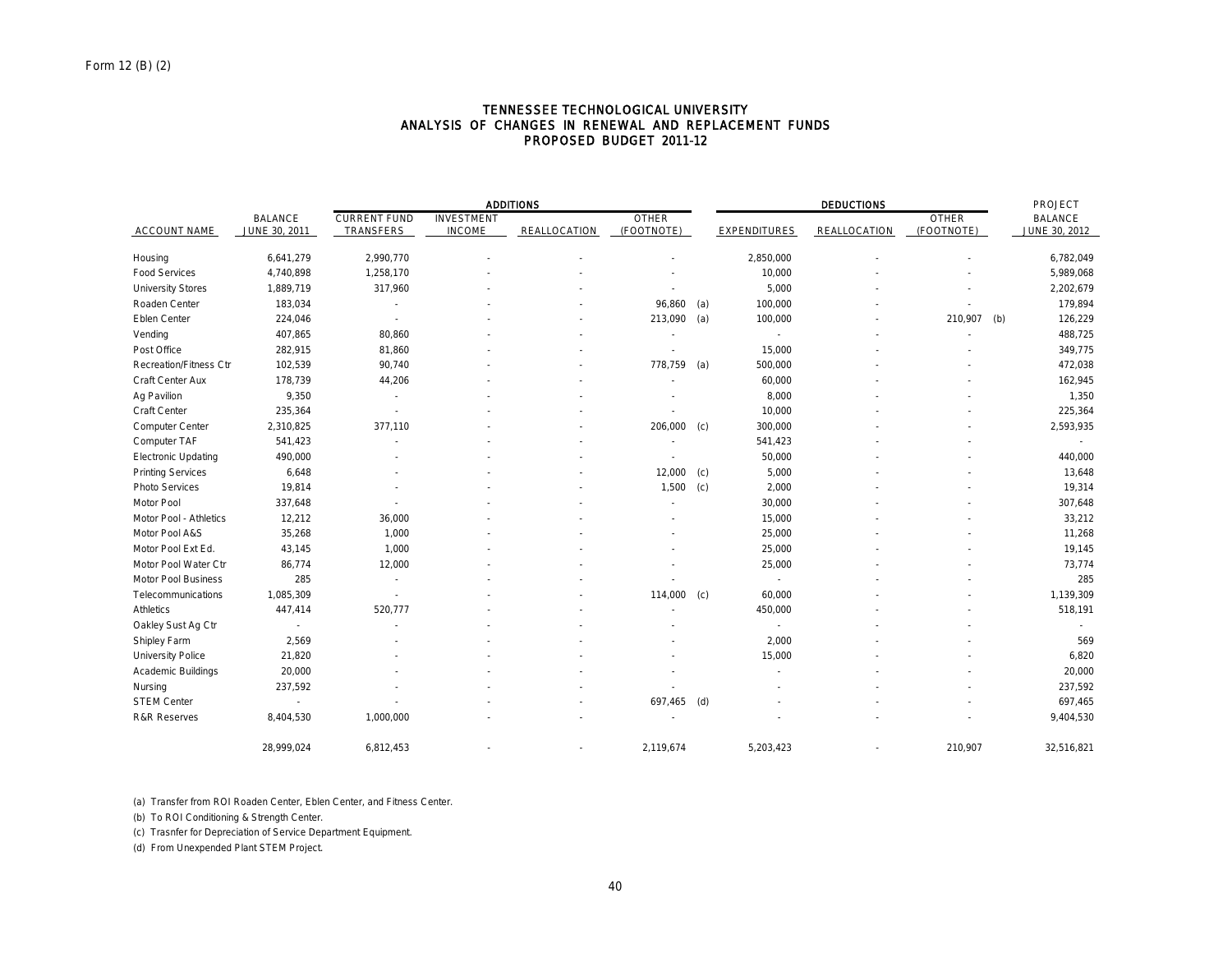### TENNESSEE TECHNOLOGICAL UNIVERSITY ANALYSIS OF CHANGES IN RENEWAL AND REPLACEMENT FUNDS PROPOSED BUDGET 2011-12

|                               |                | <b>ADDITIONS</b>         |                   |              |              |     |                          |                     | PROJECT      |     |                |
|-------------------------------|----------------|--------------------------|-------------------|--------------|--------------|-----|--------------------------|---------------------|--------------|-----|----------------|
|                               | <b>BALANCE</b> | <b>CURRENT FUND</b>      | <b>INVESTMENT</b> |              | <b>OTHER</b> |     |                          |                     | <b>OTHER</b> |     | <b>BALANCE</b> |
| <b>ACCOUNT NAME</b>           | JUNE 30, 2011  | TRANSFERS                | <b>INCOME</b>     | REALLOCATION | (FOOTNOTE)   |     | EXPENDITURES             | <b>REALLOCATION</b> | (FOOTNOTE)   |     | JUNE 30, 2012  |
| Housing                       | 6,641,279      | 2,990,770                |                   |              |              |     | 2,850,000                |                     |              |     | 6,782,049      |
| <b>Food Services</b>          | 4,740,898      | 1,258,170                |                   |              |              |     | 10,000                   |                     |              |     | 5,989,068      |
| <b>University Stores</b>      | 1,889,719      | 317,960                  |                   |              |              |     | 5,000                    |                     |              |     | 2,202,679      |
| Roaden Center                 | 183,034        |                          |                   |              | 96,860       | (a) | 100,000                  |                     |              |     | 179,894        |
| Eblen Center                  | 224,046        |                          |                   |              | 213,090      | (a) | 100,000                  |                     | 210,907      | (b) | 126,229        |
| Vending                       | 407,865        | 80,860                   |                   |              |              |     |                          |                     |              |     | 488,725        |
| Post Office                   | 282,915        | 81,860                   |                   |              |              |     | 15,000                   |                     |              |     | 349,775        |
| <b>Recreation/Fitness Ctr</b> | 102,539        | 90,740                   |                   |              | 778,759      | (a) | 500,000                  |                     |              |     | 472,038        |
| Craft Center Aux              | 178,739        | 44,206                   |                   |              |              |     | 60,000                   |                     |              |     | 162,945        |
| Ag Pavilion                   | 9,350          | $\sim$                   |                   |              |              |     | 8,000                    |                     |              |     | 1,350          |
| Craft Center                  | 235,364        | $\overline{\phantom{a}}$ |                   |              |              |     | 10,000                   |                     |              |     | 225,364        |
| Computer Center               | 2,310,825      | 377,110                  |                   |              | 206,000      | (c) | 300,000                  |                     |              |     | 2,593,935      |
| Computer TAF                  | 541,423        |                          |                   |              |              |     | 541,423                  |                     |              |     |                |
| <b>Electronic Updating</b>    | 490,000        |                          |                   |              |              |     | 50,000                   |                     |              |     | 440,000        |
| <b>Printing Services</b>      | 6,648          |                          |                   |              | 12,000       | (c) | 5,000                    |                     |              |     | 13,648         |
| Photo Services                | 19,814         |                          |                   |              | 1,500        | (c) | 2,000                    |                     |              |     | 19,314         |
| Motor Pool                    | 337,648        |                          |                   |              |              |     | 30,000                   |                     |              |     | 307,648        |
| Motor Pool - Athletics        | 12,212         | 36,000                   |                   |              |              |     | 15,000                   |                     |              |     | 33,212         |
| Motor Pool A&S                | 35,268         | 1,000                    |                   |              |              |     | 25,000                   |                     |              |     | 11,268         |
| Motor Pool Ext Ed.            | 43,145         | 1,000                    |                   |              |              |     | 25,000                   |                     |              |     | 19,145         |
| Motor Pool Water Ctr          | 86,774         | 12,000                   |                   |              |              |     | 25,000                   |                     |              |     | 73,774         |
| Motor Pool Business           | 285            | $\sim$                   |                   |              |              |     | $\overline{\phantom{a}}$ |                     |              |     | 285            |
| Telecommunications            | 1,085,309      | $\sim$                   |                   |              | 114,000      | (c) | 60,000                   |                     |              |     | 1,139,309      |
| <b>Athletics</b>              | 447,414        | 520,777                  |                   |              |              |     | 450,000                  |                     |              |     | 518,191        |
| Oakley Sust Ag Ctr            | $\sim$         |                          |                   |              |              |     | $\sim$                   |                     |              |     |                |
| Shipley Farm                  | 2,569          |                          |                   |              |              |     | 2,000                    |                     |              |     | 569            |
| <b>University Police</b>      | 21,820         |                          |                   |              |              |     | 15,000                   |                     |              |     | 6,820          |
| Academic Buildings            | 20,000         |                          |                   |              |              |     |                          |                     |              |     | 20,000         |
| Nursing                       | 237,592        |                          |                   |              |              |     |                          |                     |              |     | 237,592        |
| <b>STEM Center</b>            | $\sim$         |                          |                   |              | 697,465      | (d) |                          |                     |              |     | 697,465        |
| <b>R&amp;R Reserves</b>       | 8,404,530      | 1,000,000                |                   |              |              |     |                          |                     |              |     | 9,404,530      |
|                               | 28.999.024     | 6,812,453                |                   |              | 2,119,674    |     | 5,203,423                |                     | 210.907      |     | 32,516,821     |

(a) Transfer from ROI Roaden Center, Eblen Center, and Fitness Center.

(b) To ROI Conditioning & Strength Center.

(c) Trasnfer for Depreciation of Service Department Equipment.

(d) From Unexpended Plant STEM Project.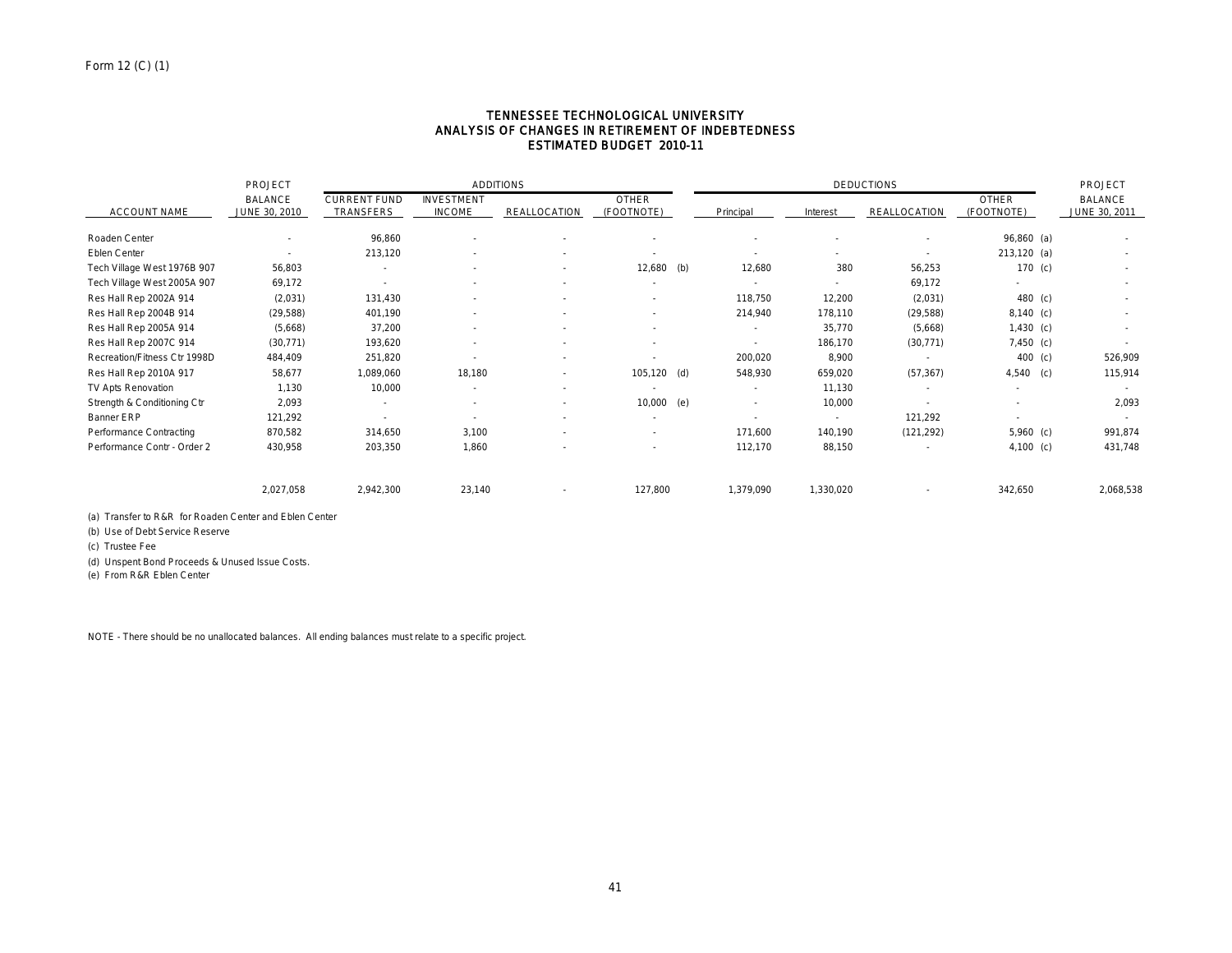### TENNESSEE TECHNOLOGICAL UNIVERSITY ANALYSIS OF CHANGES IN RETIREMENT OF INDEBTEDNESS ESTIMATED BUDGET 2010-11

|                              | <b>PROJECT</b> | <b>ADDITIONS</b>    |                          |                     |                          | <b>DEDUCTIONS</b> |           |              |               | PROJECT                  |
|------------------------------|----------------|---------------------|--------------------------|---------------------|--------------------------|-------------------|-----------|--------------|---------------|--------------------------|
|                              | <b>BALANCE</b> | <b>CURRENT FUND</b> | <b>INVESTMENT</b>        |                     | <b>OTHER</b>             |                   |           |              | <b>OTHER</b>  | <b>BALANCE</b>           |
| <b>ACCOUNT NAME</b>          | JUNE 30, 2010  | TRANSFERS           | <b>INCOME</b>            | <b>REALLOCATION</b> | (FOOTNOTE)               | Principal         | Interest  | REALLOCATION | (FOOTNOTE)    | JUNE 30, 2011            |
| Roaden Center                | ٠              | 96,860              |                          |                     |                          |                   |           |              | 96,860 (a)    |                          |
| Eblen Center                 | ٠              | 213,120             | ٠                        |                     | $\overline{\phantom{a}}$ |                   |           | ٠            | $213,120$ (a) | $\overline{\phantom{a}}$ |
| Tech Village West 1976B 907  | 56,803         | $\sim$              | $\overline{\phantom{a}}$ |                     | $12,680$ (b)             | 12,680            | 380       | 56,253       | 170 $(c)$     | $\overline{\phantom{a}}$ |
| Tech Village West 2005A 907  | 69,172         |                     |                          |                     | $\overline{\phantom{a}}$ |                   |           | 69,172       |               |                          |
| Res Hall Rep 2002A 914       | (2,031)        | 131,430             | $\overline{\phantom{a}}$ |                     | ٠                        | 118,750           | 12,200    | (2,031)      | 480 (c)       |                          |
| Res Hall Rep 2004B 914       | (29, 588)      | 401,190             | ٠                        |                     | $\sim$                   | 214,940           | 178,110   | (29, 588)    | $8,140$ (c)   |                          |
| Res Hall Rep 2005A 914       | (5,668)        | 37,200              |                          |                     | $\sim$                   | $\sim$            | 35,770    | (5,668)      | $1,430$ (c)   | ٠                        |
| Res Hall Rep 2007C 914       | (30, 771)      | 193,620             | ٠                        |                     | $\sim$                   |                   | 186,170   | (30, 771)    | 7,450 (c)     |                          |
| Recreation/Fitness Ctr 1998D | 484,409        | 251,820             |                          |                     |                          | 200,020           | 8,900     |              | 400 (c)       | 526,909                  |
| Res Hall Rep 2010A 917       | 58,677         | 060,089 1           | 18,180                   |                     | $105, 120$ (d)           | 548,930           | 659,020   | (57, 367)    | $4,540$ (c)   | 115,914                  |
| TV Apts Renovation           | 1,130          | 10,000              | $\sim$                   |                     | $\sim$                   | $\sim$            | 11,130    | $\sim$       |               |                          |
| Strength & Conditioning Ctr  | 2,093          | $\sim$              | ٠                        |                     | 10,000 (e)               | $\sim$            | 10,000    |              |               | 2,093                    |
| Banner ERP                   | 121,292        |                     |                          |                     | $\sim$                   |                   |           | 121,292      |               |                          |
| Performance Contracting      | 870,582        | 314,650             | 3,100                    |                     | $\sim$                   | 171,600           | 140,190   | (121, 292)   | $5,960$ (c)   | 991,874                  |
| Performance Contr - Order 2  | 430,958        | 203,350             | 1,860                    |                     |                          | 112,170           | 88,150    |              | 4,100 (c)     | 431,748                  |
|                              | 2,027,058      | 2,942,300           | 23,140                   |                     | 127,800                  | 1,379,090         | 1,330,020 |              | 342,650       | 2,068,538                |

(a) Transfer to R&R for Roaden Center and Eblen Center

(b) Use of Debt Service Reserve

(c) Trustee Fee

(d) Unspent Bond Proceeds & Unused Issue Costs.

(e) From R&R Eblen Center

NOTE - There should be no unallocated balances. All ending balances must relate to a specific project.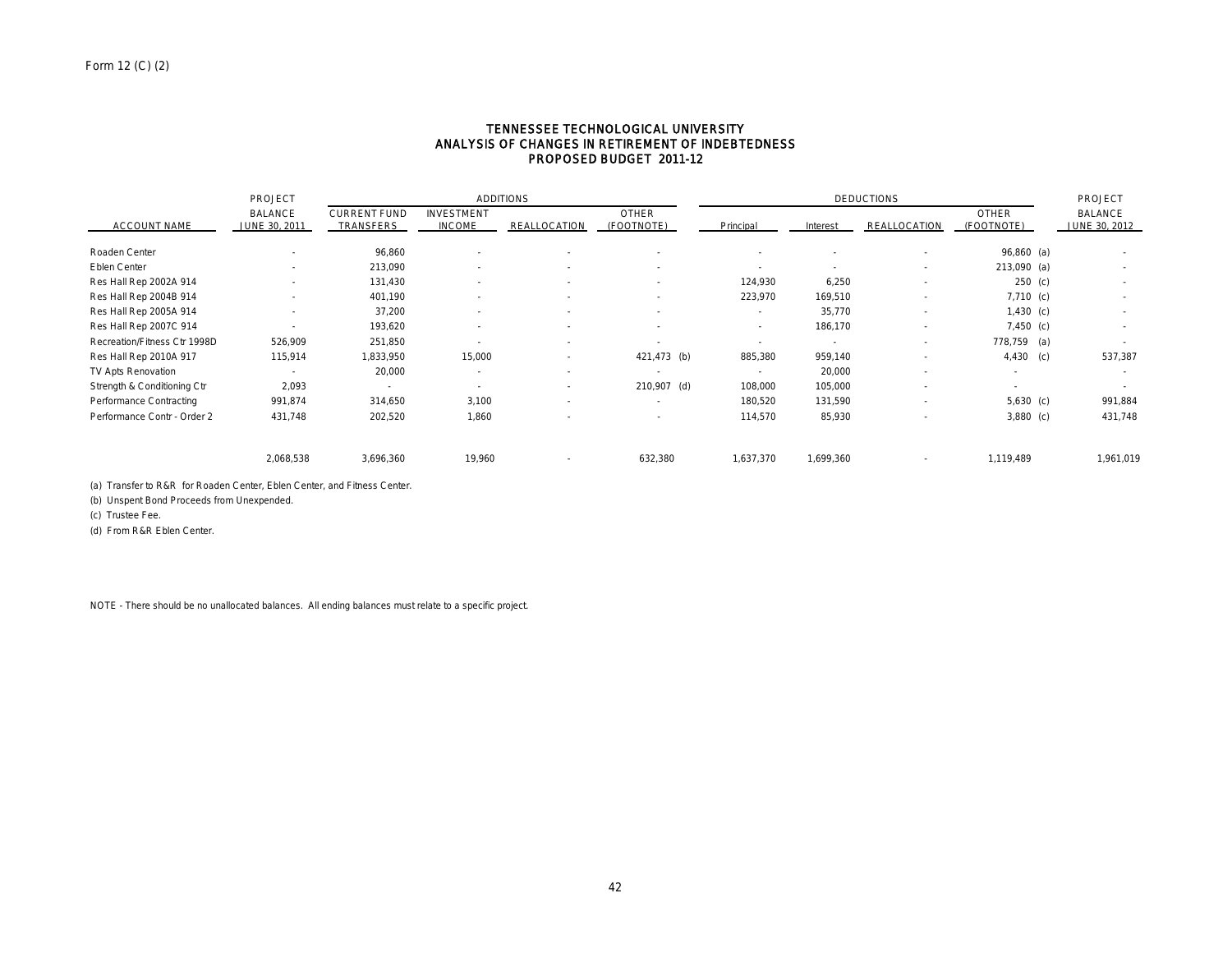### TENNESSEE TECHNOLOGICAL UNIVERSITY ANALYSIS OF CHANGES IN RETIREMENT OF INDEBTEDNESS PROPOSED BUDGET 2011-12

|                              | PROJECT                         |                                  | <b>ADDITIONS</b>                   |                          | <b>DEDUCTIONS</b>          |                          |           |              | PROJECT                    |                          |
|------------------------------|---------------------------------|----------------------------------|------------------------------------|--------------------------|----------------------------|--------------------------|-----------|--------------|----------------------------|--------------------------|
| <b>ACCOUNT NAME</b>          | <b>BALANCE</b><br>JUNE 30, 2011 | <b>CURRENT FUND</b><br>TRANSFERS | <b>INVESTMENT</b><br><b>INCOME</b> | <b>REALLOCATION</b>      | <b>OTHER</b><br>(FOOTNOTE) | Principal                | Interest  | REALLOCATION | <b>OTHER</b><br>(FOOTNOTE) | BALANCE<br>JUNE 30, 2012 |
| Roaden Center                |                                 | 96,860                           |                                    | $\overline{\phantom{a}}$ | $\sim$                     | ٠                        |           |              | $96,860$ (a)               |                          |
| Eblen Center                 | $\overline{\phantom{a}}$        | 213,090                          |                                    | $\sim$                   | ٠                          | $\overline{\phantom{a}}$ | ٠         | $\sim$       | 213,090 (a)                | $\sim$                   |
| Res Hall Rep 2002A 914       |                                 | 131,430                          |                                    | $\overline{\phantom{a}}$ | $\overline{\phantom{a}}$   | 124,930                  | 6,250     |              | $250$ (c)                  | $\sim$                   |
| Res Hall Rep 2004B 914       |                                 | 401,190                          |                                    | $\overline{\phantom{a}}$ | ٠                          | 223,970                  | 169,510   | $\sim$       | $7,710$ (c)                | ٠                        |
| Res Hall Rep 2005A 914       |                                 | 37,200                           |                                    | $\overline{\phantom{a}}$ | $\sim$                     | $\sim$                   | 35,770    | $\sim$       | $1,430$ (c)                | $\sim$                   |
| Res Hall Rep 2007C 914       |                                 | 193,620                          |                                    |                          | $\sim$                     | ٠                        | 186,170   | ٠            | $7,450$ (c)                | ٠                        |
| Recreation/Fitness Ctr 1998D | 526,909                         | 251,850                          |                                    | $\sim$                   | $\overline{\phantom{a}}$   | $\overline{\phantom{a}}$ |           | ۰            | 778,759 (a)                |                          |
| Res Hall Rep 2010A 917       | 115,914                         | 1,833,950                        | 15,000                             |                          | 421,473 (b)                | 885,380                  | 959,140   |              | 4,430<br>(c)               | 537,387                  |
| TV Apts Renovation           |                                 | 20,000                           |                                    | $\sim$                   | $\sim$                     | $\sim$                   | 20,000    |              | $\overline{\phantom{a}}$   | $\sim$                   |
| Strength & Conditioning Ctr  | 2,093                           | $\sim$                           |                                    | $\sim$                   | 210,907 (d)                | 108,000                  | 105,000   |              | $\sim$                     |                          |
| Performance Contracting      | 991,874                         | 314,650                          | 3,100                              | $\sim$                   | ٠                          | 180,520                  | 131,590   |              | $5,630$ (c)                | 991,884                  |
| Performance Contr - Order 2  | 431,748                         | 202,520                          | 1,860                              |                          | $\sim$                     | 114,570                  | 85,930    |              | $3,880$ (c)                | 431,748                  |
|                              | 2,068,538                       | 3,696,360                        | 19,960                             |                          | 632,380                    | 1,637,370                | 1,699,360 |              | 1,119,489                  | 1,961,019                |

(a) Transfer to R&R for Roaden Center, Eblen Center, and Fitness Center.

(b) Unspent Bond Proceeds from Unexpended.

(c) Trustee Fee.

(d) From R&R Eblen Center.

NOTE - There should be no unallocated balances. All ending balances must relate to a specific project.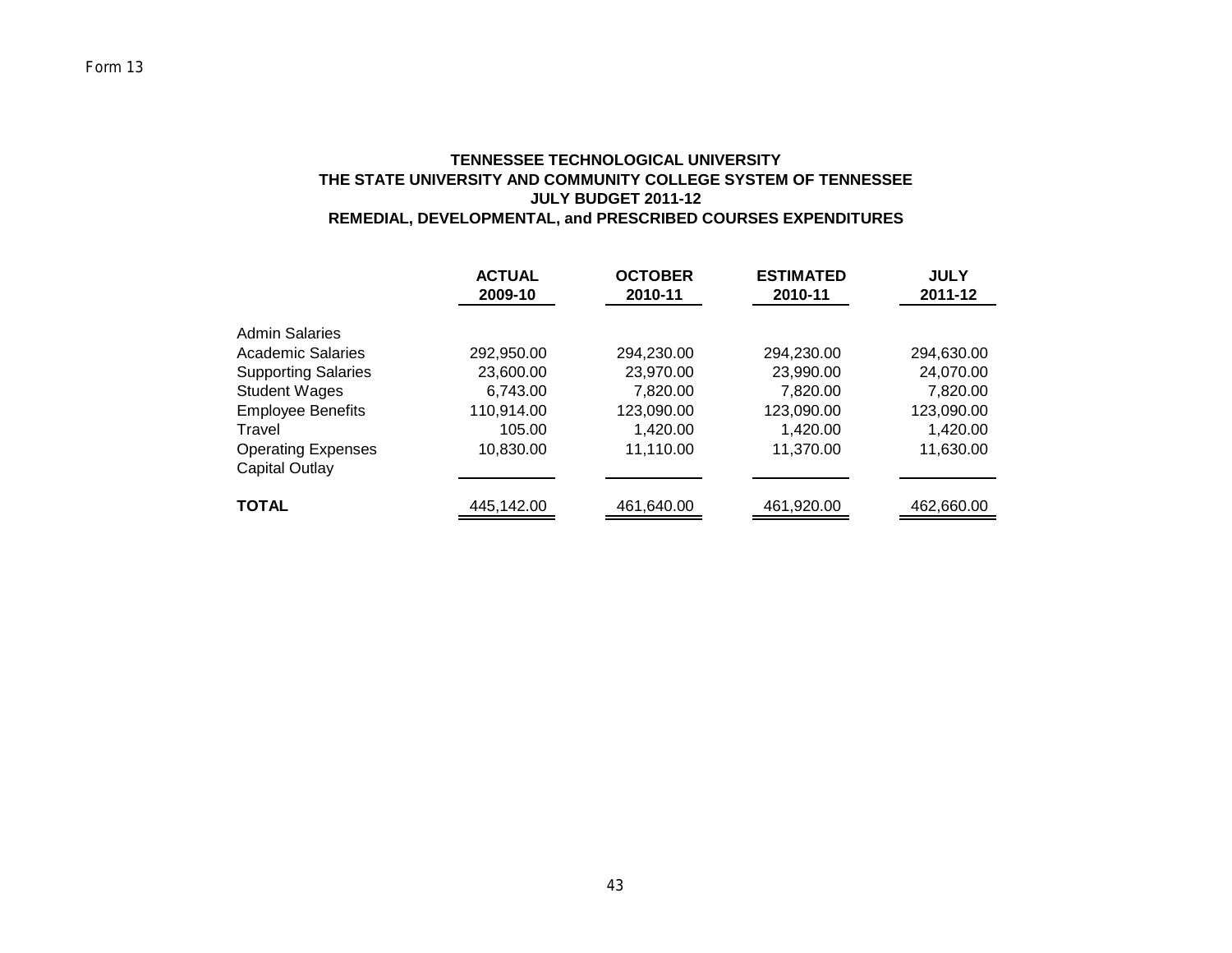## **TENNESSEE TECHNOLOGICAL UNIVERSITY THE STATE UNIVERSITY AND COMMUNITY COLLEGE SYSTEM OF TENNESSEE JULY BUDGET 2011-12 REMEDIAL, DEVELOPMENTAL, and PRESCRIBED COURSES EXPENDITURES**

|                                                  | <b>ACTUAL</b><br>2009-10 | <b>OCTOBER</b><br>2010-11 | <b>ESTIMATED</b><br>2010-11 | <b>JULY</b><br>2011-12 |
|--------------------------------------------------|--------------------------|---------------------------|-----------------------------|------------------------|
| <b>Admin Salaries</b><br>Academic Salaries       | 292,950.00               | 294,230.00                | 294,230.00                  | 294,630.00             |
| <b>Supporting Salaries</b>                       | 23,600.00                | 23,970.00                 | 23,990.00                   | 24,070.00              |
| <b>Student Wages</b><br><b>Employee Benefits</b> | 6,743.00<br>110,914.00   | 7,820.00<br>123,090.00    | 7.820.00<br>123,090.00      | 7,820.00<br>123,090.00 |
| Travel<br><b>Operating Expenses</b>              | 105.00<br>10,830.00      | 1,420.00<br>11,110.00     | 1,420.00<br>11,370.00       | 1,420.00<br>11,630.00  |
| Capital Outlay                                   |                          |                           |                             |                        |
| <b>TOTAL</b>                                     | 445,142.00               | 461,640.00                | 461,920.00                  | 462,660.00             |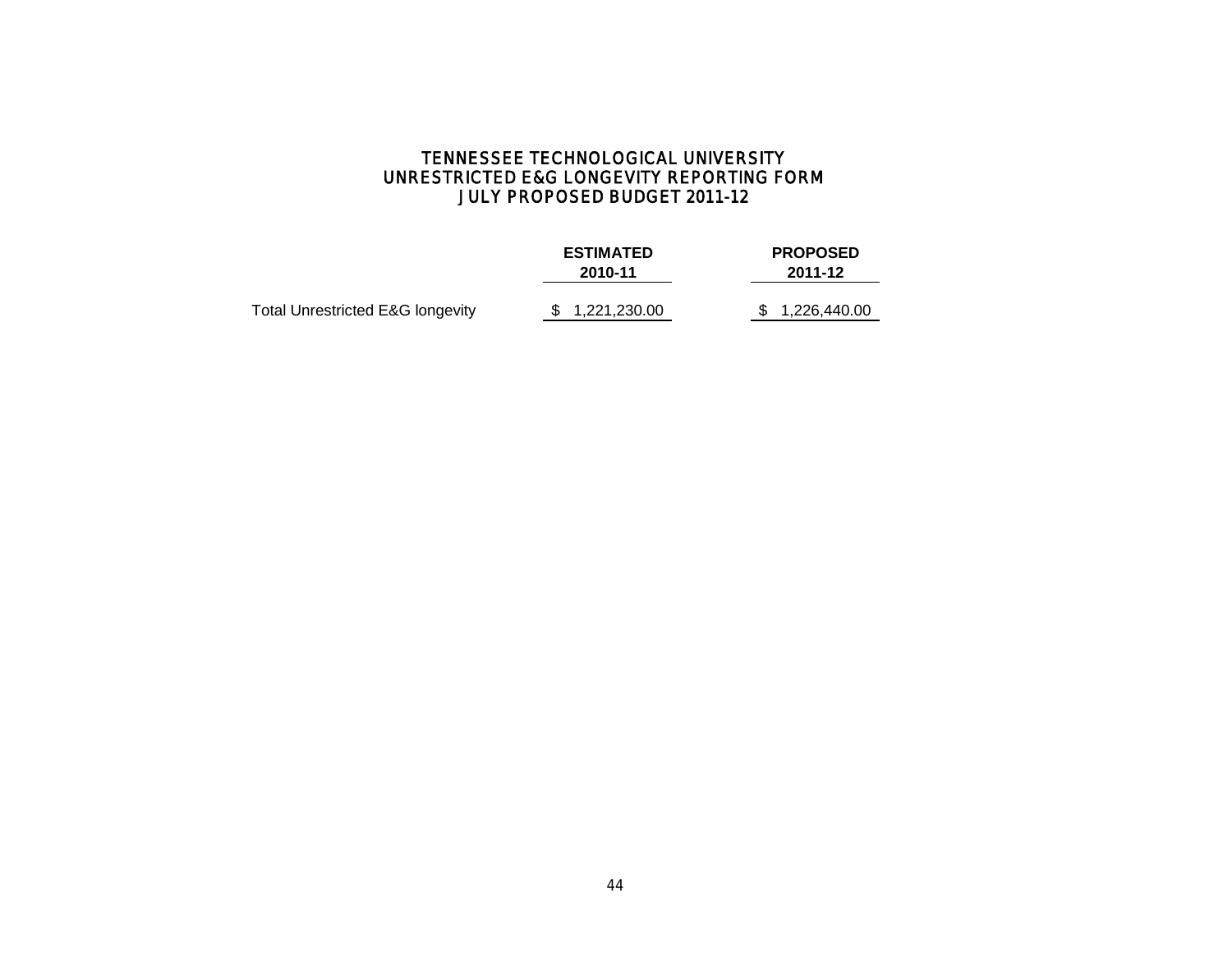# TENNESSEE TECHNOLOGICAL UNIVERSITY UNRESTRICTED E&G LONGEVITY REPORTING FORM JULY PROPOSED BUDGET 2011-12

|                                  | <b>ESTIMATED</b><br>2010-11 | <b>PROPOSED</b><br>2011-12 |  |  |  |
|----------------------------------|-----------------------------|----------------------------|--|--|--|
| Total Unrestricted E&G longevity | \$1,221,230.00              | \$1,226,440.00             |  |  |  |